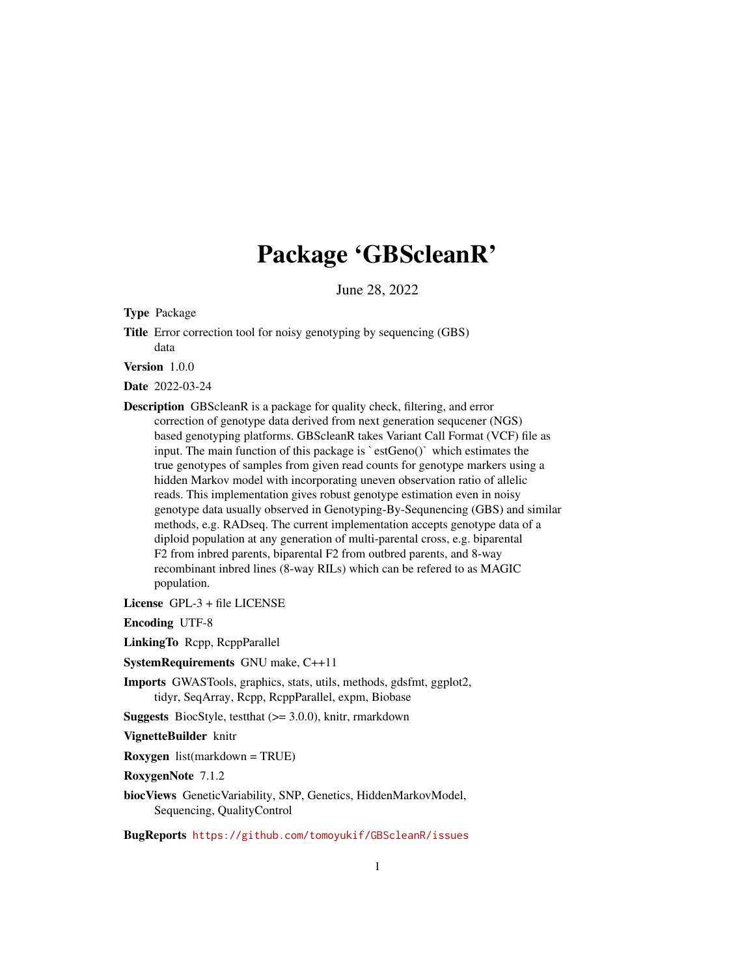# Package 'GBScleanR'

June 28, 2022

<span id="page-0-0"></span>Type Package

Title Error correction tool for noisy genotyping by sequencing (GBS) data

Version 1.0.0

Date 2022-03-24

Description GBScleanR is a package for quality check, filtering, and error put Consectant is a package for quanty enect, intering, and error<br>correction of genotyping platforms. GBScleanR takes Variant Call Format (VCF) fi<br>input. The main function of this package is `estGeno()` which estimates the based genotyping platforms. GBScleanR takes Variant Call Format (VCF) file as true genotypes of samples from given read counts for genotype markers using a hidden Markov model with incorporating uneven observation ratio of allelic reads. This implementation gives robust genotype estimation even in noisy genotype data usually observed in Genotyping-By-Sequnencing (GBS) and similar methods, e.g. RADseq. The current implementation accepts genotype data of a diploid population at any generation of multi-parental cross, e.g. biparental F2 from inbred parents, biparental F2 from outbred parents, and 8-way recombinant inbred lines (8-way RILs) which can be refered to as MAGIC population.

License GPL-3 + file LICENSE

Encoding UTF-8

LinkingTo Rcpp, RcppParallel

SystemRequirements GNU make, C++11

Imports GWASTools, graphics, stats, utils, methods, gdsfmt, ggplot2, tidyr, SeqArray, Rcpp, RcppParallel, expm, Biobase

**Suggests** BiocStyle, testthat  $(>= 3.0.0)$ , knitr, rmarkdown

VignetteBuilder knitr

Roxygen list(markdown = TRUE)

RoxygenNote 7.1.2

biocViews GeneticVariability, SNP, Genetics, HiddenMarkovModel, Sequencing, QualityControl

BugReports <https://github.com/tomoyukif/GBScleanR/issues>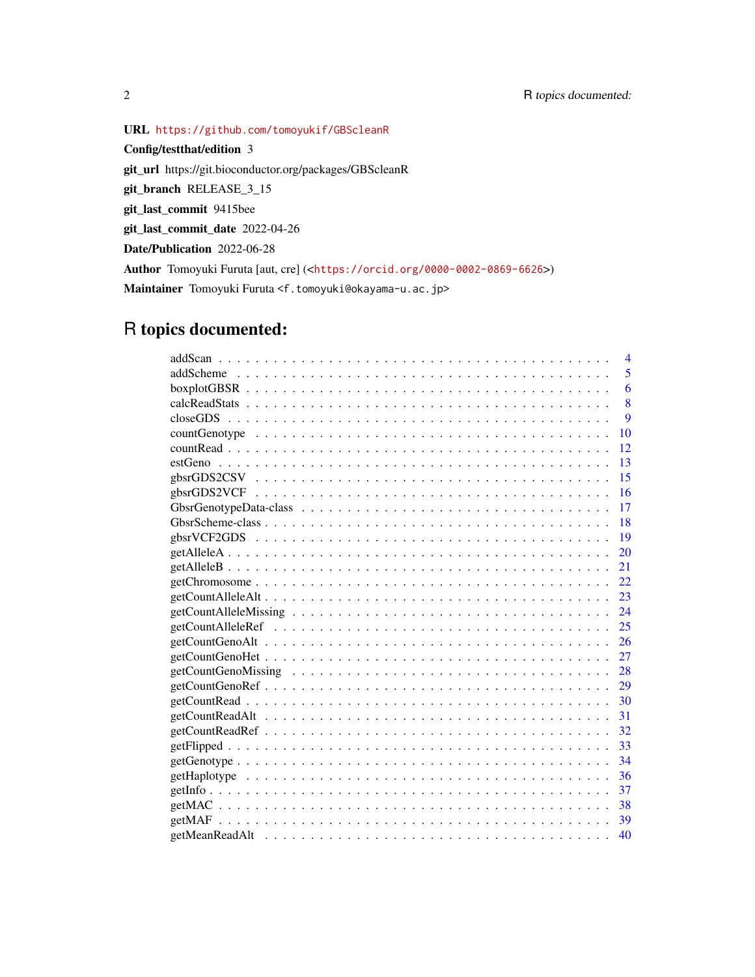URL <https://github.com/tomoyukif/GBScleanR>

Config/testthat/edition 3 git\_url https://git.bioconductor.org/packages/GBScleanR git\_branch RELEASE\_3\_15 git\_last\_commit 9415bee git\_last\_commit\_date 2022-04-26 Date/Publication 2022-06-28 Author Tomoyuki Furuta [aut, cre] (<<https://orcid.org/0000-0002-0869-6626>>) Maintainer Tomoyuki Furuta <f.tomoyuki@okayama-u.ac.jp>

# R topics documented:

| 4                                                                                                                             |
|-------------------------------------------------------------------------------------------------------------------------------|
| 5                                                                                                                             |
| 6                                                                                                                             |
| 8                                                                                                                             |
| 9                                                                                                                             |
| 10                                                                                                                            |
| 12                                                                                                                            |
| 13                                                                                                                            |
| 15                                                                                                                            |
| 16                                                                                                                            |
| 17                                                                                                                            |
| -18                                                                                                                           |
| 19                                                                                                                            |
| 20                                                                                                                            |
| 21                                                                                                                            |
| 22                                                                                                                            |
| 23                                                                                                                            |
| $getCountAlleleMissing \dots \dots \dots \dots \dots \dots \dots \dots \dots \dots \dots \dots \dots \dots \dots \dots \dots$ |
|                                                                                                                               |
| 26                                                                                                                            |
| 27                                                                                                                            |
| 28                                                                                                                            |
|                                                                                                                               |
| 30                                                                                                                            |
|                                                                                                                               |
|                                                                                                                               |
| -33                                                                                                                           |
| 34                                                                                                                            |
| 36                                                                                                                            |
| 37                                                                                                                            |
| 38                                                                                                                            |
|                                                                                                                               |
| 40                                                                                                                            |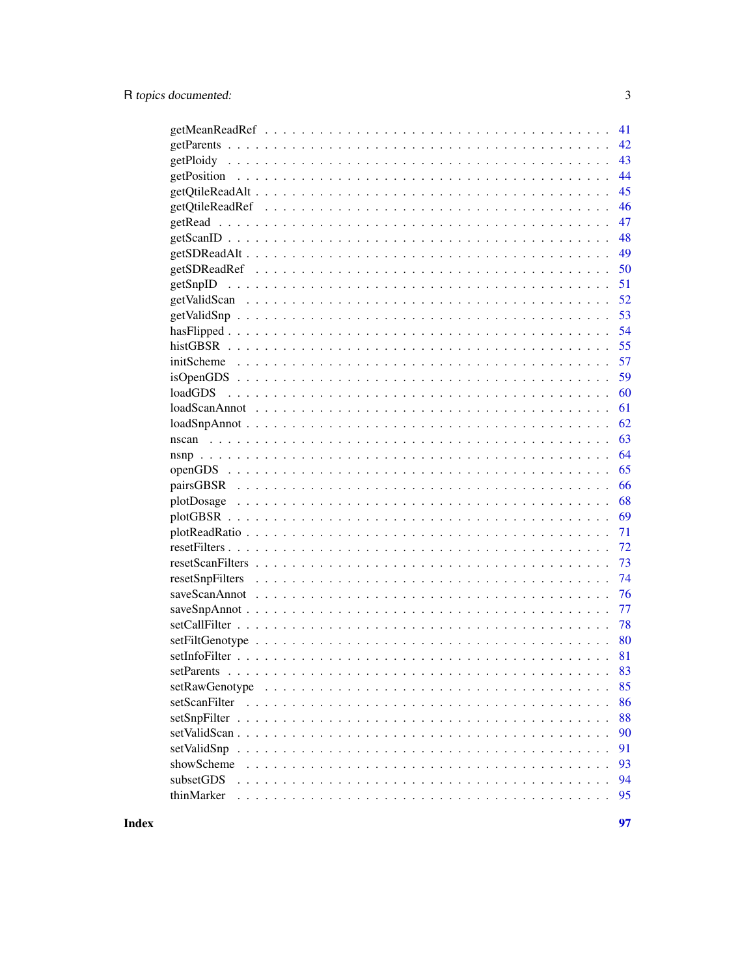| 41                                                                                                                        |
|---------------------------------------------------------------------------------------------------------------------------|
| 42                                                                                                                        |
| 43                                                                                                                        |
| 44                                                                                                                        |
| 45                                                                                                                        |
| 46                                                                                                                        |
| 47                                                                                                                        |
| 48                                                                                                                        |
| 49                                                                                                                        |
| 50                                                                                                                        |
| 51                                                                                                                        |
| 52                                                                                                                        |
| 53                                                                                                                        |
| 54                                                                                                                        |
| 55                                                                                                                        |
| 57                                                                                                                        |
| 59                                                                                                                        |
| 60                                                                                                                        |
| 61                                                                                                                        |
| 62                                                                                                                        |
| 63                                                                                                                        |
| 64                                                                                                                        |
| 65                                                                                                                        |
| 66                                                                                                                        |
| 68                                                                                                                        |
| 69                                                                                                                        |
| 71                                                                                                                        |
| 72                                                                                                                        |
| 73                                                                                                                        |
| 74                                                                                                                        |
| 76                                                                                                                        |
| 77                                                                                                                        |
| 78                                                                                                                        |
| 80                                                                                                                        |
|                                                                                                                           |
| 81                                                                                                                        |
| 83<br>setParents                                                                                                          |
| 85                                                                                                                        |
| setScanFilter<br>86                                                                                                       |
| 88                                                                                                                        |
| 90                                                                                                                        |
| $setValidSup \dots \dots \dots \dots \dots \dots \dots \dots \dots \dots \dots \dots \dots \dots \dots \dots \dots$<br>91 |
| 93                                                                                                                        |
| subsetGDS<br>94                                                                                                           |
| thinMarker<br>95                                                                                                          |
|                                                                                                                           |

**Index**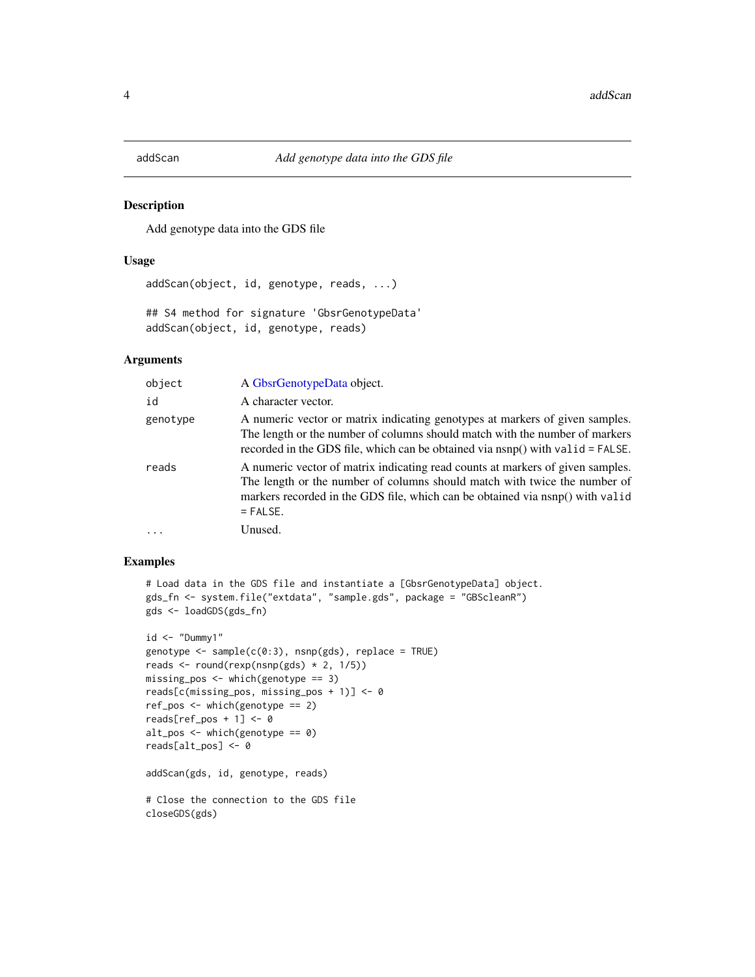<span id="page-3-0"></span>

#### Description

Add genotype data into the GDS file

#### Usage

addScan(object, id, genotype, reads, ...)

```
## S4 method for signature 'GbsrGenotypeData'
addScan(object, id, genotype, reads)
```
# Arguments

| object   | A GbsrGenotypeData object.                                                                                                                                                                                                                                 |
|----------|------------------------------------------------------------------------------------------------------------------------------------------------------------------------------------------------------------------------------------------------------------|
| id       | A character vector.                                                                                                                                                                                                                                        |
| genotype | A numeric vector or matrix indicating genotypes at markers of given samples.<br>The length or the number of columns should match with the number of markers<br>recorded in the GDS file, which can be obtained via $n s p()$ with valid = FALSE.           |
| reads    | A numeric vector of matrix indicating read counts at markers of given samples.<br>The length or the number of columns should match with twice the number of<br>markers recorded in the GDS file, which can be obtained via nsnp() with valid<br>$=$ FALSE. |
|          | Unused.                                                                                                                                                                                                                                                    |

#### Examples

```
# Load data in the GDS file and instantiate a [GbsrGenotypeData] object.
gds_fn <- system.file("extdata", "sample.gds", package = "GBScleanR")
gds <- loadGDS(gds_fn)
id < - "Dummy1"
```

```
genotype <- sample(c(0:3), nsnp(gds), replace = TRUE)
reads \le round(rexp(nsnp(gds) \neq 2, 1/5))
missing_pos <- which(genotype == 3)
reads[c(missing_pos, missing_pos + 1)] <- 0
ref_pos <- which(genotype == 2)
reads[ref_pos + 1] <- 0
alt_pos <- which(genotype == 0)
reads[alt_pos] <- 0
```
addScan(gds, id, genotype, reads)

```
# Close the connection to the GDS file
closeGDS(gds)
```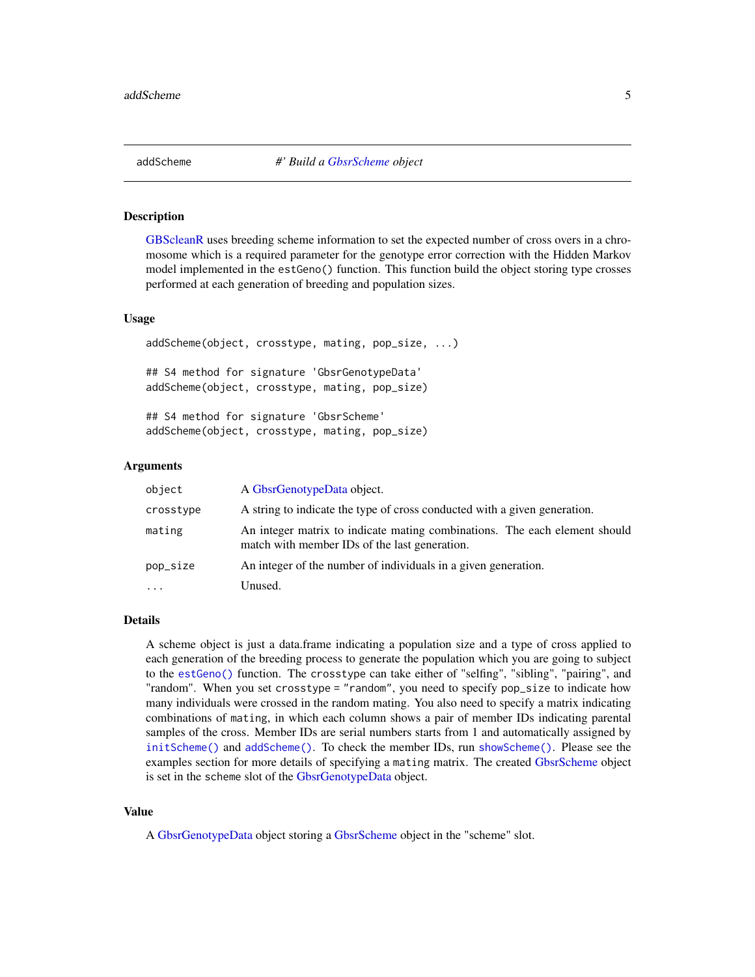<span id="page-4-1"></span><span id="page-4-0"></span>

# Description

[GBScleanR](#page-0-0) uses breeding scheme information to set the expected number of cross overs in a chromosome which is a required parameter for the genotype error correction with the Hidden Markov model implemented in the estGeno() function. This function build the object storing type crosses performed at each generation of breeding and population sizes.

#### Usage

```
addScheme(object, crosstype, mating, pop_size, ...)
## S4 method for signature 'GbsrGenotypeData'
addScheme(object, crosstype, mating, pop_size)
## S4 method for signature 'GbsrScheme'
```
addScheme(object, crosstype, mating, pop\_size)

# Arguments

| object    | A GbsrGenotypeData object.                                                                                                  |
|-----------|-----------------------------------------------------------------------------------------------------------------------------|
| crosstype | A string to indicate the type of cross conducted with a given generation.                                                   |
| mating    | An integer matrix to indicate mating combinations. The each element should<br>match with member IDs of the last generation. |
| pop_size  | An integer of the number of individuals in a given generation.                                                              |
| $\ddots$  | Unused.                                                                                                                     |

#### Details

A scheme object is just a data.frame indicating a population size and a type of cross applied to each generation of the breeding process to generate the population which you are going to subject to the [estGeno\(\)](#page-12-1) function. The crosstype can take either of "selfing", "sibling", "pairing", and "random". When you set crosstype = "random", you need to specify pop\_size to indicate how many individuals were crossed in the random mating. You also need to specify a matrix indicating combinations of mating, in which each column shows a pair of member IDs indicating parental samples of the cross. Member IDs are serial numbers starts from 1 and automatically assigned by [initScheme\(\)](#page-56-1) and [addScheme\(\)](#page-4-1). To check the member IDs, run [showScheme\(\)](#page-92-1). Please see the examples section for more details of specifying a mating matrix. The created [GbsrScheme](#page-17-1) object is set in the scheme slot of the [GbsrGenotypeData](#page-16-1) object.

#### Value

A [GbsrGenotypeData](#page-16-1) object storing a [GbsrScheme](#page-17-1) object in the "scheme" slot.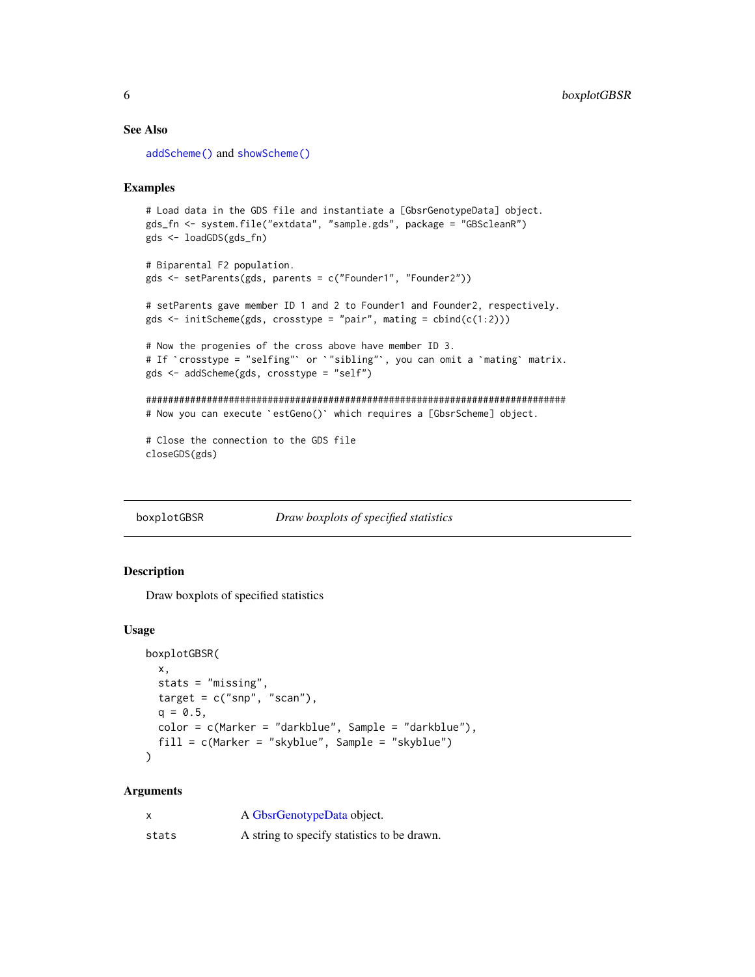#### See Also

[addScheme\(\)](#page-4-1) and [showScheme\(\)](#page-92-1)

# Examples

```
# Load data in the GDS file and instantiate a [GbsrGenotypeData] object.
gds_fn <- system.file("extdata", "sample.gds", package = "GBScleanR")
gds <- loadGDS(gds_fn)
# Biparental F2 population.
```

```
gds <- setParents(gds, parents = c("Founder1", "Founder2"))
```
# setParents gave member ID 1 and 2 to Founder1 and Founder2, respectively. gds  $\le$  initScheme(gds, crosstype = "pair", mating = cbind(c(1:2)))

```
# Now the progenies of the cross above have member ID 3.
# If `crosstype = "selfing"` or `"sibling"`, you can omit a `mating` matrix.
gds <- addScheme(gds, crosstype = "self")
```

```
############################################################################
# Now you can execute `estGeno()` which requires a [GbsrScheme] object.
```

```
# Close the connection to the GDS file
closeGDS(gds)
```
boxplotGBSR *Draw boxplots of specified statistics*

# Description

Draw boxplots of specified statistics

# Usage

```
boxplotGBSR(
 x,
 stats = "missing",
 target = c("snp", "scan"),q = 0.5,
 color = c(Marker = "darkblue", Sample = "darkblue"),
  fill = c(Marker = "skyblue", Sample = "skyblue")
)
```
#### Arguments

|       | A GbsrGenotypeData object.                  |
|-------|---------------------------------------------|
| stats | A string to specify statistics to be drawn. |

<span id="page-5-0"></span>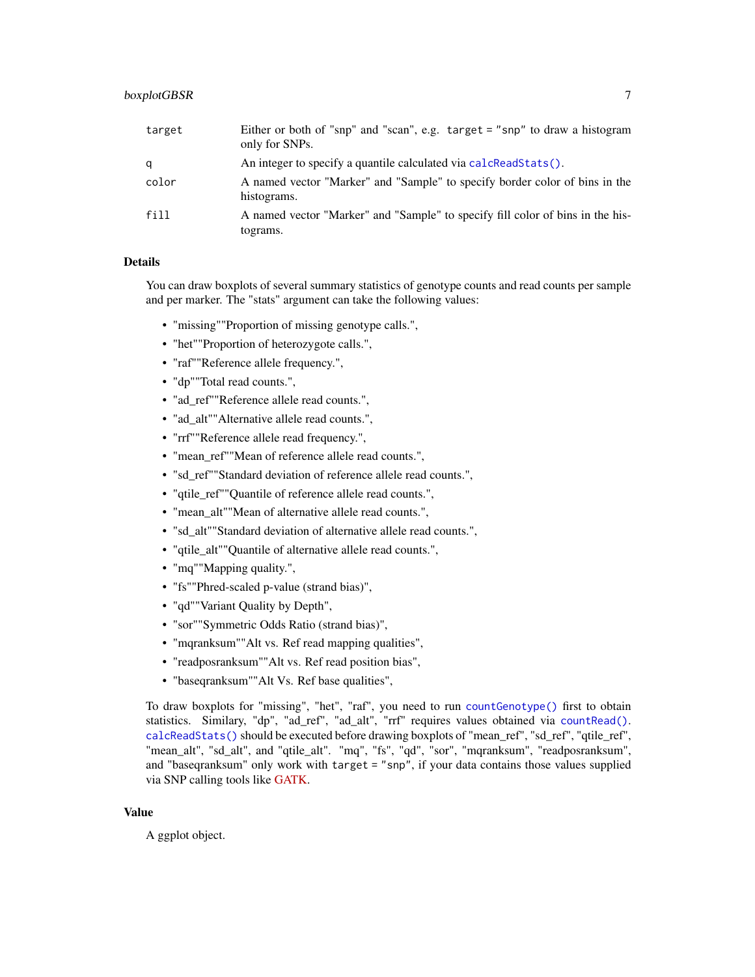| target | Either or both of "snp" and "scan", e.g. $\text{target} = \text{"snp"}$ to draw a histogram<br>only for SNPs. |
|--------|---------------------------------------------------------------------------------------------------------------|
| a      | An integer to specify a quantile calculated via calcReadStats().                                              |
| color  | A named vector "Marker" and "Sample" to specify border color of bins in the<br>histograms.                    |
| fill   | A named vector "Marker" and "Sample" to specify fill color of bins in the his-<br>tograms.                    |

#### Details

You can draw boxplots of several summary statistics of genotype counts and read counts per sample and per marker. The "stats" argument can take the following values:

- "missing""Proportion of missing genotype calls.",
- "het""Proportion of heterozygote calls.",
- "raf""Reference allele frequency.",
- "dp""Total read counts.",
- "ad\_ref""Reference allele read counts.",
- "ad\_alt""Alternative allele read counts.",
- "rrf""Reference allele read frequency.",
- "mean\_ref""Mean of reference allele read counts.",
- "sd\_ref""Standard deviation of reference allele read counts.",
- "qtile\_ref""Quantile of reference allele read counts.",
- "mean\_alt""Mean of alternative allele read counts.",
- "sd\_alt""Standard deviation of alternative allele read counts.",
- "qtile\_alt""Quantile of alternative allele read counts.",
- "mq""Mapping quality.",
- "fs""Phred-scaled p-value (strand bias)",
- "qd""Variant Quality by Depth",
- "sor""Symmetric Odds Ratio (strand bias)",
- "mqranksum""Alt vs. Ref read mapping qualities",
- "readposranksum""Alt vs. Ref read position bias",
- "baseqranksum""Alt Vs. Ref base qualities",

To draw boxplots for "missing", "het", "raf", you need to run [countGenotype\(\)](#page-9-1) first to obtain statistics. Similary, "dp", "ad\_ref", "ad\_alt", "rrf" requires values obtained via [countRead\(\)](#page-11-1). [calcReadStats\(\)](#page-7-1) should be executed before drawing boxplots of "mean\_ref", "sd\_ref", "qtile\_ref", "mean\_alt", "sd\_alt", and "qtile\_alt". "mq", "fs", "qd", "sor", "mqranksum", "readposranksum", and "baseqranksum" only work with target = "snp", if your data contains those values supplied via SNP calling tools like [GATK.](https://gatk.broadinstitute.org/hc/en-us)

#### Value

A ggplot object.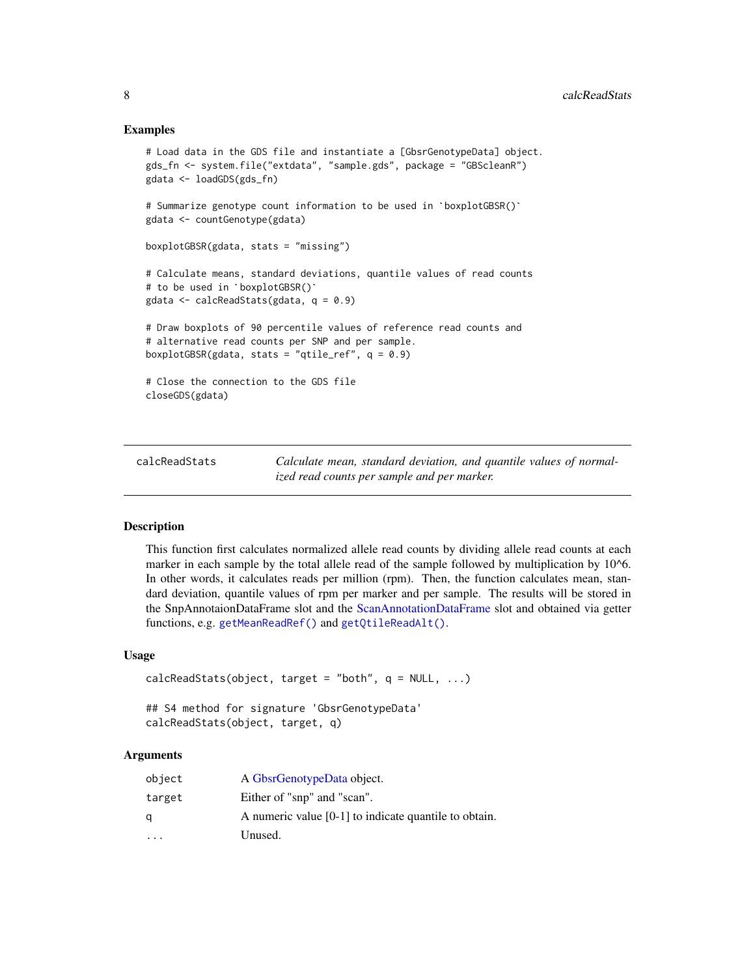#### Examples

```
# Load data in the GDS file and instantiate a [GbsrGenotypeData] object.
gds_fn <- system.file("extdata", "sample.gds", package = "GBScleanR")
gdata <- loadGDS(gds_fn)
# Summarize genotype count information to be used in `boxplotGBSR()`
gdata <- countGenotype(gdata)
boxplotGBSR(gdata, stats = "missing")
# to be used in `boxplotGBSR()`
# Calculate means, standard deviations, quantile values of read counts
gdata <- calcReadStats(gdata, q = 0.9)
# Draw boxplots of 90 percentile values of reference read counts and
# alternative read counts per SNP and per sample.
boxplotGBSR(gdata, stats = "qtile_ref", q = 0.9)
# Close the connection to the GDS file
closeGDS(gdata)
```
<span id="page-7-1"></span>calcReadStats *Calculate mean, standard deviation, and quantile values of normalized read counts per sample and per marker.*

#### **Description**

This function first calculates normalized allele read counts by dividing allele read counts at each marker in each sample by the total allele read of the sample followed by multiplication by 10^6. In other words, it calculates reads per million (rpm). Then, the function calculates mean, standard deviation, quantile values of rpm per marker and per sample. The results will be stored in the SnpAnnotaionDataFrame slot and the [ScanAnnotationDataFrame](#page-0-0) slot and obtained via getter functions, e.g. [getMeanReadRef\(\)](#page-40-1) and [getQtileReadAlt\(\)](#page-44-1).

# Usage

```
calcReadStats(object, target = "both", q = NULL, ...)
## S4 method for signature 'GbsrGenotypeData'
```

```
calcReadStats(object, target, q)
```
# Arguments

| object   | A GbsrGenotypeData object.                              |
|----------|---------------------------------------------------------|
| target   | Either of "snp" and "scan".                             |
| α        | A numeric value $[0-1]$ to indicate quantile to obtain. |
| $\cdots$ | Unused.                                                 |

<span id="page-7-0"></span>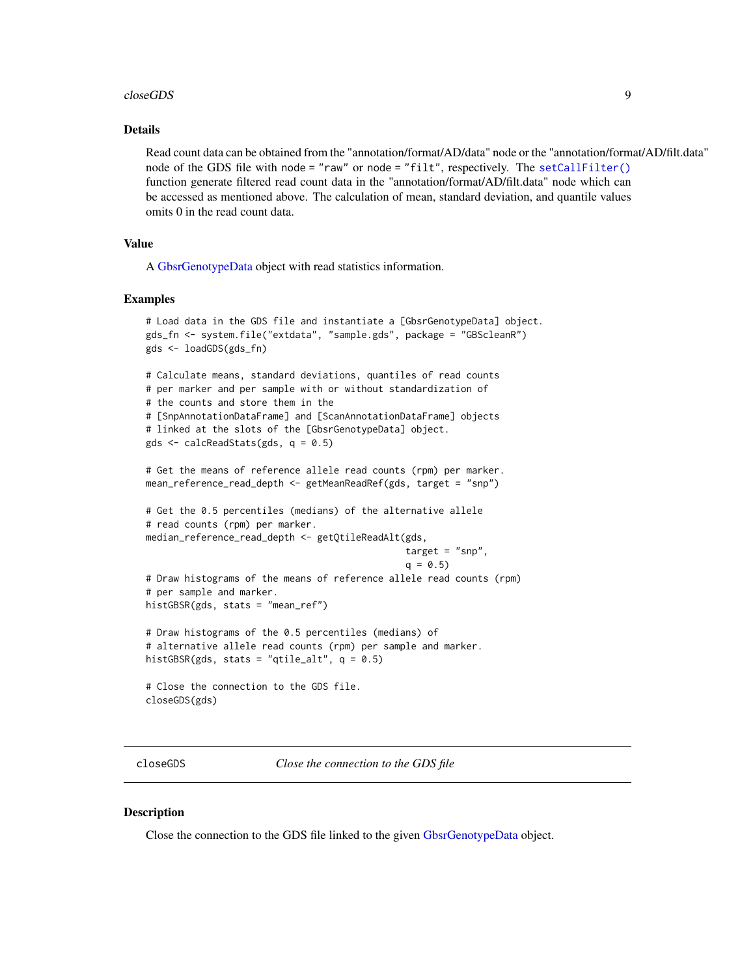#### <span id="page-8-0"></span>closeGDS 9

# Details

Read count data can be obtained from the "annotation/format/AD/data" node or the "annotation/format/AD/filt.data" node of the GDS file with node = "raw" or node = "filt", respectively. The [setCallFilter\(\)](#page-77-1) function generate filtered read count data in the "annotation/format/AD/filt.data" node which can be accessed as mentioned above. The calculation of mean, standard deviation, and quantile values omits 0 in the read count data.

# Value

A [GbsrGenotypeData](#page-16-1) object with read statistics information.

#### Examples

```
# Load data in the GDS file and instantiate a [GbsrGenotypeData] object.
gds_fn <- system.file("extdata", "sample.gds", package = "GBScleanR")
gds <- loadGDS(gds_fn)
# Calculate means, standard deviations, quantiles of read counts
# per marker and per sample with or without standardization of
# the counts and store them in the
# [SnpAnnotationDataFrame] and [ScanAnnotationDataFrame] objects
# linked at the slots of the [GbsrGenotypeData] object.
gds \leq calcReadStats(gds, q = 0.5)
# Get the means of reference allele read counts (rpm) per marker.
mean_reference_read_depth <- getMeanReadRef(gds, target = "snp")
# Get the 0.5 percentiles (medians) of the alternative allele
# read counts (rpm) per marker.
median_reference_read_depth <- getQtileReadAlt(gds,
                                               target = "snp",q = 0.5# Draw histograms of the means of reference allele read counts (rpm)
# per sample and marker.
histGBSR(gds, stats = "mean_ref")
# Draw histograms of the 0.5 percentiles (medians) of
# alternative allele read counts (rpm) per sample and marker.
histGBSR(gds, stats = "qtile_alt", q = 0.5)
# Close the connection to the GDS file.
closeGDS(gds)
```
closeGDS *Close the connection to the GDS file*

#### **Description**

Close the connection to the GDS file linked to the given [GbsrGenotypeData](#page-16-1) object.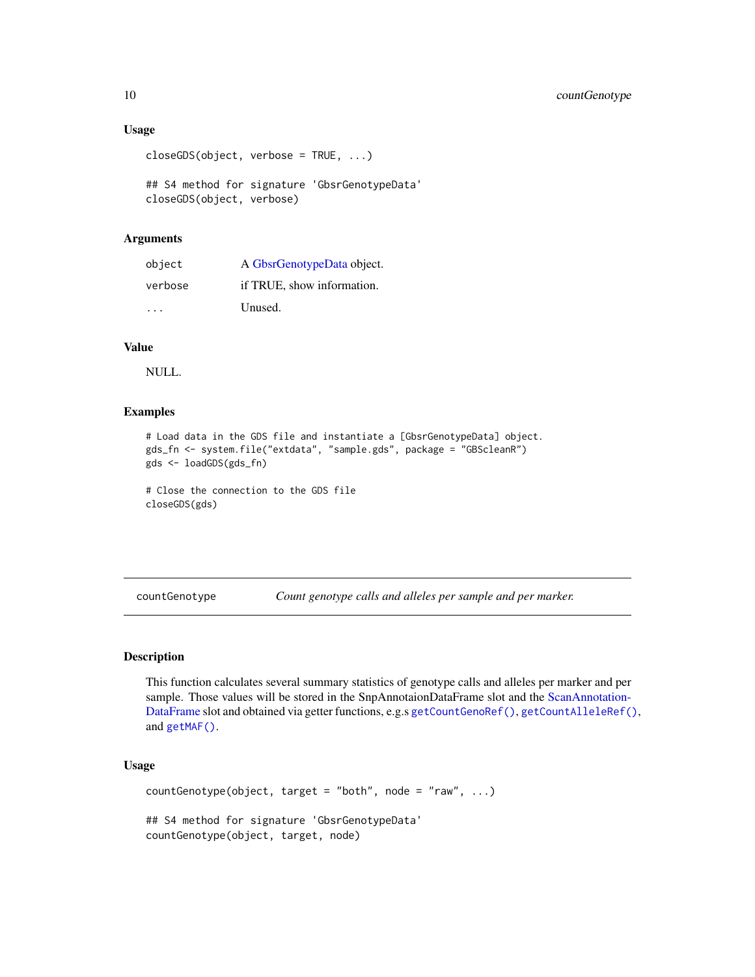#### Usage

```
closeGDS(object, verbose = TRUE, ...)
```
## S4 method for signature 'GbsrGenotypeData' closeGDS(object, verbose)

# Arguments

| object  | A GbsrGenotypeData object. |
|---------|----------------------------|
| verbose | if TRUE, show information. |
| .       | Unused.                    |

# Value

NULL.

# Examples

```
# Load data in the GDS file and instantiate a [GbsrGenotypeData] object.
gds_fn <- system.file("extdata", "sample.gds", package = "GBScleanR")
gds <- loadGDS(gds_fn)
```

```
# Close the connection to the GDS file
closeGDS(gds)
```
<span id="page-9-1"></span>countGenotype *Count genotype calls and alleles per sample and per marker.*

#### Description

This function calculates several summary statistics of genotype calls and alleles per marker and per sample. Those values will be stored in the SnpAnnotaionDataFrame slot and the [ScanAnnotation-](#page-0-0)[DataFrame](#page-0-0) slot and obtained via getter functions, e.g.s [getCountGenoRef\(\)](#page-28-1), [getCountAlleleRef\(\)](#page-24-1), and [getMAF\(\)](#page-38-1).

# Usage

```
countGenotype(object, target = "both", node = "raw", \ldots)
## S4 method for signature 'GbsrGenotypeData'
countGenotype(object, target, node)
```
<span id="page-9-0"></span>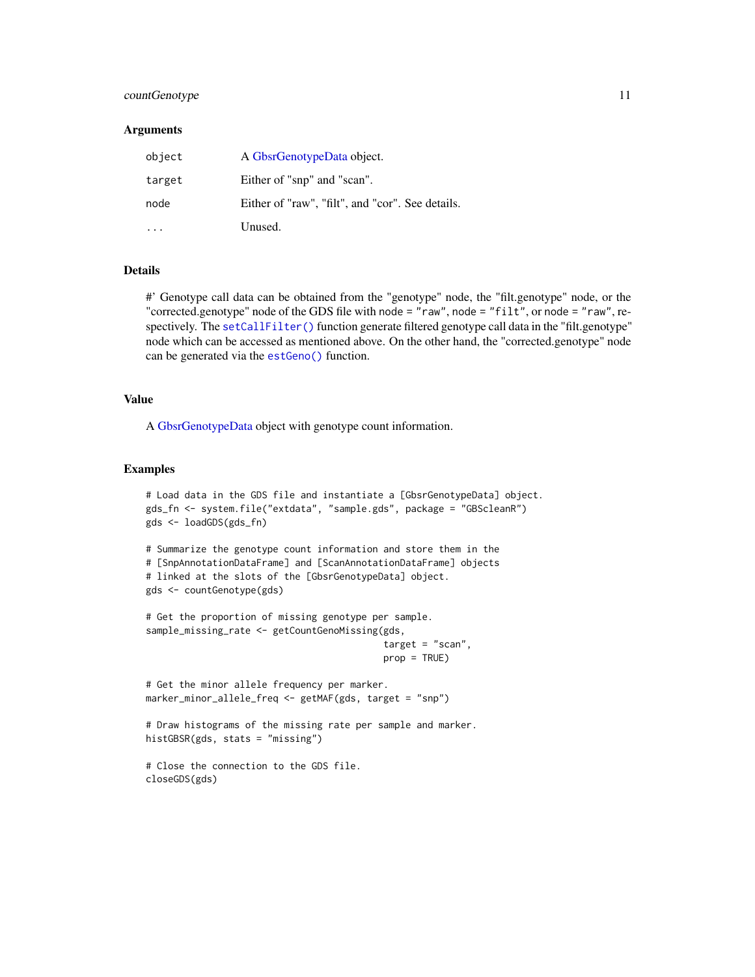# countGenotype 11

#### **Arguments**

| object | A GbsrGenotypeData object.                       |
|--------|--------------------------------------------------|
| target | Either of "snp" and "scan".                      |
| node   | Either of "raw", "filt", and "cor". See details. |
|        | Unused.                                          |

#### Details

#' Genotype call data can be obtained from the "genotype" node, the "filt.genotype" node, or the "corrected.genotype" node of the GDS file with node = "raw", node = "filt", or node = "raw", respectively. The [setCallFilter\(\)](#page-77-1) function generate filtered genotype call data in the "filt.genotype" node which can be accessed as mentioned above. On the other hand, the "corrected.genotype" node can be generated via the [estGeno\(\)](#page-12-1) function.

# Value

A [GbsrGenotypeData](#page-16-1) object with genotype count information.

# Examples

```
# Load data in the GDS file and instantiate a [GbsrGenotypeData] object.
gds_fn <- system.file("extdata", "sample.gds", package = "GBScleanR")
gds <- loadGDS(gds_fn)
```

```
# Summarize the genotype count information and store them in the
# [SnpAnnotationDataFrame] and [ScanAnnotationDataFrame] objects
# linked at the slots of the [GbsrGenotypeData] object.
gds <- countGenotype(gds)
```

```
# Get the proportion of missing genotype per sample.
sample_missing_rate <- getCountGenoMissing(gds,
                                           target = "scan",prop = TRUE)
```

```
# Get the minor allele frequency per marker.
marker_minor_allele_freq <- getMAF(gds, target = "snp")
```

```
# Draw histograms of the missing rate per sample and marker.
histGBSR(gds, stats = "missing")
```

```
# Close the connection to the GDS file.
closeGDS(gds)
```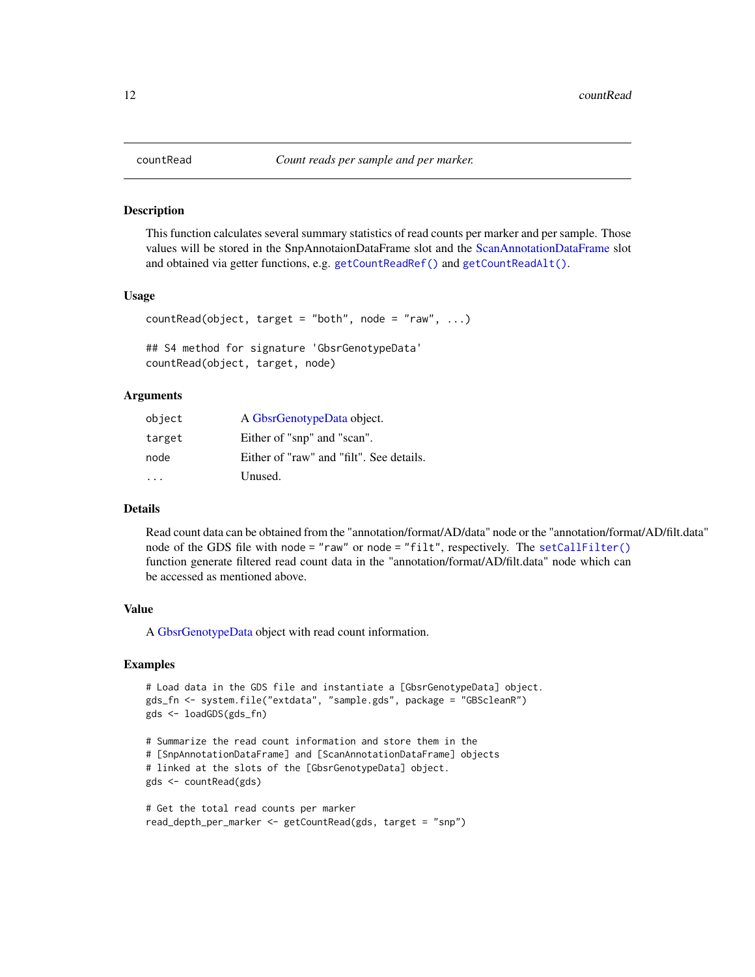#### Description

This function calculates several summary statistics of read counts per marker and per sample. Those values will be stored in the SnpAnnotaionDataFrame slot and the [ScanAnnotationDataFrame](#page-0-0) slot and obtained via getter functions, e.g. [getCountReadRef\(\)](#page-31-1) and [getCountReadAlt\(\)](#page-30-1).

#### Usage

```
countRead(object, target = "both", node = "raw", \ldots)
```

```
## S4 method for signature 'GbsrGenotypeData'
countRead(object, target, node)
```
#### Arguments

| object | A GbsrGenotypeData object.               |
|--------|------------------------------------------|
| target | Either of "snp" and "scan".              |
| node   | Either of "raw" and "filt". See details. |
|        | Unused.                                  |

#### Details

Read count data can be obtained from the "annotation/format/AD/data" node or the "annotation/format/AD/filt.data" node of the GDS file with node = "raw" or node = "filt", respectively. The [setCallFilter\(\)](#page-77-1) function generate filtered read count data in the "annotation/format/AD/filt.data" node which can be accessed as mentioned above.

### Value

A [GbsrGenotypeData](#page-16-1) object with read count information.

#### Examples

```
# Load data in the GDS file and instantiate a [GbsrGenotypeData] object.
gds_fn <- system.file("extdata", "sample.gds", package = "GBScleanR")
gds <- loadGDS(gds_fn)
```

```
# Summarize the read count information and store them in the
# [SnpAnnotationDataFrame] and [ScanAnnotationDataFrame] objects
# linked at the slots of the [GbsrGenotypeData] object.
gds <- countRead(gds)
```

```
# Get the total read counts per marker
read_depth_per_marker <- getCountRead(gds, target = "snp")
```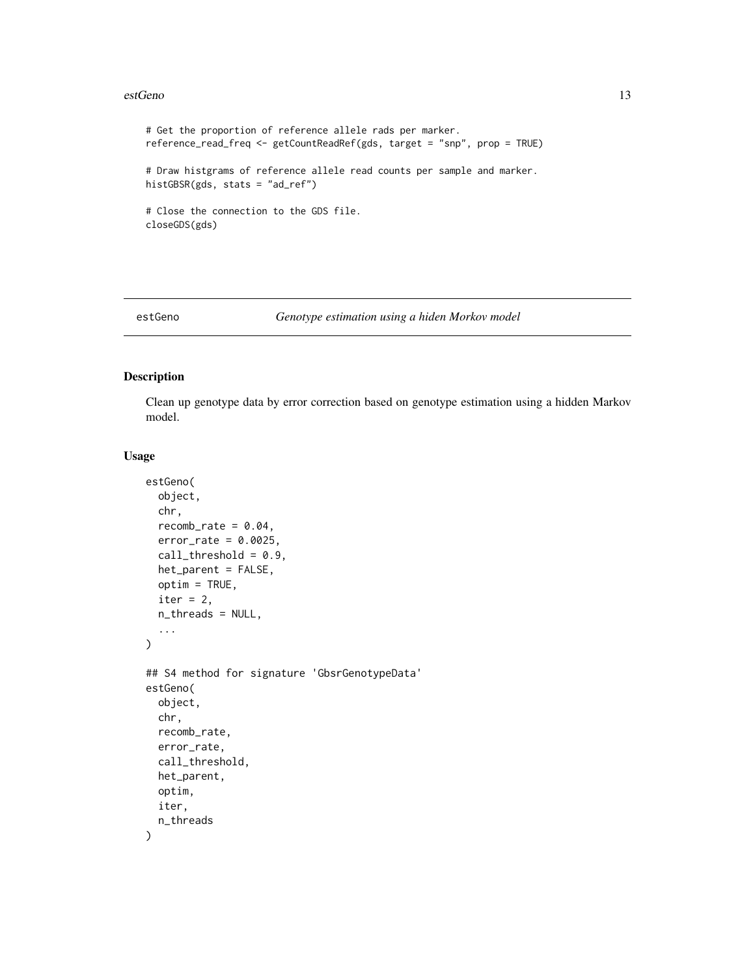#### <span id="page-12-0"></span>estGeno and 13

```
# Get the proportion of reference allele rads per marker.
reference_read_freq <- getCountReadRef(gds, target = "snp", prop = TRUE)
# Draw histgrams of reference allele read counts per sample and marker.
histGBSR(gds, stats = "ad_ref")
# Close the connection to the GDS file.
closeGDS(gds)
```
<span id="page-12-1"></span>

#### estGeno *Genotype estimation using a hiden Morkov model*

# Description

Clean up genotype data by error correction based on genotype estimation using a hidden Markov model.

### Usage

```
estGeno(
  object,
  chr,
  recomb_rate = 0.04,
  error_rate = 0.0025,
  call_threshold = 0.9,het_parent = FALSE,
  optim = TRUE,
  iter = 2,n_threads = NULL,
  ...
\mathcal{L}## S4 method for signature 'GbsrGenotypeData'
estGeno(
  object,
  chr,
  recomb_rate,
  error_rate,
  call_threshold,
  het_parent,
  optim,
  iter,
  n_threads
)
```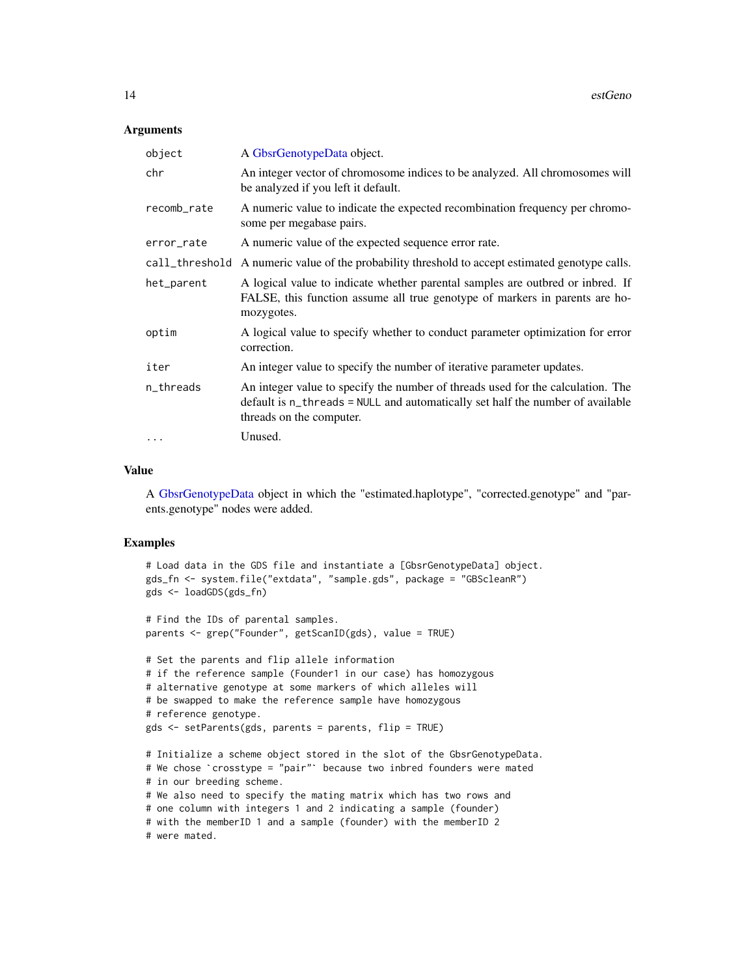#### Arguments

| object         | A GbsrGenotypeData object.                                                                                                                                                                    |
|----------------|-----------------------------------------------------------------------------------------------------------------------------------------------------------------------------------------------|
| chr            | An integer vector of chromosome indices to be analyzed. All chromosomes will<br>be analyzed if you left it default.                                                                           |
| recomb_rate    | A numeric value to indicate the expected recombination frequency per chromo-<br>some per megabase pairs.                                                                                      |
| error_rate     | A numeric value of the expected sequence error rate.                                                                                                                                          |
| call_threshold | A numeric value of the probability threshold to accept estimated genotype calls.                                                                                                              |
| het_parent     | A logical value to indicate whether parental samples are outbred or inbred. If<br>FALSE, this function assume all true genotype of markers in parents are ho-<br>mozygotes.                   |
| optim          | A logical value to specify whether to conduct parameter optimization for error<br>correction.                                                                                                 |
| iter           | An integer value to specify the number of iterative parameter updates.                                                                                                                        |
| n_threads      | An integer value to specify the number of threads used for the calculation. The<br>default is n_threads = NULL and automatically set half the number of available<br>threads on the computer. |
| $\cdots$       | Unused.                                                                                                                                                                                       |

# Value

A [GbsrGenotypeData](#page-16-1) object in which the "estimated.haplotype", "corrected.genotype" and "parents.genotype" nodes were added.

# Examples

```
# Load data in the GDS file and instantiate a [GbsrGenotypeData] object.
gds_fn <- system.file("extdata", "sample.gds", package = "GBScleanR")
gds <- loadGDS(gds_fn)
# Find the IDs of parental samples.
parents <- grep("Founder", getScanID(gds), value = TRUE)
# Set the parents and flip allele information
# if the reference sample (Founder1 in our case) has homozygous
# alternative genotype at some markers of which alleles will
# be swapped to make the reference sample have homozygous
# reference genotype.
gds <- setParents(gds, parents = parents, flip = TRUE)
# Initialize a scheme object stored in the slot of the GbsrGenotypeData.
# We chose `crosstype = "pair"` because two inbred founders were mated
# in our breeding scheme.
# We also need to specify the mating matrix which has two rows and
# one column with integers 1 and 2 indicating a sample (founder)
# with the memberID 1 and a sample (founder) with the memberID 2
# were mated.
```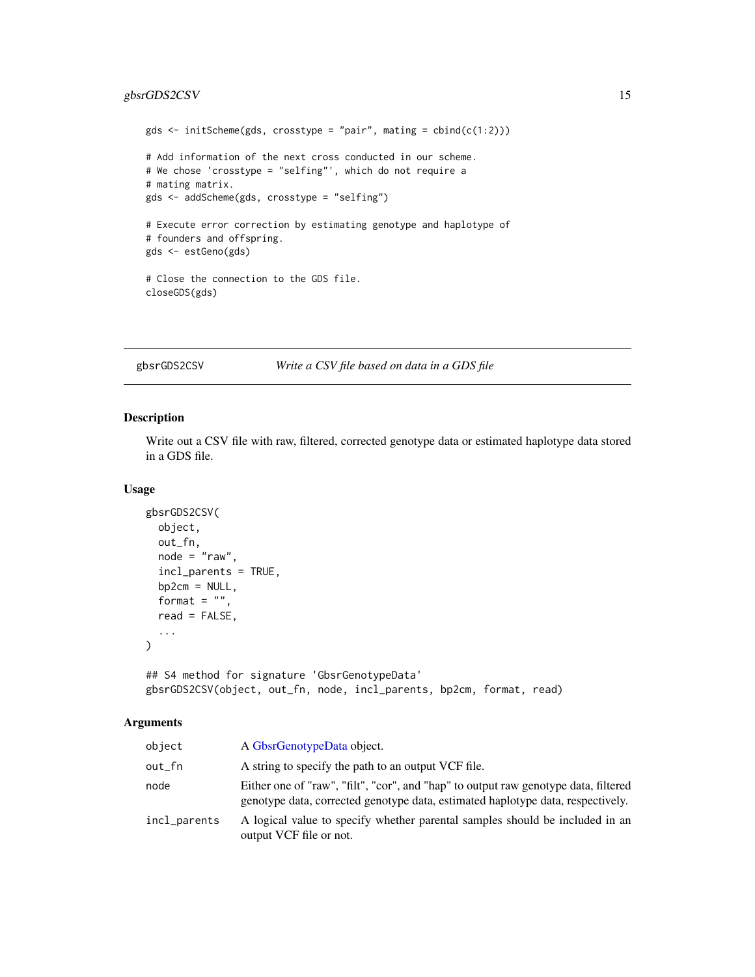# <span id="page-14-0"></span>gbsrGDS2CSV 15

```
gds \le initScheme(gds, crosstype = "pair", mating = cbind(c(1:2)))
# Add information of the next cross conducted in our scheme.
# We chose 'crosstype = "selfing"', which do not require a
# mating matrix.
gds <- addScheme(gds, crosstype = "selfing")
# Execute error correction by estimating genotype and haplotype of
# founders and offspring.
gds <- estGeno(gds)
# Close the connection to the GDS file.
closeGDS(gds)
```
gbsrGDS2CSV *Write a CSV file based on data in a GDS file*

#### Description

Write out a CSV file with raw, filtered, corrected genotype data or estimated haplotype data stored in a GDS file.

# Usage

```
gbsrGDS2CSV(
 object,
 out_fn,
 node = "raw",incl_parents = TRUE,
 bp2cm = NULL,format = ",
  read = FALSE,...
)
```
## S4 method for signature 'GbsrGenotypeData' gbsrGDS2CSV(object, out\_fn, node, incl\_parents, bp2cm, format, read)

# Arguments

| object       | A GbsrGenotypeData object.                                                                                                                                             |
|--------------|------------------------------------------------------------------------------------------------------------------------------------------------------------------------|
| out_fn       | A string to specify the path to an output VCF file.                                                                                                                    |
| node         | Either one of "raw", "filt", "cor", and "hap" to output raw genotype data, filtered<br>genotype data, corrected genotype data, estimated haplotype data, respectively. |
| incl_parents | A logical value to specify whether parental samples should be included in an<br>output VCF file or not.                                                                |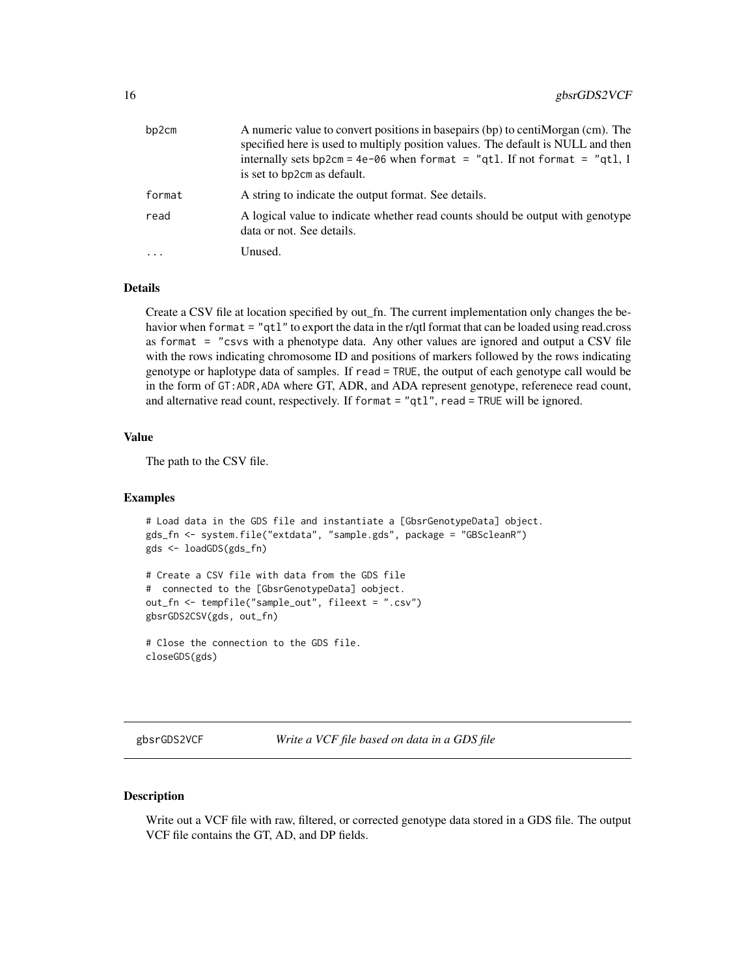<span id="page-15-0"></span>

| bp2cm    | A numeric value to convert positions in basepairs (bp) to centiMorgan (cm). The<br>specified here is used to multiply position values. The default is NULL and then<br>internally sets bp2cm = $4e-06$ when format = "qt1. If not format = "qt1, 1<br>is set to bp2cm as default. |
|----------|-----------------------------------------------------------------------------------------------------------------------------------------------------------------------------------------------------------------------------------------------------------------------------------|
| format   | A string to indicate the output format. See details.                                                                                                                                                                                                                              |
| read     | A logical value to indicate whether read counts should be output with genotype<br>data or not. See details.                                                                                                                                                                       |
| $\ddots$ | Unused.                                                                                                                                                                                                                                                                           |

#### Details

Create a CSV file at location specified by out\_fn. The current implementation only changes the behavior when format = "qt1" to export the data in the r/qtl format that can be loaded using read.cross as format  $=$  "csvs with a phenotype data. Any other values are ignored and output a CSV file with the rows indicating chromosome ID and positions of markers followed by the rows indicating genotype or haplotype data of samples. If read = TRUE, the output of each genotype call would be in the form of GT:ADR,ADA where GT, ADR, and ADA represent genotype, referenece read count, and alternative read count, respectively. If format = "qtl", read = TRUE will be ignored.

#### Value

The path to the CSV file.

#### Examples

```
# Load data in the GDS file and instantiate a [GbsrGenotypeData] object.
gds_fn <- system.file("extdata", "sample.gds", package = "GBScleanR")
gds <- loadGDS(gds_fn)
# Create a CSV file with data from the GDS file
# connected to the [GbsrGenotypeData] oobject.
```

```
out_fn <- tempfile("sample_out", fileext = ".csv")
gbsrGDS2CSV(gds, out_fn)
```

```
# Close the connection to the GDS file.
closeGDS(gds)
```
gbsrGDS2VCF *Write a VCF file based on data in a GDS file*

#### Description

Write out a VCF file with raw, filtered, or corrected genotype data stored in a GDS file. The output VCF file contains the GT, AD, and DP fields.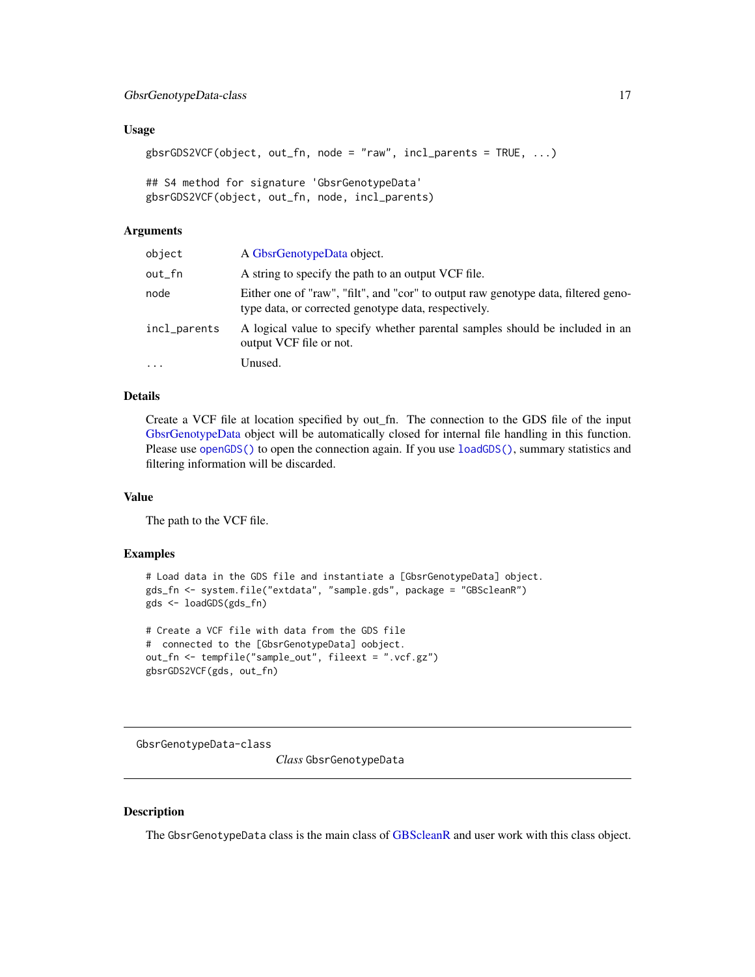#### <span id="page-16-0"></span>Usage

```
gbsrGDS2VCF(object, out_fn, node = "raw", incl_parents = TRUE, ...)
```

```
## S4 method for signature 'GbsrGenotypeData'
gbsrGDS2VCF(object, out_fn, node, incl_parents)
```
#### Arguments

| object       | A GbsrGenotypeData object.                                                                                                                 |
|--------------|--------------------------------------------------------------------------------------------------------------------------------------------|
| out_fn       | A string to specify the path to an output VCF file.                                                                                        |
| node         | Either one of "raw", "filt", and "cor" to output raw genotype data, filtered geno-<br>type data, or corrected genotype data, respectively. |
| incl_parents | A logical value to specify whether parental samples should be included in an<br>output VCF file or not.                                    |
| .            | Unused.                                                                                                                                    |

# Details

Create a VCF file at location specified by out\_fn. The connection to the GDS file of the input [GbsrGenotypeData](#page-16-1) object will be automatically closed for internal file handling in this function. Please use [openGDS\(\)](#page-64-1) to open the connection again. If you use [loadGDS\(\)](#page-59-1), summary statistics and filtering information will be discarded.

#### Value

The path to the VCF file.

#### Examples

```
# Load data in the GDS file and instantiate a [GbsrGenotypeData] object.
gds_fn <- system.file("extdata", "sample.gds", package = "GBScleanR")
gds <- loadGDS(gds_fn)
```

```
# Create a VCF file with data from the GDS file
# connected to the [GbsrGenotypeData] oobject.
out_fn <- tempfile("sample_out", fileext = ".vcf.gz")
gbsrGDS2VCF(gds, out_fn)
```
GbsrGenotypeData-class

*Class* GbsrGenotypeData

# <span id="page-16-1"></span>Description

The GbsrGenotypeData class is the main class of [GBScleanR](#page-0-0) and user work with this class object.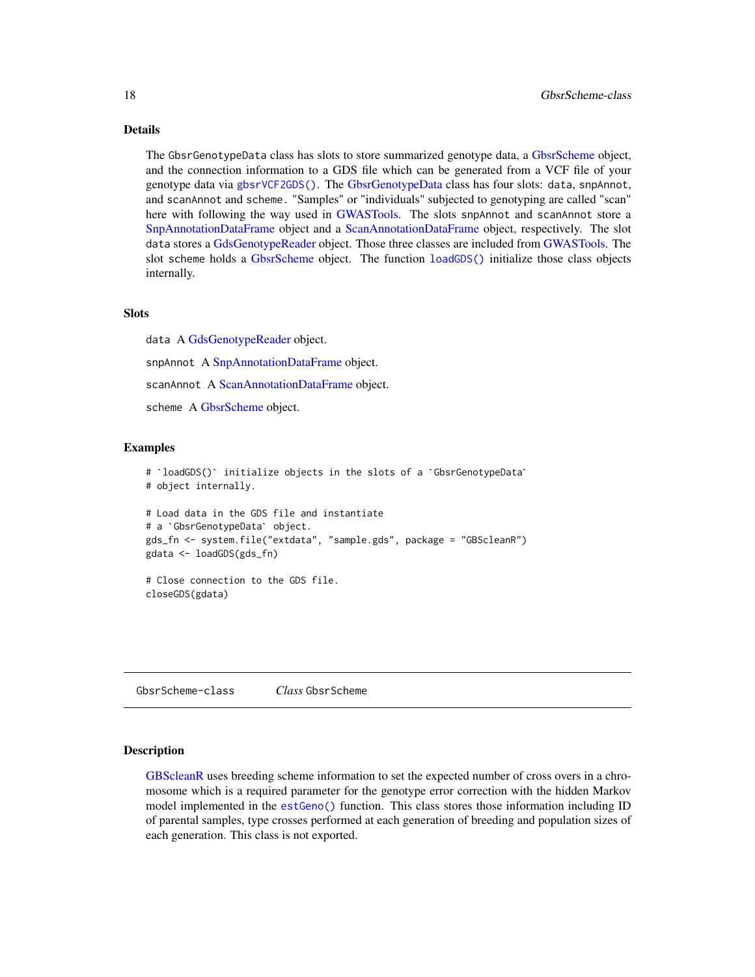#### Details

The GbsrGenotypeData class has slots to store summarized genotype data, a [GbsrScheme](#page-17-1) object, and the connection information to a GDS file which can be generated from a VCF file of your genotype data via [gbsrVCF2GDS\(\)](#page-18-1). The [GbsrGenotypeData](#page-16-1) class has four slots: data, snpAnnot, and scanAnnot and scheme. "Samples" or "individuals" subjected to genotyping are called "scan" here with following the way used in [GWASTools.](#page-0-0) The slots snpAnnot and scanAnnot store a [SnpAnnotationDataFrame](#page-0-0) object and a [ScanAnnotationDataFrame](#page-0-0) object, respectively. The slot data stores a [GdsGenotypeReader](#page-0-0) object. Those three classes are included from [GWASTools.](#page-0-0) The slot scheme holds a [GbsrScheme](#page-17-1) object. The function [loadGDS\(\)](#page-59-1) initialize those class objects internally.

#### Slots

data A [GdsGenotypeReader](#page-0-0) object. snpAnnot A [SnpAnnotationDataFrame](#page-0-0) object. scanAnnot A [ScanAnnotationDataFrame](#page-0-0) object. scheme A [GbsrScheme](#page-17-1) object.

### Examples

```
# `loadGDS()` initialize objects in the slots of a `GbsrGenotypeData`
# object internally.
# Load data in the GDS file and instantiate
# object internally.<br># Load data in the GDS file an<br># a `GbsrGenotypeData` object.
gds_fn <- system.file("extdata", "sample.gds", package = "GBScleanR")
gdata <- loadGDS(gds_fn)
# Close connection to the GDS file.
closeGDS(gdata)
```
GbsrScheme-class *Class* GbsrScheme

#### <span id="page-17-1"></span>Description

[GBScleanR](#page-0-0) uses breeding scheme information to set the expected number of cross overs in a chromosome which is a required parameter for the genotype error correction with the hidden Markov model implemented in the [estGeno\(\)](#page-12-1) function. This class stores those information including ID of parental samples, type crosses performed at each generation of breeding and population sizes of each generation. This class is not exported.

<span id="page-17-0"></span>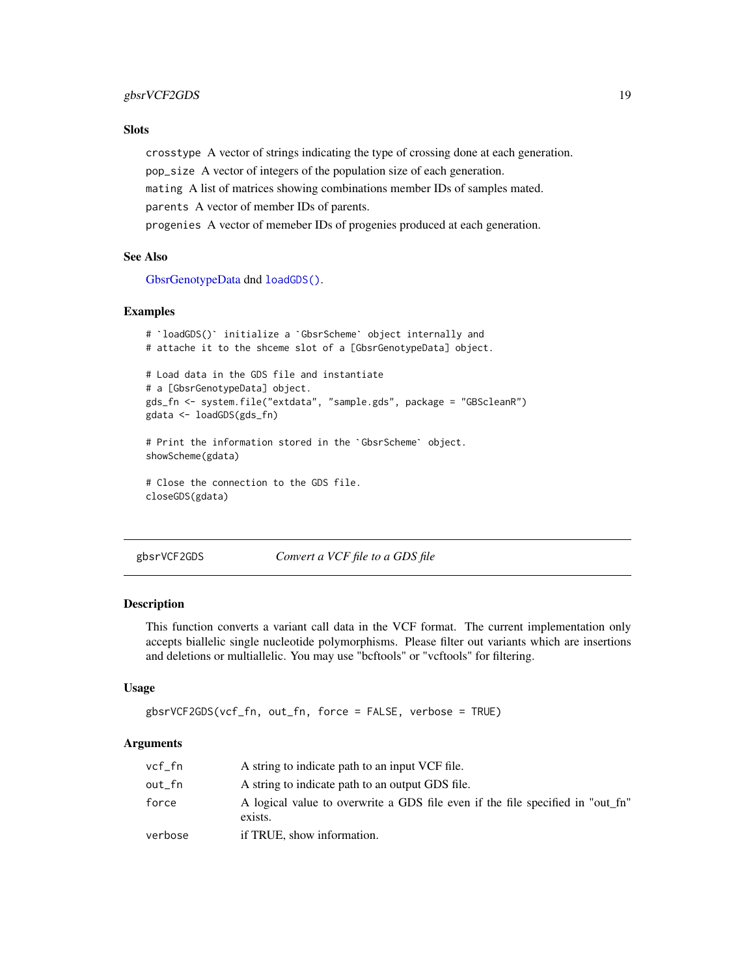# <span id="page-18-0"></span>**Slots**

crosstype A vector of strings indicating the type of crossing done at each generation.

pop\_size A vector of integers of the population size of each generation.

mating A list of matrices showing combinations member IDs of samples mated.

parents A vector of member IDs of parents.

progenies A vector of memeber IDs of progenies produced at each generation.

# See Also

[GbsrGenotypeData](#page-16-1) dnd [loadGDS\(\)](#page-59-1).

## Examples

```
# `loadGDS()` initialize a `GbsrScheme` object internally and
# attache it to the shceme slot of a [GbsrGenotypeData] object.
# Load data in the GDS file and instantiate
# a [GbsrGenotypeData] object.
gds_fn <- system.file("extdata", "sample.gds", package = "GBScleanR")
# Print the information stored in the `GbsrScheme` object.
gdata <- loadGDS(gds_fn)
showScheme(gdata)
# Close the connection to the GDS file.
closeGDS(gdata)
```
<span id="page-18-1"></span>gbsrVCF2GDS *Convert a VCF file to a GDS file*

# **Description**

This function converts a variant call data in the VCF format. The current implementation only accepts biallelic single nucleotide polymorphisms. Please filter out variants which are insertions and deletions or multiallelic. You may use "bcftools" or "vcftools" for filtering.

#### Usage

```
gbsrVCF2GDS(vcf_fn, out_fn, force = FALSE, verbose = TRUE)
```
#### Arguments

| vcf_fn  | A string to indicate path to an input VCF file.                                           |
|---------|-------------------------------------------------------------------------------------------|
| out_fn  | A string to indicate path to an output GDS file.                                          |
| force   | A logical value to overwrite a GDS file even if the file specified in "out fn"<br>exists. |
| verbose | if TRUE, show information.                                                                |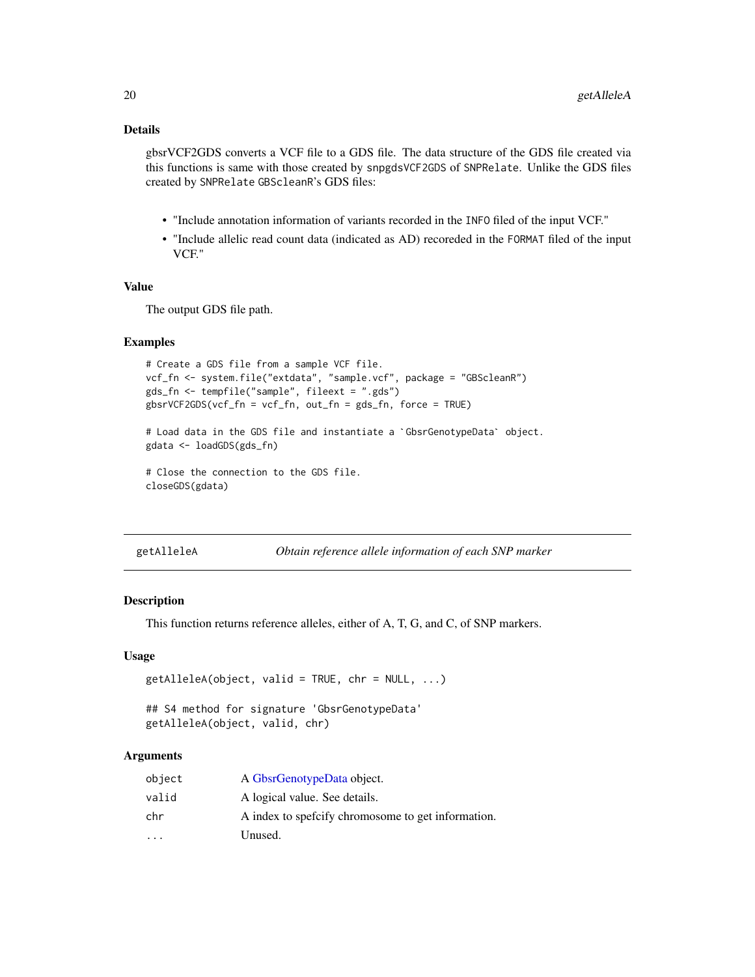# <span id="page-19-0"></span>Details

gbsrVCF2GDS converts a VCF file to a GDS file. The data structure of the GDS file created via this functions is same with those created by snpgdsVCF2GDS of SNPRelate. Unlike the GDS files created by SNPRelate GBScleanR's GDS files:

- "Include annotation information of variants recorded in the INFO filed of the input VCF."
- "Include allelic read count data (indicated as AD) recoreded in the FORMAT filed of the input VCF."

### Value

The output GDS file path.

#### Examples

```
# Create a GDS file from a sample VCF file.
vcf_fn <- system.file("extdata", "sample.vcf", package = "GBScleanR")
gds_fn <- tempfile("sample", fileext = ".gds")
gbsrVCF2GDS(vcf_fn = vcf_fn, out_fn = gds_fn, force = TRUE)
gds_fn <- tempfile("sample", fileext = ".gds")<br>gbsrVCF2GDS(vcf_fn = vcf_fn, out_fn = gds_fn, force = TRUE)<br># Load data in the GDS file and instantiate a `GbsrGenotypeData` object.
gdata <- loadGDS(gds_fn)
# Close the connection to the GDS file.
closeGDS(gdata)
```
getAlleleA *Obtain reference allele information of each SNP marker*

# Description

This function returns reference alleles, either of A, T, G, and C, of SNP markers.

#### Usage

```
getAlleleA(object, valid = TRUE, chr = NULL, ...)## S4 method for signature 'GbsrGenotypeData'
```

```
getAlleleA(object, valid, chr)
```
# Arguments

| object                  | A GbsrGenotypeData object.                          |
|-------------------------|-----------------------------------------------------|
| valid                   | A logical value. See details.                       |
| chr                     | A index to speficify chromosome to get information. |
| $\cdot$ $\cdot$ $\cdot$ | Unused.                                             |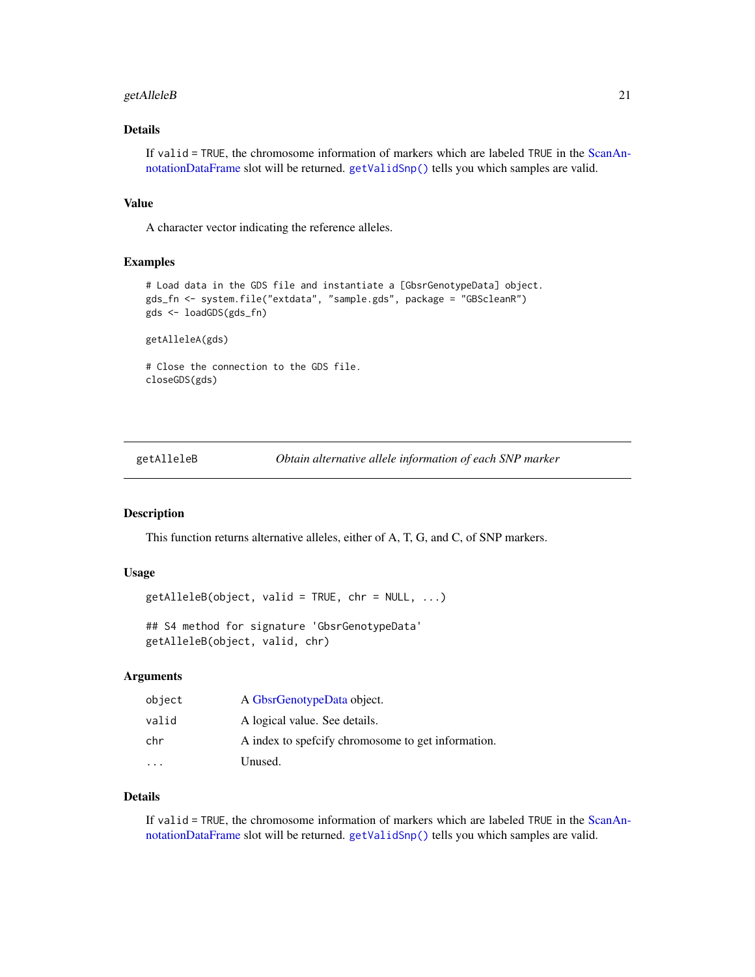# <span id="page-20-0"></span>getAlleleB 21

# Details

If valid = TRUE, the chromosome information of markers which are labeled TRUE in the [ScanAn](#page-0-0)[notationDataFrame](#page-0-0) slot will be returned. [getValidSnp\(\)](#page-52-1) tells you which samples are valid.

### Value

A character vector indicating the reference alleles.

#### Examples

```
# Load data in the GDS file and instantiate a [GbsrGenotypeData] object.
gds_fn <- system.file("extdata", "sample.gds", package = "GBScleanR")
gds <- loadGDS(gds_fn)
```
getAlleleA(gds)

# Close the connection to the GDS file. closeGDS(gds)

getAlleleB *Obtain alternative allele information of each SNP marker*

#### Description

This function returns alternative alleles, either of A, T, G, and C, of SNP markers.

#### Usage

 $getAlleleB(object, valid = TRUE, chr = NULL, ...)$ 

## S4 method for signature 'GbsrGenotypeData' getAlleleB(object, valid, chr)

#### Arguments

| object | A GbsrGenotypeData object.                          |
|--------|-----------------------------------------------------|
| valid  | A logical value. See details.                       |
| chr    | A index to spefictly chromosome to get information. |
|        | Unused.                                             |

# Details

If valid = TRUE, the chromosome information of markers which are labeled TRUE in the [ScanAn](#page-0-0)[notationDataFrame](#page-0-0) slot will be returned. [getValidSnp\(\)](#page-52-1) tells you which samples are valid.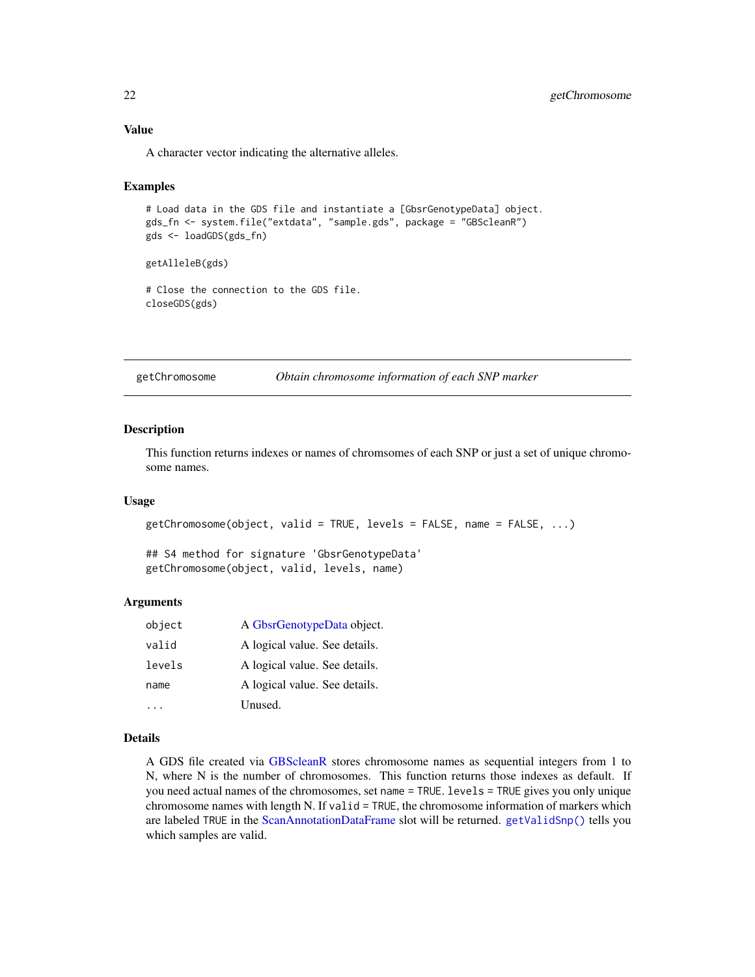A character vector indicating the alternative alleles.

#### Examples

```
# Load data in the GDS file and instantiate a [GbsrGenotypeData] object.
gds_fn <- system.file("extdata", "sample.gds", package = "GBScleanR")
gds <- loadGDS(gds_fn)
```
getAlleleB(gds)

# Close the connection to the GDS file. closeGDS(gds)

getChromosome *Obtain chromosome information of each SNP marker*

#### **Description**

This function returns indexes or names of chromsomes of each SNP or just a set of unique chromosome names.

#### Usage

```
getChromosome(object, valid = TRUE, levels = FALSE, name = FALSE, ...)
```
## S4 method for signature 'GbsrGenotypeData' getChromosome(object, valid, levels, name)

#### Arguments

| object | A GbsrGenotypeData object.    |
|--------|-------------------------------|
| valid  | A logical value. See details. |
| levels | A logical value. See details. |
| name   | A logical value. See details. |
|        | Unused.                       |

#### Details

A GDS file created via [GBScleanR](#page-0-0) stores chromosome names as sequential integers from 1 to N, where N is the number of chromosomes. This function returns those indexes as default. If you need actual names of the chromosomes, set name = TRUE. levels = TRUE gives you only unique chromosome names with length N. If valid = TRUE, the chromosome information of markers which are labeled TRUE in the [ScanAnnotationDataFrame](#page-0-0) slot will be returned. [getValidSnp\(\)](#page-52-1) tells you which samples are valid.

<span id="page-21-0"></span>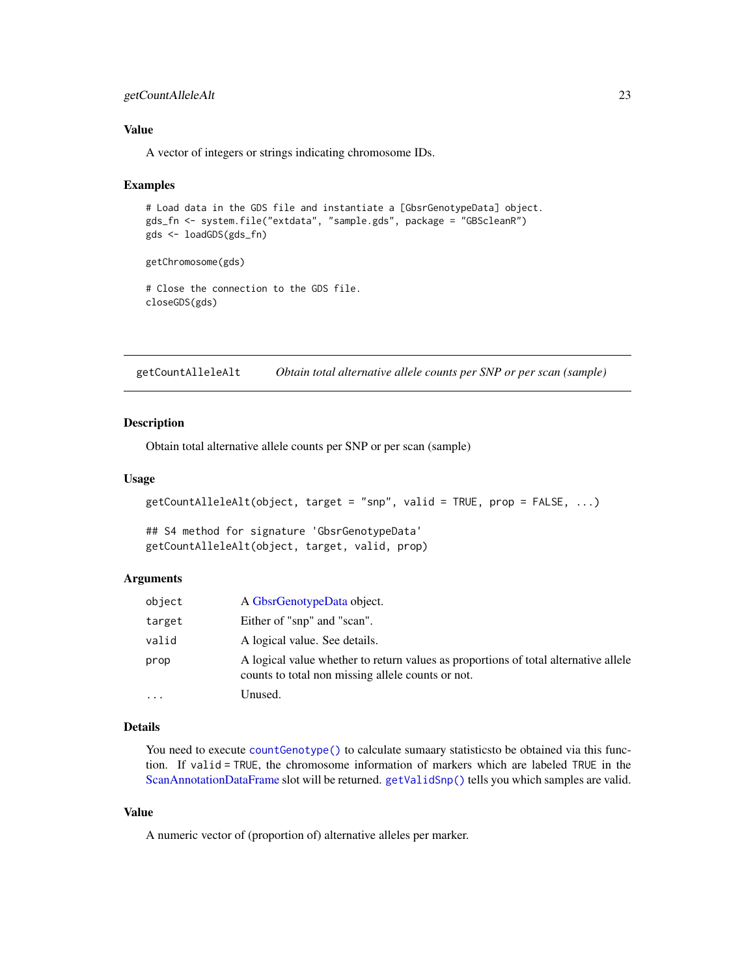# <span id="page-22-0"></span>getCountAlleleAlt 23

# Value

A vector of integers or strings indicating chromosome IDs.

#### Examples

```
# Load data in the GDS file and instantiate a [GbsrGenotypeData] object.
gds_fn <- system.file("extdata", "sample.gds", package = "GBScleanR")
gds <- loadGDS(gds_fn)
```
getChromosome(gds)

# Close the connection to the GDS file. closeGDS(gds)

getCountAlleleAlt *Obtain total alternative allele counts per SNP or per scan (sample)*

#### Description

Obtain total alternative allele counts per SNP or per scan (sample)

#### Usage

```
getCountAlleleAlt(object, target = "snp", valid = TRUE, prop = FALSE, ...)
```
## S4 method for signature 'GbsrGenotypeData' getCountAlleleAlt(object, target, valid, prop)

#### Arguments

| object  | A GbsrGenotypeData object.                                                                                                               |
|---------|------------------------------------------------------------------------------------------------------------------------------------------|
| target  | Either of "snp" and "scan".                                                                                                              |
| valid   | A logical value. See details.                                                                                                            |
| prop    | A logical value whether to return values as proportions of total alternative allele<br>counts to total non missing allele counts or not. |
| $\cdot$ | Unused.                                                                                                                                  |

#### Details

You need to execute [countGenotype\(\)](#page-9-1) to calculate sumaary statisticsto be obtained via this function. If valid = TRUE, the chromosome information of markers which are labeled TRUE in the [ScanAnnotationDataFrame](#page-0-0) slot will be returned. [getValidSnp\(\)](#page-52-1) tells you which samples are valid.

#### Value

A numeric vector of (proportion of) alternative alleles per marker.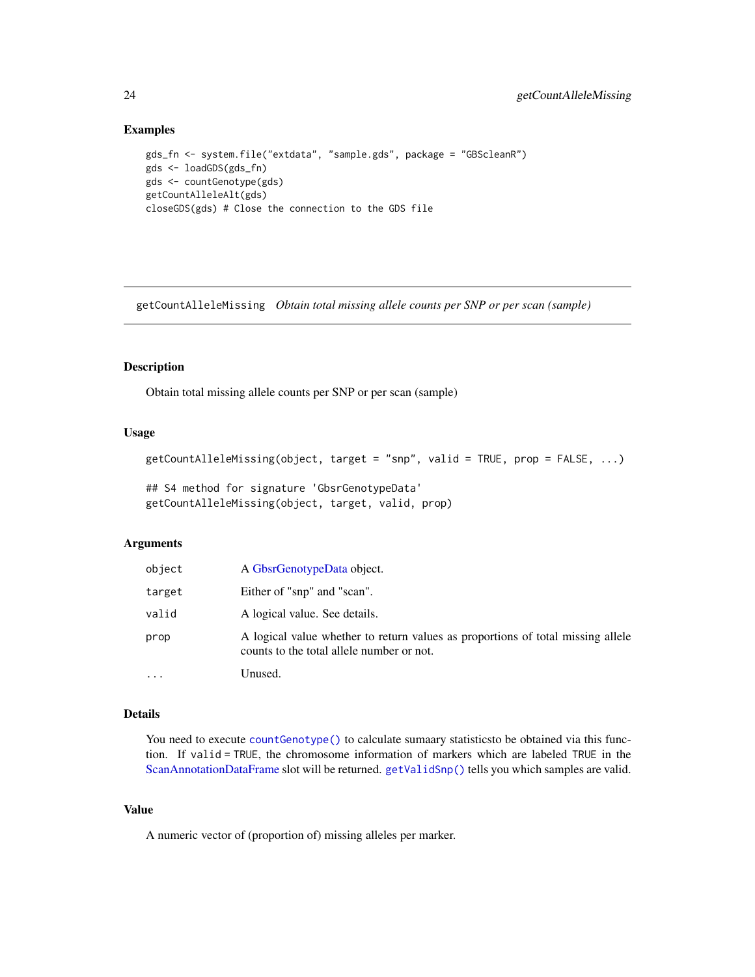# Examples

```
gds_fn <- system.file("extdata", "sample.gds", package = "GBScleanR")
gds <- loadGDS(gds_fn)
gds <- countGenotype(gds)
getCountAlleleAlt(gds)
closeGDS(gds) # Close the connection to the GDS file
```
getCountAlleleMissing *Obtain total missing allele counts per SNP or per scan (sample)*

#### Description

Obtain total missing allele counts per SNP or per scan (sample)

### Usage

```
getCountAlleleMissing(object, target = "snp", valid = TRUE, prop = FALSE, ...)
```

```
## S4 method for signature 'GbsrGenotypeData'
getCountAlleleMissing(object, target, valid, prop)
```
#### Arguments

| object | A GbsrGenotypeData object.                                                                                                   |
|--------|------------------------------------------------------------------------------------------------------------------------------|
| target | Either of "snp" and "scan".                                                                                                  |
| valid  | A logical value. See details.                                                                                                |
| prop   | A logical value whether to return values as proportions of total missing allele<br>counts to the total allele number or not. |
| .      | Unused.                                                                                                                      |

# Details

You need to execute [countGenotype\(\)](#page-9-1) to calculate sumaary statistics to be obtained via this function. If valid = TRUE, the chromosome information of markers which are labeled TRUE in the [ScanAnnotationDataFrame](#page-0-0) slot will be returned. [getValidSnp\(\)](#page-52-1) tells you which samples are valid.

# Value

A numeric vector of (proportion of) missing alleles per marker.

<span id="page-23-0"></span>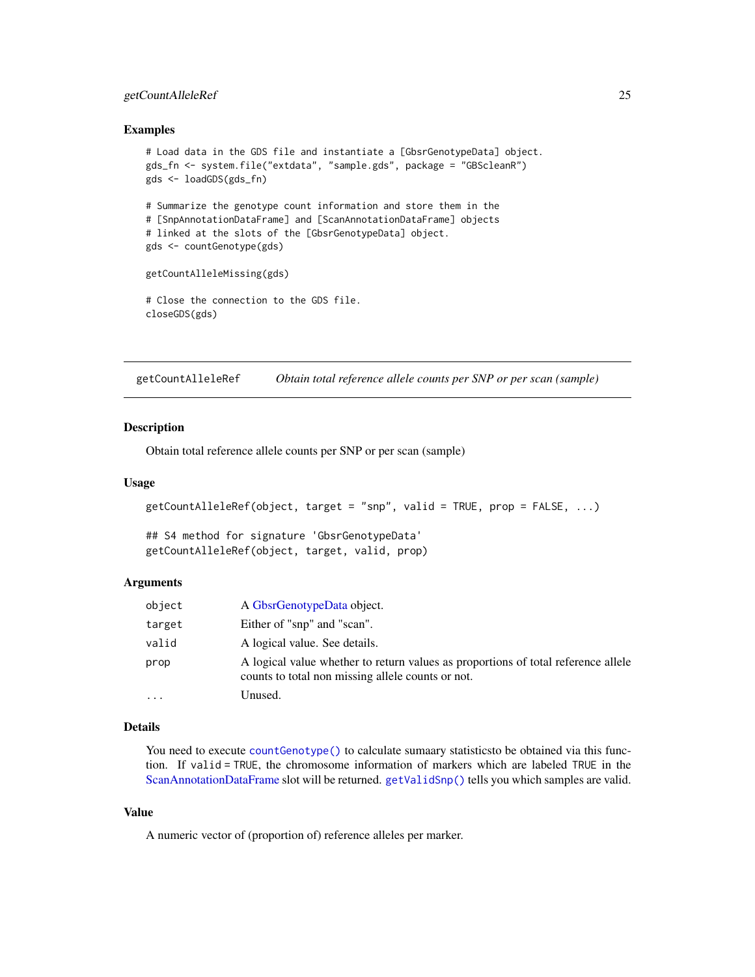# <span id="page-24-0"></span>getCountAlleleRef 25

#### Examples

```
# Load data in the GDS file and instantiate a [GbsrGenotypeData] object.
gds_fn <- system.file("extdata", "sample.gds", package = "GBScleanR")
gds <- loadGDS(gds_fn)
# Summarize the genotype count information and store them in the
# [SnpAnnotationDataFrame] and [ScanAnnotationDataFrame] objects
# linked at the slots of the [GbsrGenotypeData] object.
gds <- countGenotype(gds)
getCountAlleleMissing(gds)
# Close the connection to the GDS file.
closeGDS(gds)
```
<span id="page-24-1"></span>getCountAlleleRef *Obtain total reference allele counts per SNP or per scan (sample)*

# **Description**

Obtain total reference allele counts per SNP or per scan (sample)

#### Usage

```
getCountAlleleRef(object, target = "snp", valid = TRUE, prop = FALSE, ...)
```
## S4 method for signature 'GbsrGenotypeData' getCountAlleleRef(object, target, valid, prop)

#### Arguments

| object   | A GbsrGenotypeData object.                                                                                                             |
|----------|----------------------------------------------------------------------------------------------------------------------------------------|
| target   | Either of "snp" and "scan".                                                                                                            |
| valid    | A logical value. See details.                                                                                                          |
| prop     | A logical value whether to return values as proportions of total reference allele<br>counts to total non missing allele counts or not. |
| $\cdots$ | Unused.                                                                                                                                |

#### Details

You need to execute [countGenotype\(\)](#page-9-1) to calculate sumaary statistics to be obtained via this function. If valid = TRUE, the chromosome information of markers which are labeled TRUE in the [ScanAnnotationDataFrame](#page-0-0) slot will be returned. [getValidSnp\(\)](#page-52-1) tells you which samples are valid.

#### Value

A numeric vector of (proportion of) reference alleles per marker.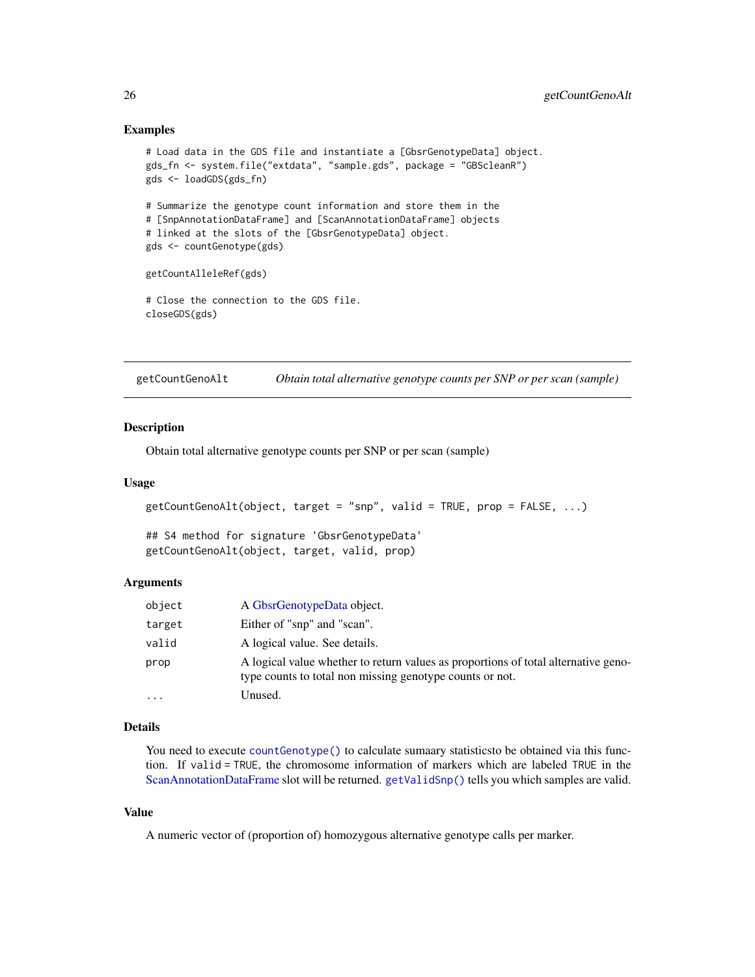#### Examples

```
# Load data in the GDS file and instantiate a [GbsrGenotypeData] object.
gds_fn <- system.file("extdata", "sample.gds", package = "GBScleanR")
gds <- loadGDS(gds_fn)
# Summarize the genotype count information and store them in the
# [SnpAnnotationDataFrame] and [ScanAnnotationDataFrame] objects
# linked at the slots of the [GbsrGenotypeData] object.
gds <- countGenotype(gds)
getCountAlleleRef(gds)
# Close the connection to the GDS file.
closeGDS(gds)
```
getCountGenoAlt *Obtain total alternative genotype counts per SNP or per scan (sample)*

# **Description**

Obtain total alternative genotype counts per SNP or per scan (sample)

#### Usage

```
getCountGenoAlt(object, target = "snp", valid = TRUE, prop = FALSE, ...)
```
## S4 method for signature 'GbsrGenotypeData' getCountGenoAlt(object, target, valid, prop)

#### Arguments

| object   | A GbsrGenotypeData object.                                                                                                                     |
|----------|------------------------------------------------------------------------------------------------------------------------------------------------|
| target   | Either of "snp" and "scan".                                                                                                                    |
| valid    | A logical value. See details.                                                                                                                  |
| prop     | A logical value whether to return values as proportions of total alternative geno-<br>type counts to total non missing genotype counts or not. |
| $\cdots$ | Unused.                                                                                                                                        |

#### Details

You need to execute [countGenotype\(\)](#page-9-1) to calculate sumaary statistics to be obtained via this function. If valid = TRUE, the chromosome information of markers which are labeled TRUE in the [ScanAnnotationDataFrame](#page-0-0) slot will be returned. [getValidSnp\(\)](#page-52-1) tells you which samples are valid.

#### Value

A numeric vector of (proportion of) homozygous alternative genotype calls per marker.

<span id="page-25-0"></span>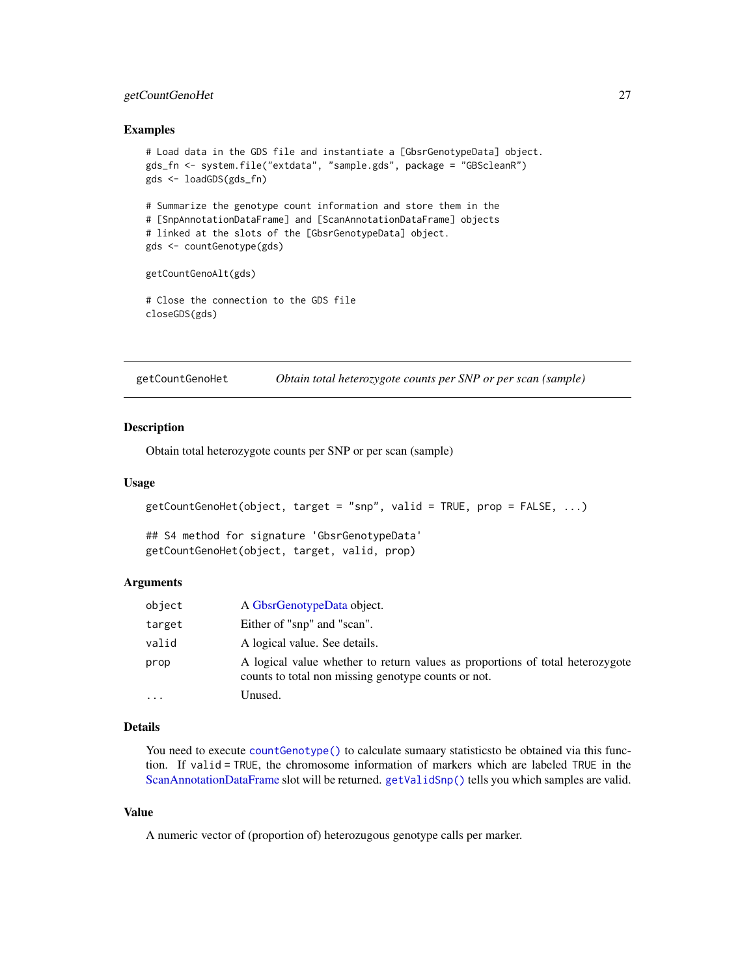# <span id="page-26-0"></span>getCountGenoHet 27

#### Examples

```
# Load data in the GDS file and instantiate a [GbsrGenotypeData] object.
gds_fn <- system.file("extdata", "sample.gds", package = "GBScleanR")
gds <- loadGDS(gds_fn)
# Summarize the genotype count information and store them in the
# [SnpAnnotationDataFrame] and [ScanAnnotationDataFrame] objects
# linked at the slots of the [GbsrGenotypeData] object.
gds <- countGenotype(gds)
getCountGenoAlt(gds)
# Close the connection to the GDS file
closeGDS(gds)
```
getCountGenoHet *Obtain total heterozygote counts per SNP or per scan (sample)*

# Description

Obtain total heterozygote counts per SNP or per scan (sample)

#### Usage

```
getCountGenoHet(object, target = "snp", valid = TRUE, prop = FALSE, ...)
```
## S4 method for signature 'GbsrGenotypeData' getCountGenoHet(object, target, valid, prop)

#### Arguments

| object   | A GbsrGenotypeData object.                                                                                                           |
|----------|--------------------------------------------------------------------------------------------------------------------------------------|
| target   | Either of "snp" and "scan".                                                                                                          |
| valid    | A logical value. See details.                                                                                                        |
| prop     | A logical value whether to return values as proportions of total heterozygote<br>counts to total non missing genotype counts or not. |
| $\cdots$ | Unused.                                                                                                                              |

#### Details

You need to execute [countGenotype\(\)](#page-9-1) to calculate sumaary statistics to be obtained via this function. If valid = TRUE, the chromosome information of markers which are labeled TRUE in the [ScanAnnotationDataFrame](#page-0-0) slot will be returned. [getValidSnp\(\)](#page-52-1) tells you which samples are valid.

# Value

A numeric vector of (proportion of) heterozugous genotype calls per marker.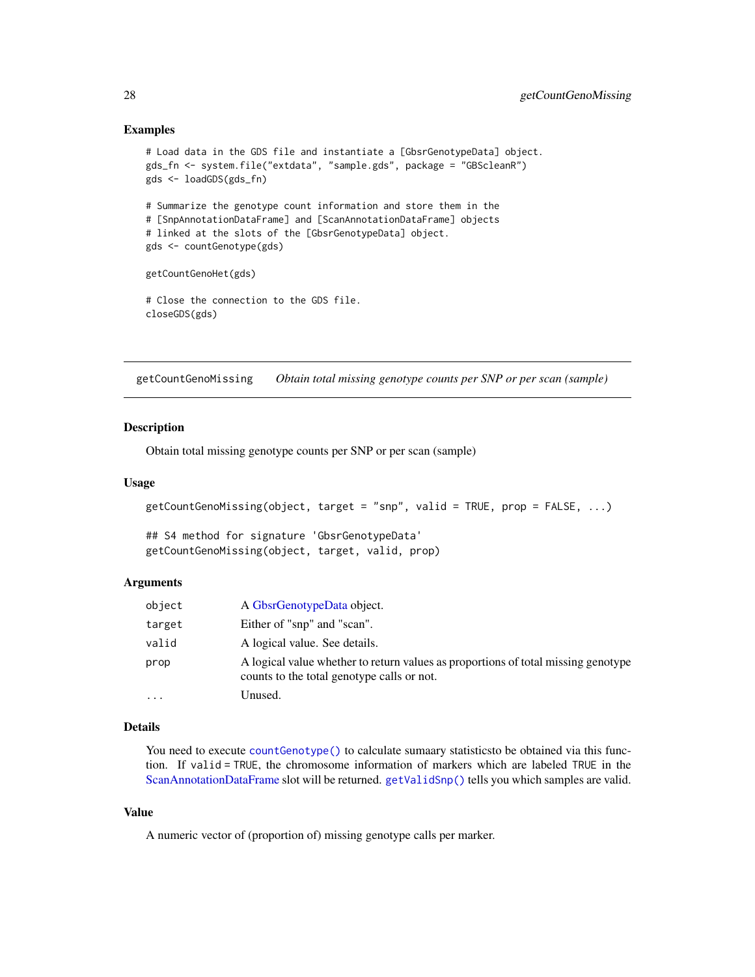## Examples

```
# Load data in the GDS file and instantiate a [GbsrGenotypeData] object.
gds_fn <- system.file("extdata", "sample.gds", package = "GBScleanR")
gds <- loadGDS(gds_fn)
# Summarize the genotype count information and store them in the
# [SnpAnnotationDataFrame] and [ScanAnnotationDataFrame] objects
# linked at the slots of the [GbsrGenotypeData] object.
gds <- countGenotype(gds)
getCountGenoHet(gds)
# Close the connection to the GDS file.
closeGDS(gds)
```
getCountGenoMissing *Obtain total missing genotype counts per SNP or per scan (sample)*

# **Description**

Obtain total missing genotype counts per SNP or per scan (sample)

#### Usage

```
getCountGenoMissing(object, target = "snp", valid = TRUE, prop = FALSE, ...)
```
## S4 method for signature 'GbsrGenotypeData' getCountGenoMissing(object, target, valid, prop)

#### Arguments

| object    | A GbsrGenotypeData object.                                                                                                      |
|-----------|---------------------------------------------------------------------------------------------------------------------------------|
| target    | Either of "snp" and "scan".                                                                                                     |
| valid     | A logical value. See details.                                                                                                   |
| prop      | A logical value whether to return values as proportions of total missing genotype<br>counts to the total genotype calls or not. |
| $\ddotsc$ | Unused.                                                                                                                         |

# Details

You need to execute [countGenotype\(\)](#page-9-1) to calculate sumaary statistics to be obtained via this function. If valid = TRUE, the chromosome information of markers which are labeled TRUE in the [ScanAnnotationDataFrame](#page-0-0) slot will be returned. [getValidSnp\(\)](#page-52-1) tells you which samples are valid.

#### Value

A numeric vector of (proportion of) missing genotype calls per marker.

<span id="page-27-0"></span>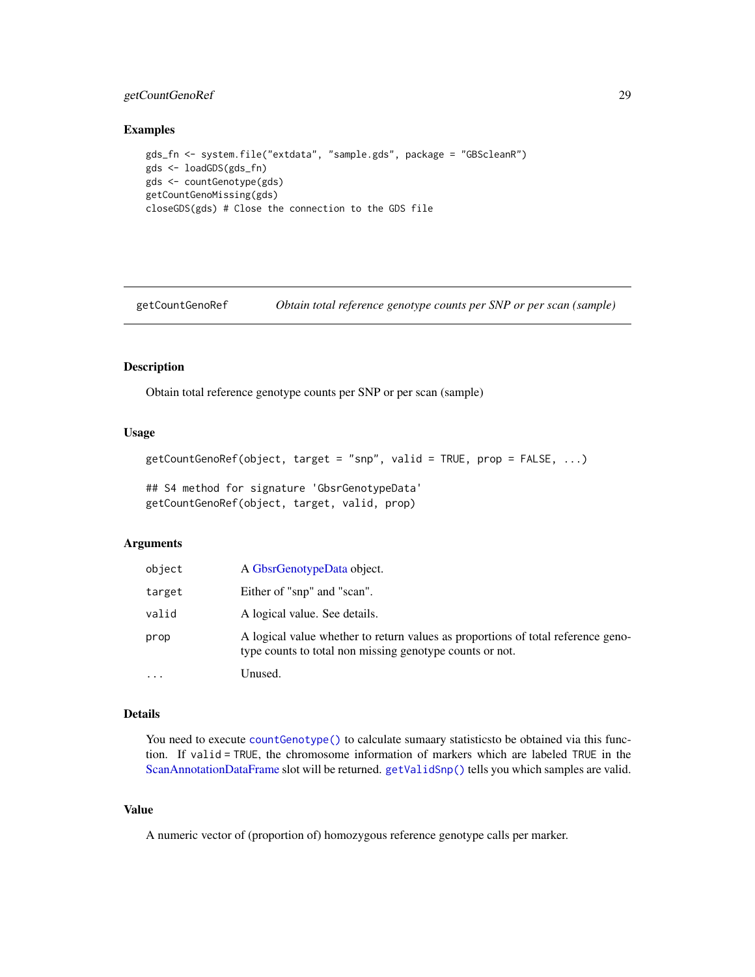# <span id="page-28-0"></span>getCountGenoRef 29

#### Examples

```
gds_fn <- system.file("extdata", "sample.gds", package = "GBScleanR")
gds <- loadGDS(gds_fn)
gds <- countGenotype(gds)
getCountGenoMissing(gds)
closeGDS(gds) # Close the connection to the GDS file
```
<span id="page-28-1"></span>getCountGenoRef *Obtain total reference genotype counts per SNP or per scan (sample)*

#### Description

Obtain total reference genotype counts per SNP or per scan (sample)

# Usage

```
getCountGenoRef(object, target = "snp", valid = TRUE, prop = FALSE, ...)
```
## S4 method for signature 'GbsrGenotypeData' getCountGenoRef(object, target, valid, prop)

#### Arguments

| object | A GbsrGenotypeData object.                                                                                                                   |
|--------|----------------------------------------------------------------------------------------------------------------------------------------------|
| target | Either of "snp" and "scan".                                                                                                                  |
| valid  | A logical value. See details.                                                                                                                |
| prop   | A logical value whether to return values as proportions of total reference geno-<br>type counts to total non missing genotype counts or not. |
| .      | Unused.                                                                                                                                      |

# Details

You need to execute [countGenotype\(\)](#page-9-1) to calculate sumaary statisticsto be obtained via this function. If valid = TRUE, the chromosome information of markers which are labeled TRUE in the [ScanAnnotationDataFrame](#page-0-0) slot will be returned. [getValidSnp\(\)](#page-52-1) tells you which samples are valid.

# Value

A numeric vector of (proportion of) homozygous reference genotype calls per marker.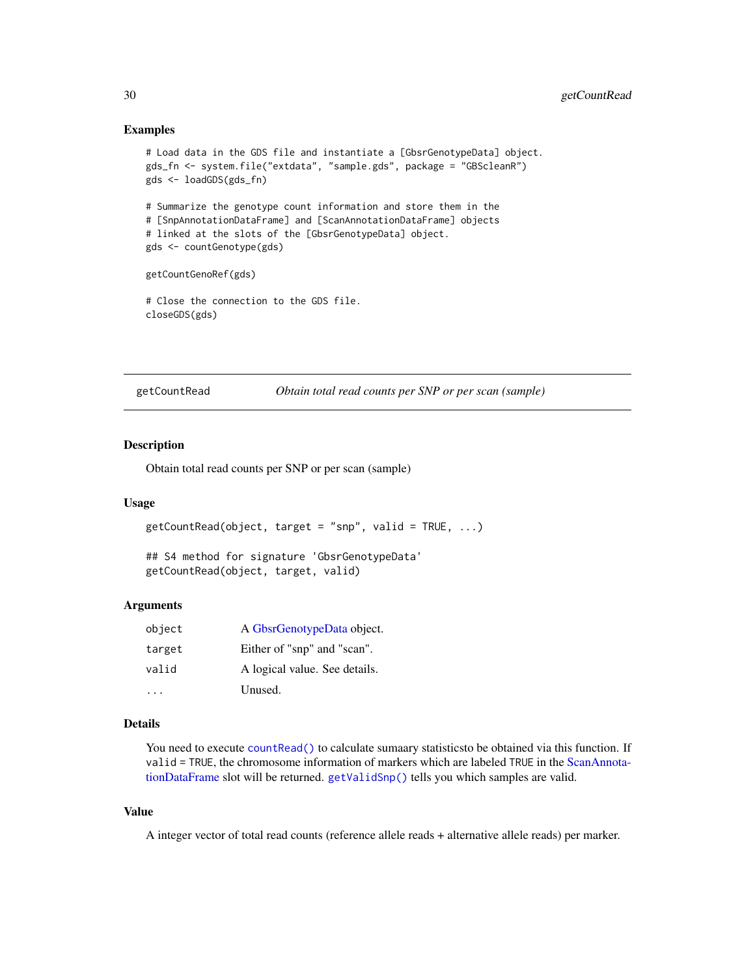#### Examples

```
# Load data in the GDS file and instantiate a [GbsrGenotypeData] object.
gds_fn <- system.file("extdata", "sample.gds", package = "GBScleanR")
gds <- loadGDS(gds_fn)
# Summarize the genotype count information and store them in the
# [SnpAnnotationDataFrame] and [ScanAnnotationDataFrame] objects
# linked at the slots of the [GbsrGenotypeData] object.
gds <- countGenotype(gds)
getCountGenoRef(gds)
# Close the connection to the GDS file.
closeGDS(gds)
```
getCountRead *Obtain total read counts per SNP or per scan (sample)*

#### Description

Obtain total read counts per SNP or per scan (sample)

# Usage

```
getCountRead(object, target = "snp", valid = TRUE, ...)
```
## S4 method for signature 'GbsrGenotypeData' getCountRead(object, target, valid)

#### Arguments

| object | A GbsrGenotypeData object.    |
|--------|-------------------------------|
| target | Either of "snp" and "scan".   |
| valid  | A logical value. See details. |
|        | Unused.                       |

#### Details

You need to execute [countRead\(\)](#page-11-1) to calculate sumaary statistics to be obtained via this function. If valid = TRUE, the chromosome information of markers which are labeled TRUE in the [ScanAnnota](#page-0-0)[tionDataFrame](#page-0-0) slot will be returned. [getValidSnp\(\)](#page-52-1) tells you which samples are valid.

# Value

A integer vector of total read counts (reference allele reads + alternative allele reads) per marker.

<span id="page-29-0"></span>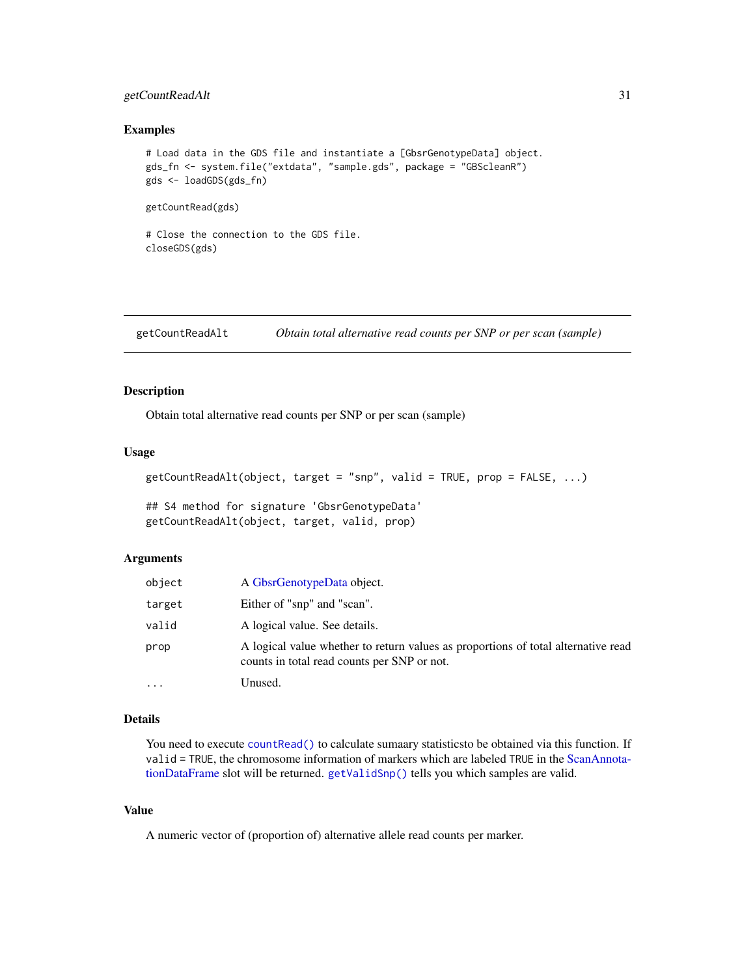# <span id="page-30-0"></span>getCountReadAlt 31

#### Examples

```
# Load data in the GDS file and instantiate a [GbsrGenotypeData] object.
gds_fn <- system.file("extdata", "sample.gds", package = "GBScleanR")
gds <- loadGDS(gds_fn)
```
getCountRead(gds)

```
# Close the connection to the GDS file.
closeGDS(gds)
```
<span id="page-30-1"></span>getCountReadAlt *Obtain total alternative read counts per SNP or per scan (sample)*

#### Description

Obtain total alternative read counts per SNP or per scan (sample)

#### Usage

```
getCountReadAlt(object, target = "snp", valid = TRUE, prop = FALSE, ...)
```
## S4 method for signature 'GbsrGenotypeData' getCountReadAlt(object, target, valid, prop)

#### Arguments

| object | A GbsrGenotypeData object.                                                                                                       |
|--------|----------------------------------------------------------------------------------------------------------------------------------|
| target | Either of "snp" and "scan".                                                                                                      |
| valid  | A logical value. See details.                                                                                                    |
| prop   | A logical value whether to return values as proportions of total alternative read<br>counts in total read counts per SNP or not. |
| .      | Unused.                                                                                                                          |

#### Details

You need to execute [countRead\(\)](#page-11-1) to calculate sumaary statisticsto be obtained via this function. If valid = TRUE, the chromosome information of markers which are labeled TRUE in the [ScanAnnota](#page-0-0)[tionDataFrame](#page-0-0) slot will be returned. [getValidSnp\(\)](#page-52-1) tells you which samples are valid.

#### Value

A numeric vector of (proportion of) alternative allele read counts per marker.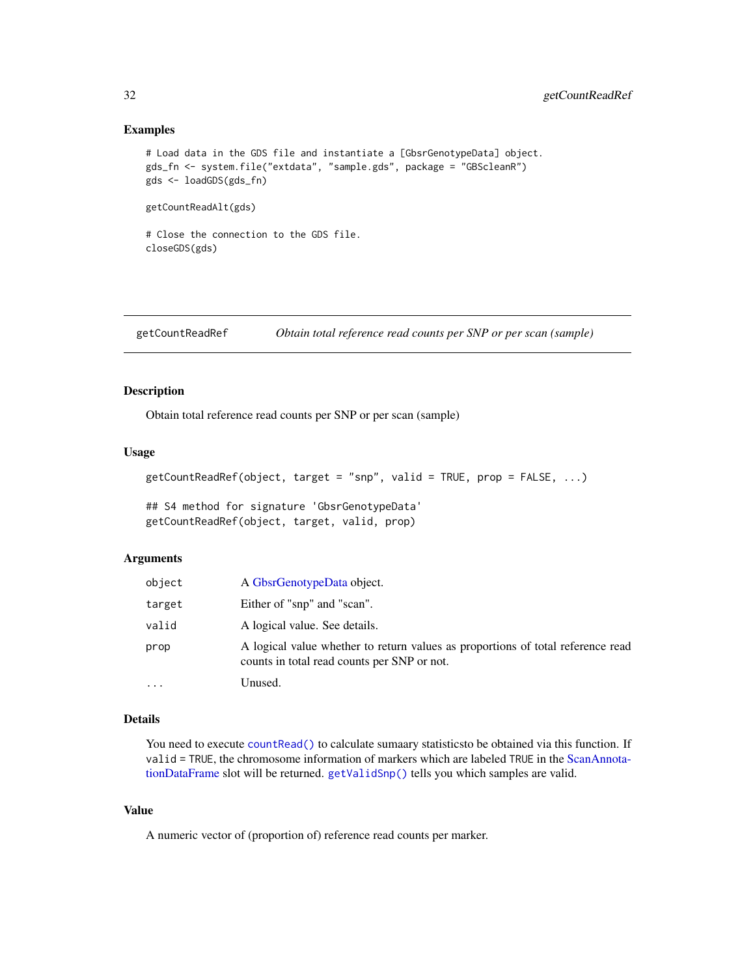#### <span id="page-31-0"></span>Examples

```
# Load data in the GDS file and instantiate a [GbsrGenotypeData] object.
gds_fn <- system.file("extdata", "sample.gds", package = "GBScleanR")
gds <- loadGDS(gds_fn)
```
getCountReadAlt(gds)

# Close the connection to the GDS file. closeGDS(gds)

<span id="page-31-1"></span>getCountReadRef *Obtain total reference read counts per SNP or per scan (sample)*

#### Description

Obtain total reference read counts per SNP or per scan (sample)

#### Usage

```
getCountReadRef(object, target = "snp", valid = TRUE, prop = FALSE, ...)
```
## S4 method for signature 'GbsrGenotypeData' getCountReadRef(object, target, valid, prop)

# **Arguments**

| object | A GbsrGenotypeData object.                                                                                                     |
|--------|--------------------------------------------------------------------------------------------------------------------------------|
| target | Either of "snp" and "scan".                                                                                                    |
| valid  | A logical value. See details.                                                                                                  |
| prop   | A logical value whether to return values as proportions of total reference read<br>counts in total read counts per SNP or not. |
| .      | Unused.                                                                                                                        |

#### Details

You need to execute [countRead\(\)](#page-11-1) to calculate sumaary statisticsto be obtained via this function. If valid = TRUE, the chromosome information of markers which are labeled TRUE in the [ScanAnnota](#page-0-0)[tionDataFrame](#page-0-0) slot will be returned. [getValidSnp\(\)](#page-52-1) tells you which samples are valid.

#### Value

A numeric vector of (proportion of) reference read counts per marker.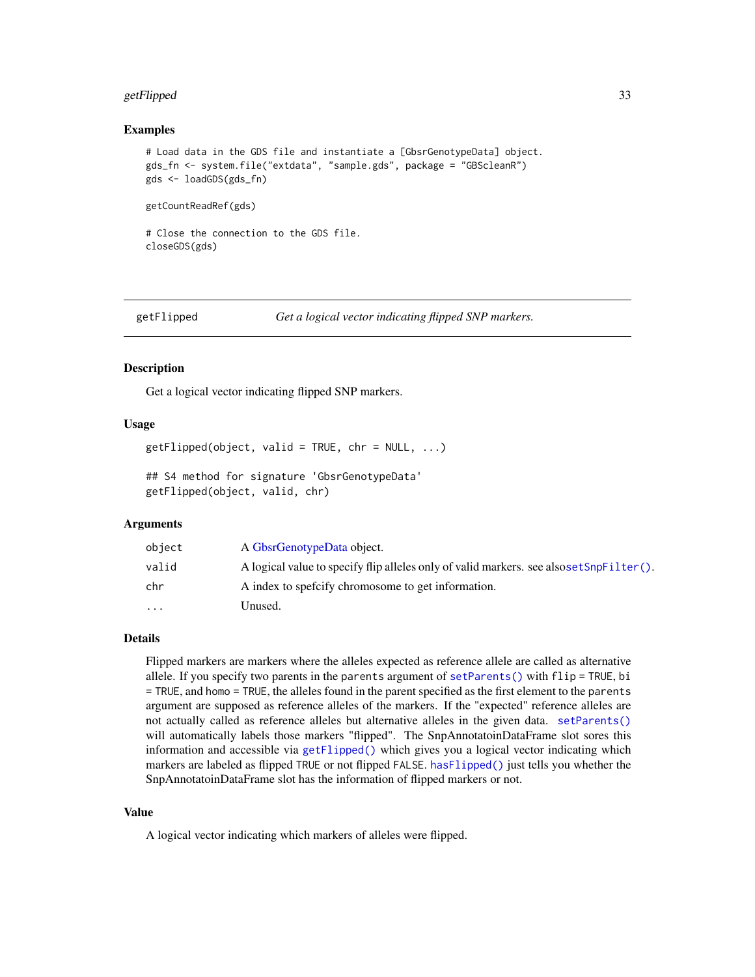# <span id="page-32-0"></span>getFlipped 33

#### Examples

```
# Load data in the GDS file and instantiate a [GbsrGenotypeData] object.
gds_fn <- system.file("extdata", "sample.gds", package = "GBScleanR")
gds <- loadGDS(gds_fn)
```
getCountReadRef(gds)

# Close the connection to the GDS file. closeGDS(gds)

<span id="page-32-1"></span>

getFlipped *Get a logical vector indicating flipped SNP markers.*

#### Description

Get a logical vector indicating flipped SNP markers.

### Usage

 $getFlipped(object, valid = TRUE, chr = NULL, ...)$ ## S4 method for signature 'GbsrGenotypeData' getFlipped(object, valid, chr)

#### Arguments

| object    | A GbsrGenotypeData object.                                                               |
|-----------|------------------------------------------------------------------------------------------|
| valid     | A logical value to specify flip alleles only of valid markers, see also set SnpFilter(). |
| chr       | A index to spefictly chromosome to get information.                                      |
| $\ddotsc$ | Unused.                                                                                  |

### Details

Flipped markers are markers where the alleles expected as reference allele are called as alternative allele. If you specify two parents in the parents argument of [setParents\(\)](#page-82-1) with flip = TRUE, bi = TRUE, and homo = TRUE, the alleles found in the parent specified as the first element to the parents argument are supposed as reference alleles of the markers. If the "expected" reference alleles are not actually called as reference alleles but alternative alleles in the given data. [setParents\(\)](#page-82-1) will automatically labels those markers "flipped". The SnpAnnotatoinDataFrame slot sores this information and accessible via [getFlipped\(\)](#page-32-1) which gives you a logical vector indicating which markers are labeled as flipped TRUE or not flipped FALSE. [hasFlipped\(\)](#page-53-1) just tells you whether the SnpAnnotatoinDataFrame slot has the information of flipped markers or not.

#### Value

A logical vector indicating which markers of alleles were flipped.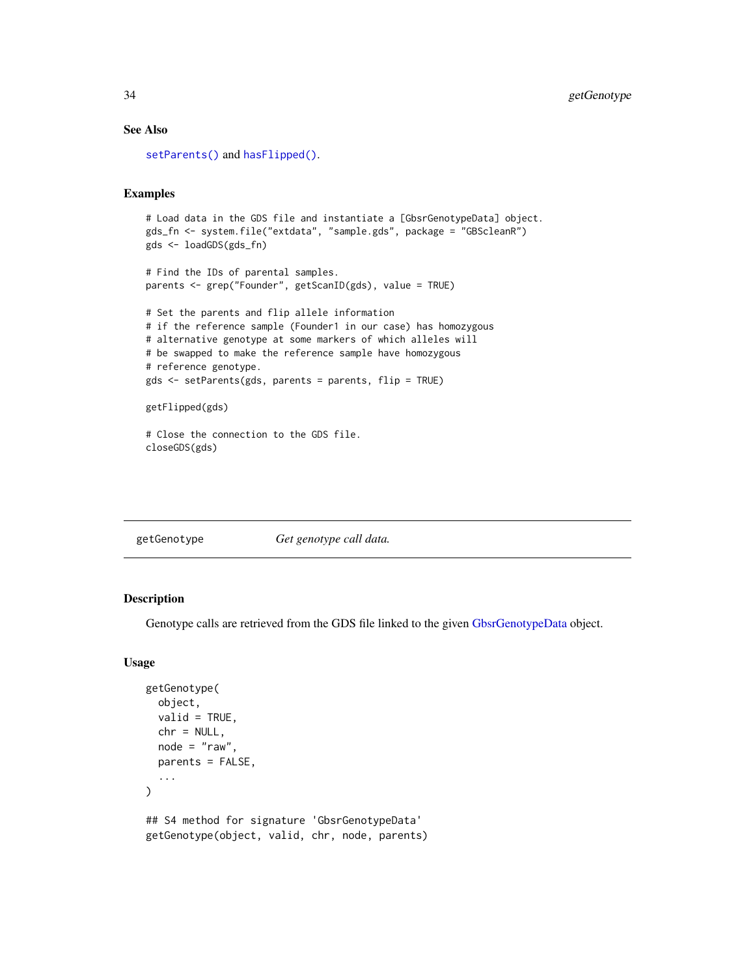#### See Also

```
setParents()hasFlipped().
```
#### Examples

```
# Load data in the GDS file and instantiate a [GbsrGenotypeData] object.
gds_fn <- system.file("extdata", "sample.gds", package = "GBScleanR")
gds <- loadGDS(gds_fn)
```

```
# Find the IDs of parental samples.
parents <- grep("Founder", getScanID(gds), value = TRUE)
```

```
# Set the parents and flip allele information
# if the reference sample (Founder1 in our case) has homozygous
# alternative genotype at some markers of which alleles will
# be swapped to make the reference sample have homozygous
# reference genotype.
gds <- setParents(gds, parents = parents, flip = TRUE)
```

```
getFlipped(gds)
```

```
# Close the connection to the GDS file.
closeGDS(gds)
```

| getGenotype | Get genotype call data. |
|-------------|-------------------------|
|             |                         |

#### Description

Genotype calls are retrieved from the GDS file linked to the given [GbsrGenotypeData](#page-16-1) object.

#### Usage

```
getGenotype(
  object,
 valid = TRUE,chr = NULL,node = "raw",parents = FALSE,
  ...
\lambda## S4 method for signature 'GbsrGenotypeData'
getGenotype(object, valid, chr, node, parents)
```
<span id="page-33-0"></span>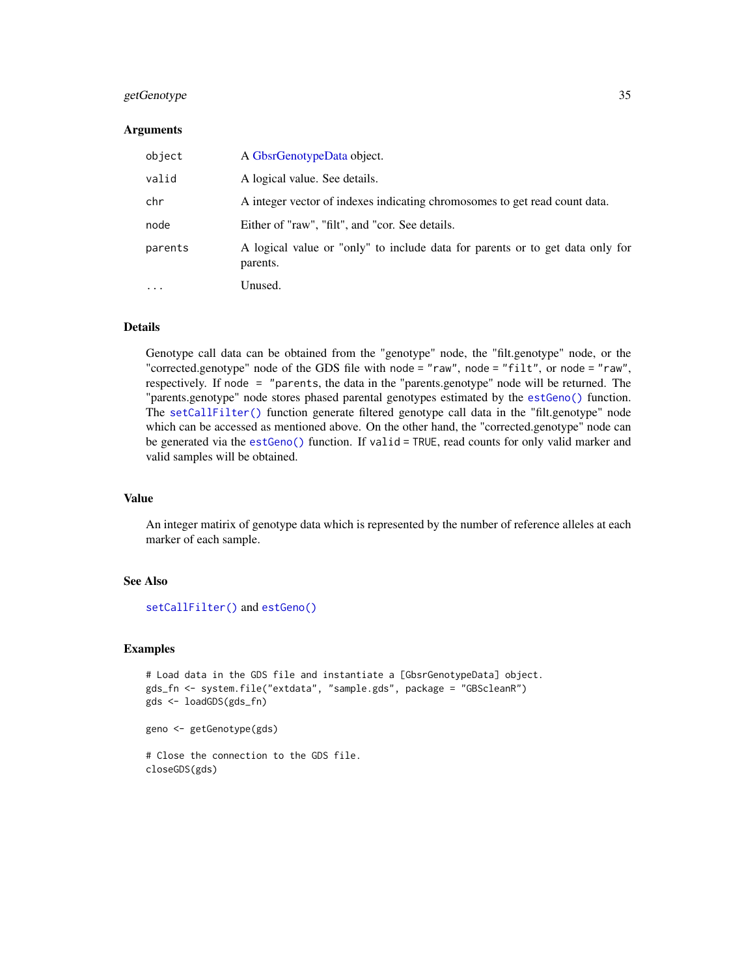# getGenotype 35

#### **Arguments**

| object   | A GbsrGenotypeData object.                                                                |
|----------|-------------------------------------------------------------------------------------------|
| valid    | A logical value. See details.                                                             |
| chr      | A integer vector of indexes indicating chromosomes to get read count data.                |
| node     | Either of "raw", "filt", and "cor. See details.                                           |
| parents  | A logical value or "only" to include data for parents or to get data only for<br>parents. |
| $\cdots$ | Unused.                                                                                   |

# Details

Genotype call data can be obtained from the "genotype" node, the "filt.genotype" node, or the "corrected.genotype" node of the GDS file with node = "raw", node = "filt", or node = "raw", respectively. If node = "parents, the data in the "parents.genotype" node will be returned. The "parents.genotype" node stores phased parental genotypes estimated by the [estGeno\(\)](#page-12-1) function. The [setCallFilter\(\)](#page-77-1) function generate filtered genotype call data in the "filt.genotype" node which can be accessed as mentioned above. On the other hand, the "corrected.genotype" node can be generated via the [estGeno\(\)](#page-12-1) function. If valid = TRUE, read counts for only valid marker and valid samples will be obtained.

#### Value

An integer matirix of genotype data which is represented by the number of reference alleles at each marker of each sample.

# See Also

```
setCallFilter() and estGeno()
```
#### Examples

```
# Load data in the GDS file and instantiate a [GbsrGenotypeData] object.
gds_fn <- system.file("extdata", "sample.gds", package = "GBScleanR")
gds <- loadGDS(gds_fn)
```

```
geno <- getGenotype(gds)
```

```
# Close the connection to the GDS file.
closeGDS(gds)
```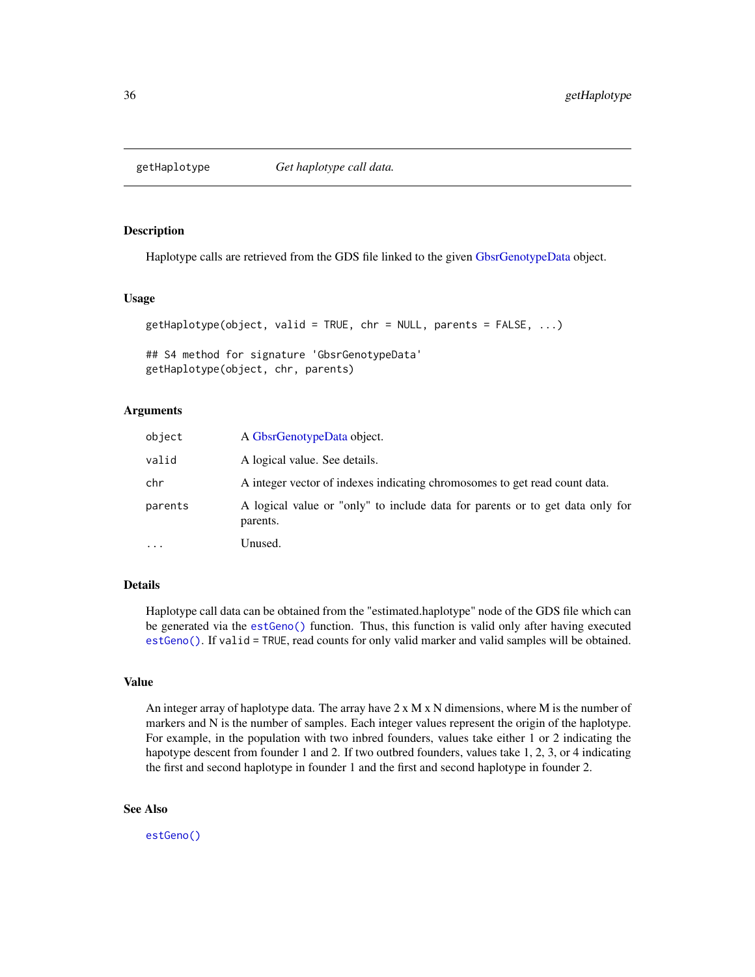<span id="page-35-0"></span>

#### Description

Haplotype calls are retrieved from the GDS file linked to the given [GbsrGenotypeData](#page-16-1) object.

# Usage

```
getHaplotype(object, valid = TRUE, chr = NULL, parents = FALSE, ...)
```
## S4 method for signature 'GbsrGenotypeData' getHaplotype(object, chr, parents)

## Arguments

| object    | A GbsrGenotypeData object.                                                                |
|-----------|-------------------------------------------------------------------------------------------|
| valid     | A logical value. See details.                                                             |
| chr       | A integer vector of indexes indicating chromosomes to get read count data.                |
| parents   | A logical value or "only" to include data for parents or to get data only for<br>parents. |
| $\ddotsc$ | Unused.                                                                                   |

# Details

Haplotype call data can be obtained from the "estimated.haplotype" node of the GDS file which can be generated via the [estGeno\(\)](#page-12-1) function. Thus, this function is valid only after having executed [estGeno\(\)](#page-12-1). If valid = TRUE, read counts for only valid marker and valid samples will be obtained.

# Value

An integer array of haplotype data. The array have  $2 \times M \times N$  dimensions, where M is the number of markers and N is the number of samples. Each integer values represent the origin of the haplotype. For example, in the population with two inbred founders, values take either 1 or 2 indicating the hapotype descent from founder 1 and 2. If two outbred founders, values take 1, 2, 3, or 4 indicating the first and second haplotype in founder 1 and the first and second haplotype in founder 2.

# See Also

[estGeno\(\)](#page-12-1)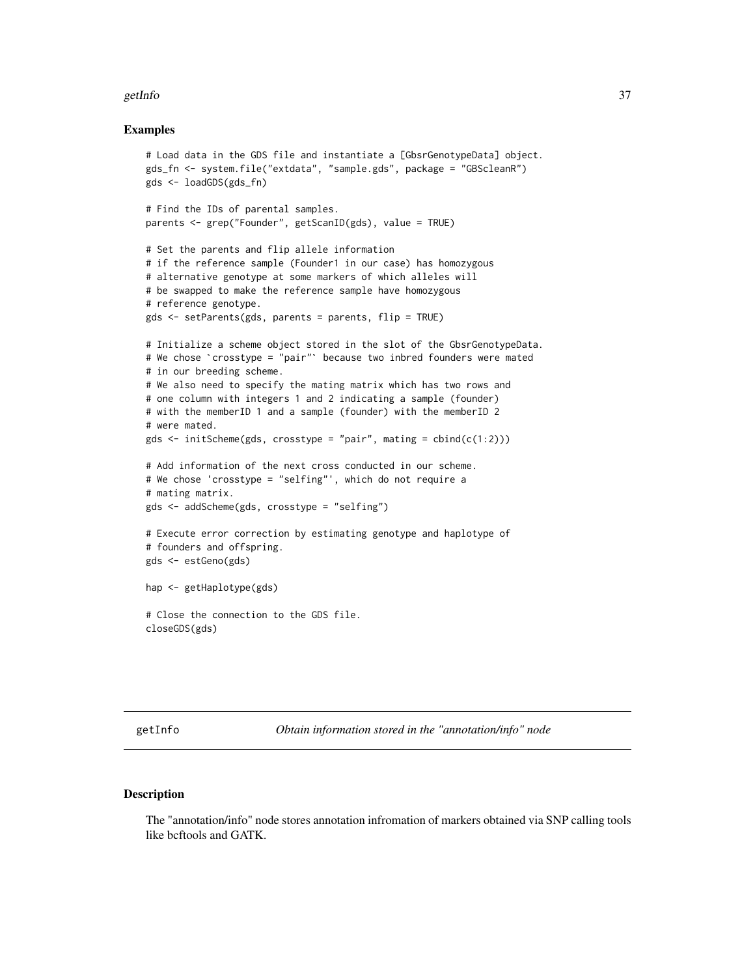#### getInfo 37

### Examples

```
# Load data in the GDS file and instantiate a [GbsrGenotypeData] object.
gds_fn <- system.file("extdata", "sample.gds", package = "GBScleanR")
gds <- loadGDS(gds_fn)
# Find the IDs of parental samples.
parents <- grep("Founder", getScanID(gds), value = TRUE)
# Set the parents and flip allele information
# if the reference sample (Founder1 in our case) has homozygous
# alternative genotype at some markers of which alleles will
# be swapped to make the reference sample have homozygous
# reference genotype.
gds <- setParents(gds, parents = parents, flip = TRUE)
# Initialize a scheme object stored in the slot of the GbsrGenotypeData.
gds <- setParents(gds, parents = parents, flip = TRUE)<br># Initialize a scheme object stored in the slot of the GbsrGenotypeDat<br># We chose `crosstype = "pair"` because two inbred founders were mated
# in our breeding scheme.
# We also need to specify the mating matrix which has two rows and
# one column with integers 1 and 2 indicating a sample (founder)
# with the memberID 1 and a sample (founder) with the memberID 2
# were mated.
gds \le initScheme(gds, crosstype = "pair", mating = cbind(c(1:2)))
# Add information of the next cross conducted in our scheme.
# We chose 'crosstype = "selfing"', which do not require a
# mating matrix.
gds <- addScheme(gds, crosstype = "selfing")
# Execute error correction by estimating genotype and haplotype of
# founders and offspring.
gds <- estGeno(gds)
hap <- getHaplotype(gds)
# Close the connection to the GDS file.
closeGDS(gds)
```
getInfo *Obtain information stored in the "annotation/info" node*

### Description

The "annotation/info" node stores annotation infromation of markers obtained via SNP calling tools like bcftools and GATK.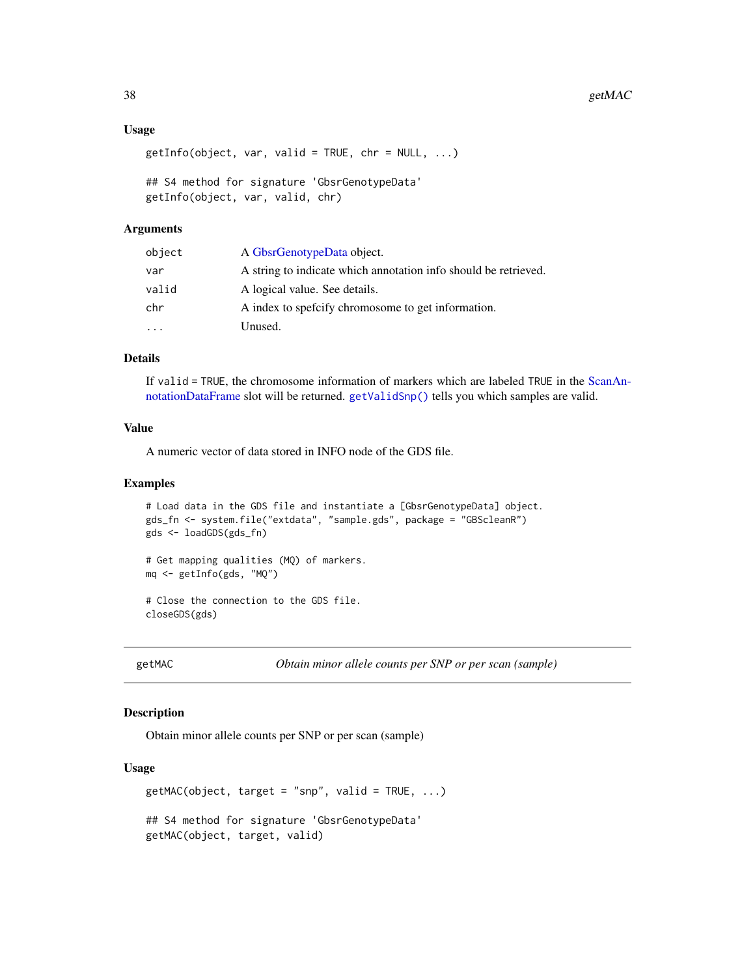### Usage

```
getInfo(object, var, valid = TRUE, chr = NULL, ...)## S4 method for signature 'GbsrGenotypeData'
getInfo(object, var, valid, chr)
```
### Arguments

| object | A GbsrGenotypeData object.                                      |
|--------|-----------------------------------------------------------------|
| var    | A string to indicate which annotation info should be retrieved. |
| valid  | A logical value. See details.                                   |
| chr    | A index to specify chromosome to get information.               |
| .      | Unused.                                                         |

# Details

If valid = TRUE, the chromosome information of markers which are labeled TRUE in the [ScanAn](#page-0-0)[notationDataFrame](#page-0-0) slot will be returned. [getValidSnp\(\)](#page-52-0) tells you which samples are valid.

# Value

A numeric vector of data stored in INFO node of the GDS file.

#### Examples

```
# Load data in the GDS file and instantiate a [GbsrGenotypeData] object.
gds_fn <- system.file("extdata", "sample.gds", package = "GBScleanR")
gds <- loadGDS(gds_fn)
# Get mapping qualities (MQ) of markers.
mq <- getInfo(gds, "MQ")
# Close the connection to the GDS file.
closeGDS(gds)
```
getMAC *Obtain minor allele counts per SNP or per scan (sample)*

#### Description

Obtain minor allele counts per SNP or per scan (sample)

```
getMAC(object, target = "snp", valid = TRUE, ...)## S4 method for signature 'GbsrGenotypeData'
getMAC(object, target, valid)
```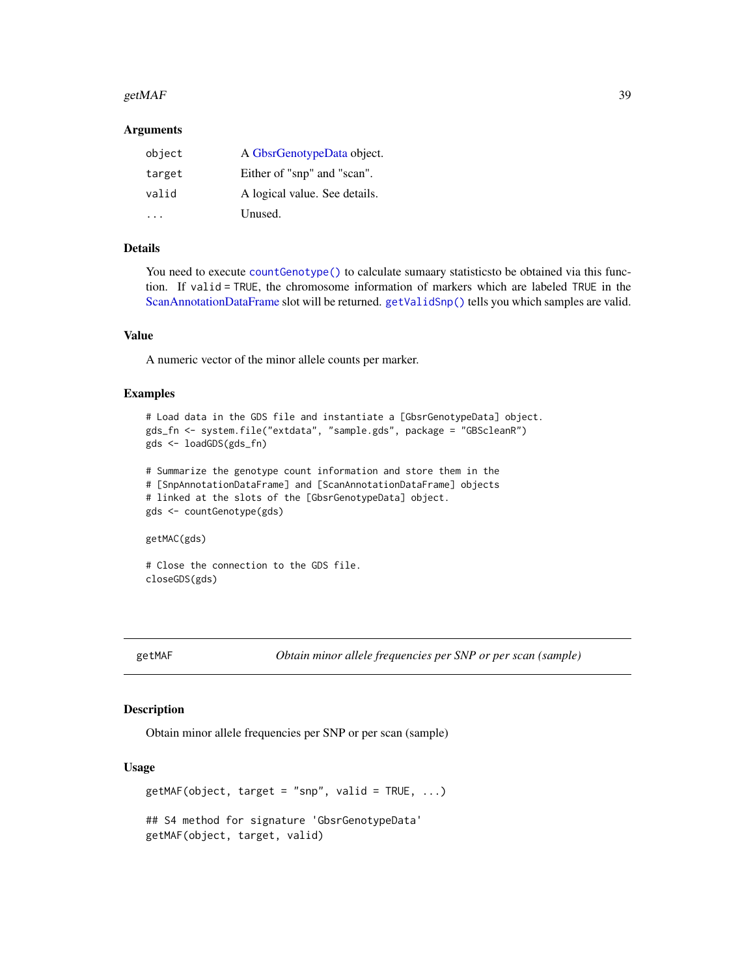#### getMAF  $\qquad \qquad$  39

### Arguments

| object | A GbsrGenotypeData object.    |
|--------|-------------------------------|
| target | Either of "snp" and "scan".   |
| valid  | A logical value. See details. |
|        | Unused.                       |

# Details

You need to execute [countGenotype\(\)](#page-9-0) to calculate sumaary statistics to be obtained via this function. If valid = TRUE, the chromosome information of markers which are labeled TRUE in the [ScanAnnotationDataFrame](#page-0-0) slot will be returned. [getValidSnp\(\)](#page-52-0) tells you which samples are valid.

#### Value

A numeric vector of the minor allele counts per marker.

### Examples

```
# Load data in the GDS file and instantiate a [GbsrGenotypeData] object.
gds_fn <- system.file("extdata", "sample.gds", package = "GBScleanR")
gds <- loadGDS(gds_fn)
# Summarize the genotype count information and store them in the
# [SnpAnnotationDataFrame] and [ScanAnnotationDataFrame] objects
# linked at the slots of the [GbsrGenotypeData] object.
gds <- countGenotype(gds)
getMAC(gds)
```
# Close the connection to the GDS file. closeGDS(gds)

getMAF *Obtain minor allele frequencies per SNP or per scan (sample)*

### Description

Obtain minor allele frequencies per SNP or per scan (sample)

```
getMAF(object, target = "snp", valid = TRUE, ...)## S4 method for signature 'GbsrGenotypeData'
getMAF(object, target, valid)
```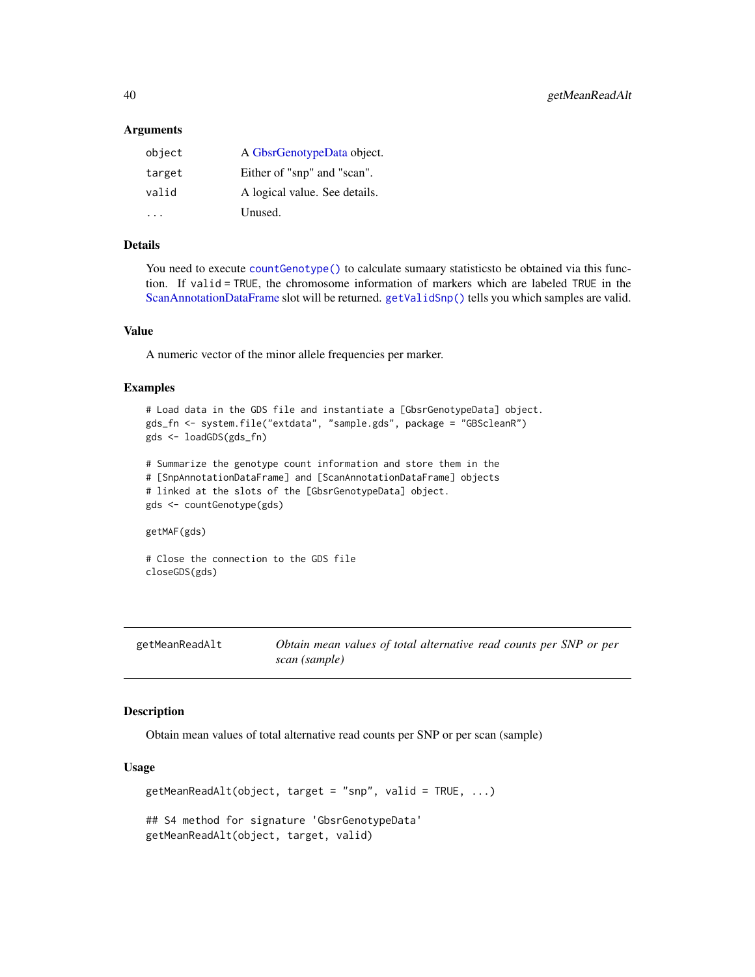#### Arguments

| object | A GbsrGenotypeData object.    |
|--------|-------------------------------|
| target | Either of "snp" and "scan".   |
| valid  | A logical value. See details. |
|        | Unused.                       |

# Details

You need to execute [countGenotype\(\)](#page-9-0) to calculate sumaary statisticsto be obtained via this function. If valid = TRUE, the chromosome information of markers which are labeled TRUE in the [ScanAnnotationDataFrame](#page-0-0) slot will be returned. [getValidSnp\(\)](#page-52-0) tells you which samples are valid.

### Value

A numeric vector of the minor allele frequencies per marker.

### Examples

```
# Load data in the GDS file and instantiate a [GbsrGenotypeData] object.
gds_fn <- system.file("extdata", "sample.gds", package = "GBScleanR")
gds <- loadGDS(gds_fn)
# Summarize the genotype count information and store them in the
# [SnpAnnotationDataFrame] and [ScanAnnotationDataFrame] objects
# linked at the slots of the [GbsrGenotypeData] object.
gds <- countGenotype(gds)
getMAF(gds)
```

```
# Close the connection to the GDS file
closeGDS(gds)
```

| getMeanReadAlt | Obtain mean values of total alternative read counts per SNP or per |
|----------------|--------------------------------------------------------------------|
|                | scan (sample)                                                      |

## Description

Obtain mean values of total alternative read counts per SNP or per scan (sample)

```
getMeanReadAlt(object, target = "snp", valid = TRUE, ...)## S4 method for signature 'GbsrGenotypeData'
getMeanReadAlt(object, target, valid)
```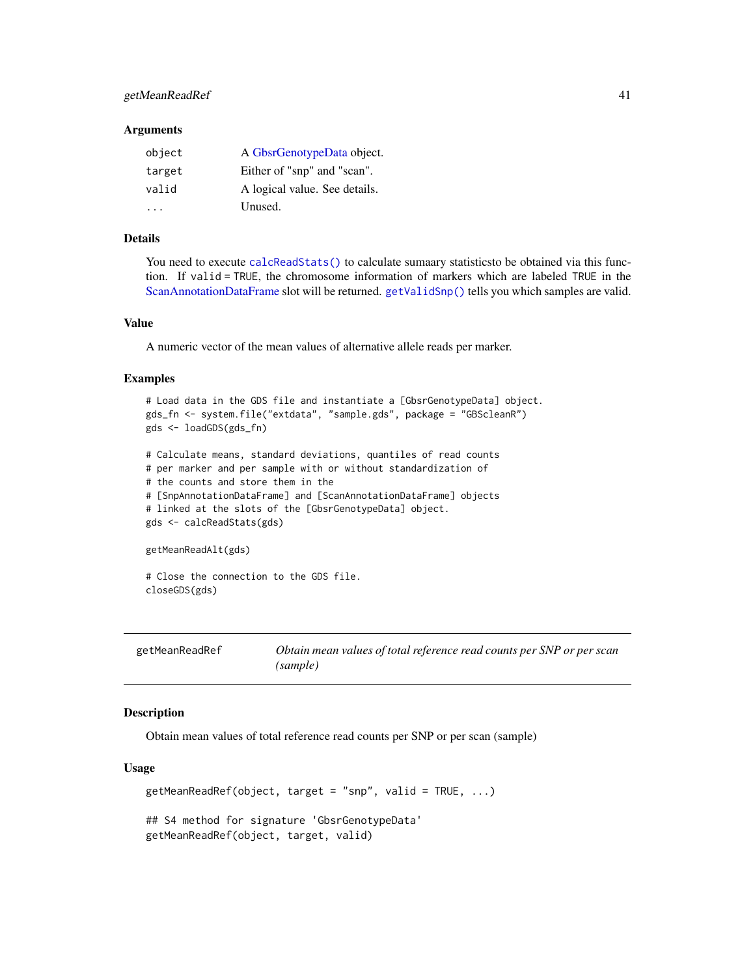# getMeanReadRef 41

#### **Arguments**

| object               | A GbsrGenotypeData object.    |
|----------------------|-------------------------------|
| target               | Either of "snp" and "scan".   |
| valid                | A logical value. See details. |
| $\ddot{\phantom{0}}$ | Unused.                       |

# Details

You need to execute [calcReadStats\(\)](#page-7-0) to calculate sumaary statistics to be obtained via this function. If valid = TRUE, the chromosome information of markers which are labeled TRUE in the [ScanAnnotationDataFrame](#page-0-0) slot will be returned. [getValidSnp\(\)](#page-52-0) tells you which samples are valid.

# Value

A numeric vector of the mean values of alternative allele reads per marker.

#### Examples

```
# Load data in the GDS file and instantiate a [GbsrGenotypeData] object.
gds_fn <- system.file("extdata", "sample.gds", package = "GBScleanR")
gds <- loadGDS(gds_fn)
# Calculate means, standard deviations, quantiles of read counts
# per marker and per sample with or without standardization of
# the counts and store them in the
# [SnpAnnotationDataFrame] and [ScanAnnotationDataFrame] objects
# linked at the slots of the [GbsrGenotypeData] object.
gds <- calcReadStats(gds)
getMeanReadAlt(gds)
# Close the connection to the GDS file.
closeGDS(gds)
```
getMeanReadRef *Obtain mean values of total reference read counts per SNP or per scan (sample)*

### Description

Obtain mean values of total reference read counts per SNP or per scan (sample)

```
getMeanReadRef(object, target = "snp", valid = TRUE, \ldots)
## S4 method for signature 'GbsrGenotypeData'
getMeanReadRef(object, target, valid)
```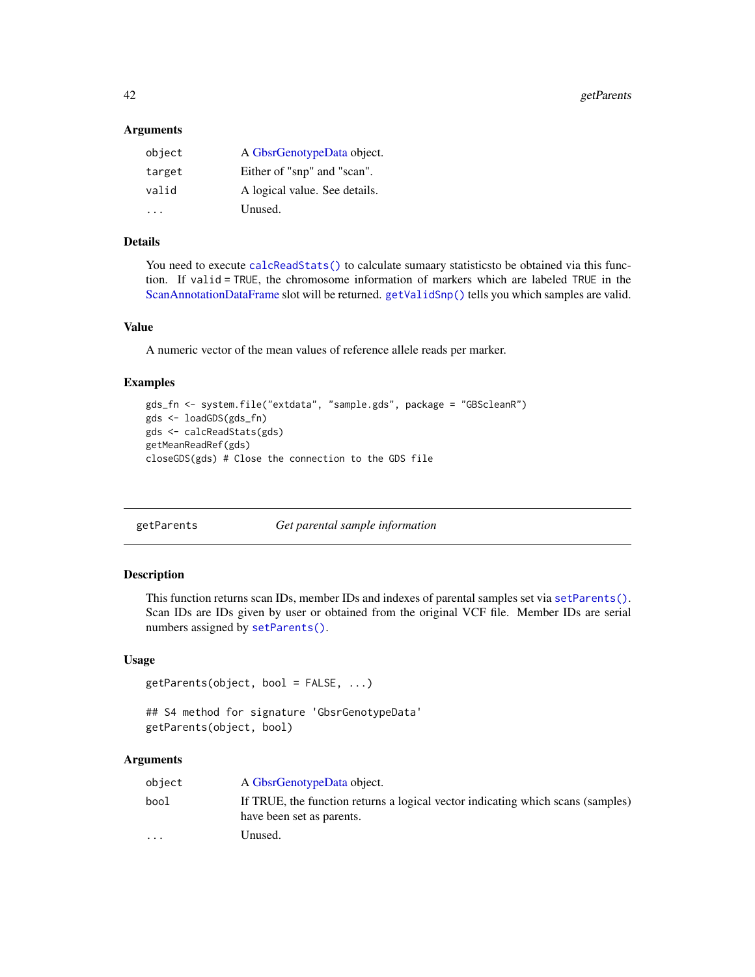42 getParents and the contract of the contract of the contract of the contract of the contract of the contract of the contract of the contract of the contract of the contract of the contract of the contract of the contract

#### **Arguments**

| object | A GbsrGenotypeData object.    |
|--------|-------------------------------|
| target | Either of "snp" and "scan".   |
| valid  | A logical value. See details. |
|        | Unused.                       |

# Details

You need to execute [calcReadStats\(\)](#page-7-0) to calculate sumaary statistics to be obtained via this function. If valid = TRUE, the chromosome information of markers which are labeled TRUE in the [ScanAnnotationDataFrame](#page-0-0) slot will be returned. [getValidSnp\(\)](#page-52-0) tells you which samples are valid.

### Value

A numeric vector of the mean values of reference allele reads per marker.

#### Examples

```
gds_fn <- system.file("extdata", "sample.gds", package = "GBScleanR")
gds <- loadGDS(gds_fn)
gds <- calcReadStats(gds)
getMeanReadRef(gds)
closeGDS(gds) # Close the connection to the GDS file
```

| getParents |  |
|------------|--|
|------------|--|

Get parental sample information

### Description

This function returns scan IDs, member IDs and indexes of parental samples set via [setParents\(\)](#page-82-0). Scan IDs are IDs given by user or obtained from the original VCF file. Member IDs are serial numbers assigned by [setParents\(\)](#page-82-0).

#### Usage

```
getParents(object, bool = FALSE, ...)
```
## S4 method for signature 'GbsrGenotypeData' getParents(object, bool)

| object               | A GbsrGenotypeData object.                                                                                   |
|----------------------|--------------------------------------------------------------------------------------------------------------|
| bool                 | If TRUE, the function returns a logical vector indicating which scans (samples)<br>have been set as parents. |
| $\ddot{\phantom{0}}$ | Unused.                                                                                                      |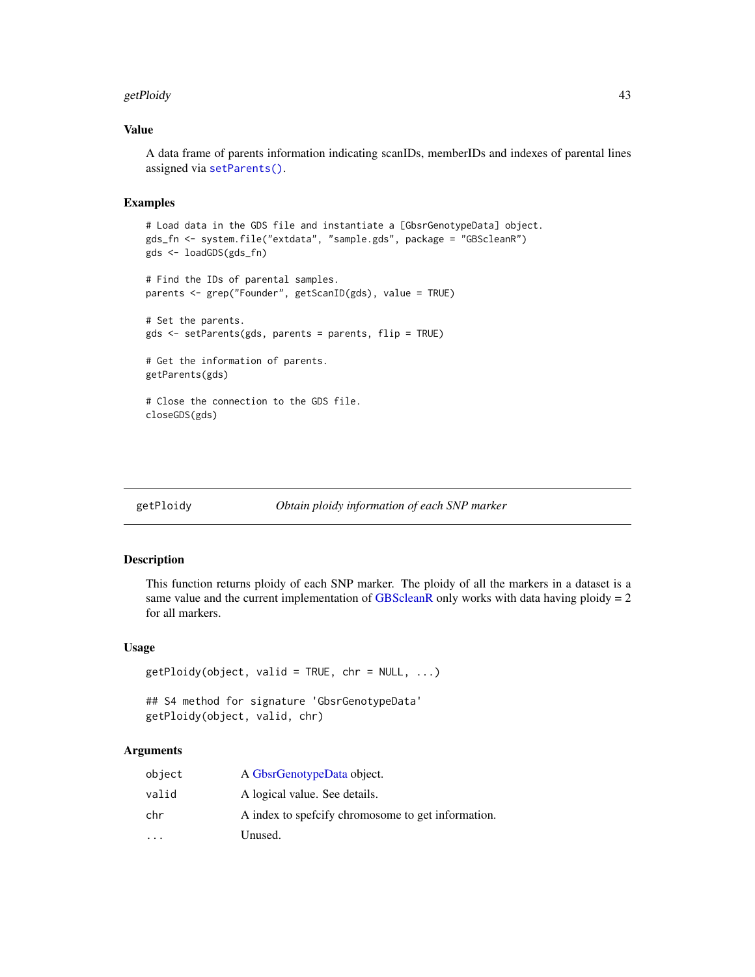#### getPloidy and the setPloidy of the setPloidy of the setPloidy of the setPloidy of the setPloidy of the setPloid

### Value

A data frame of parents information indicating scanIDs, memberIDs and indexes of parental lines assigned via [setParents\(\)](#page-82-0).

# Examples

```
# Load data in the GDS file and instantiate a [GbsrGenotypeData] object.
gds_fn <- system.file("extdata", "sample.gds", package = "GBScleanR")
gds <- loadGDS(gds_fn)
# Find the IDs of parental samples.
parents <- grep("Founder", getScanID(gds), value = TRUE)
# Set the parents.
gds <- setParents(gds, parents = parents, flip = TRUE)
# Get the information of parents.
getParents(gds)
# Close the connection to the GDS file.
closeGDS(gds)
```
### getPloidy *Obtain ploidy information of each SNP marker*

#### Description

This function returns ploidy of each SNP marker. The ploidy of all the markers in a dataset is a same value and the current implementation of [GBScleanR](#page-0-0) only works with data having ploidy  $= 2$ for all markers.

### Usage

```
getPlotidy(object, valid = TRUE, chr = NULL, ...)## S4 method for signature 'GbsrGenotypeData'
getPloidy(object, valid, chr)
```

| object                  | A GbsrGenotypeData object.                          |
|-------------------------|-----------------------------------------------------|
| valid                   | A logical value. See details.                       |
| chr                     | A index to speficify chromosome to get information. |
| $\cdot$ $\cdot$ $\cdot$ | Unused.                                             |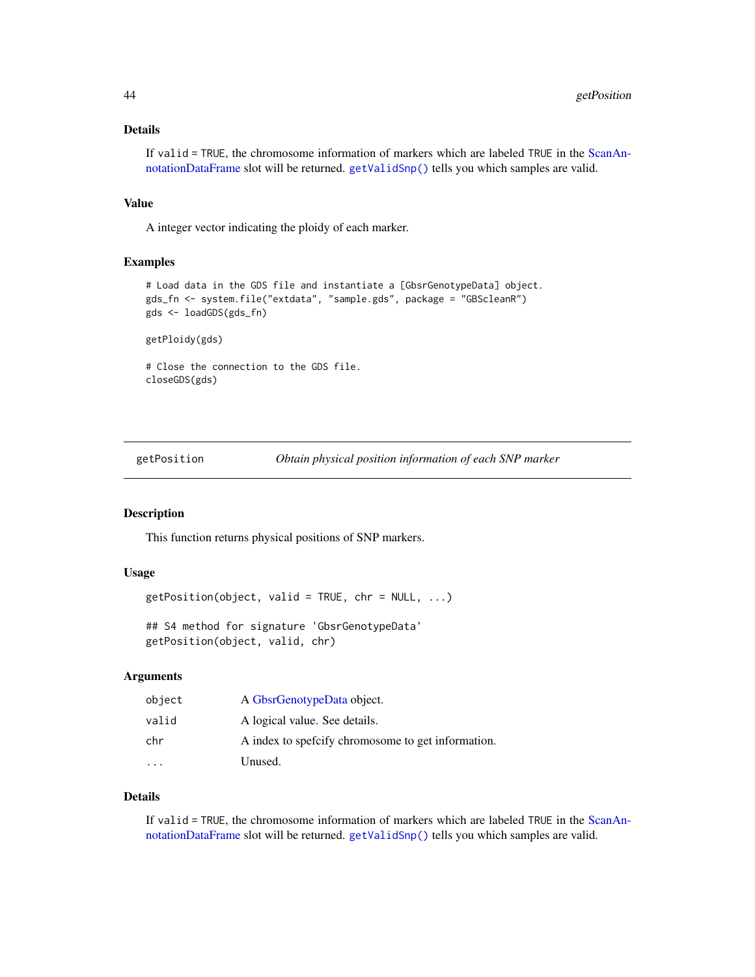# Details

If valid = TRUE, the chromosome information of markers which are labeled TRUE in the [ScanAn](#page-0-0)[notationDataFrame](#page-0-0) slot will be returned. [getValidSnp\(\)](#page-52-0) tells you which samples are valid.

### Value

A integer vector indicating the ploidy of each marker.

#### Examples

```
# Load data in the GDS file and instantiate a [GbsrGenotypeData] object.
gds_fn <- system.file("extdata", "sample.gds", package = "GBScleanR")
gds <- loadGDS(gds_fn)
```
getPloidy(gds)

# Close the connection to the GDS file. closeGDS(gds)

getPosition *Obtain physical position information of each SNP marker*

#### Description

This function returns physical positions of SNP markers.

#### Usage

```
getPosition(object, valid = TRUE, chr = NULL, ...)
```
## S4 method for signature 'GbsrGenotypeData' getPosition(object, valid, chr)

### Arguments

| object | A GbsrGenotypeData object.                          |
|--------|-----------------------------------------------------|
| valid  | A logical value. See details.                       |
| chr    | A index to spefictly chromosome to get information. |
|        | Unused.                                             |

# Details

If valid = TRUE, the chromosome information of markers which are labeled TRUE in the [ScanAn](#page-0-0)[notationDataFrame](#page-0-0) slot will be returned. [getValidSnp\(\)](#page-52-0) tells you which samples are valid.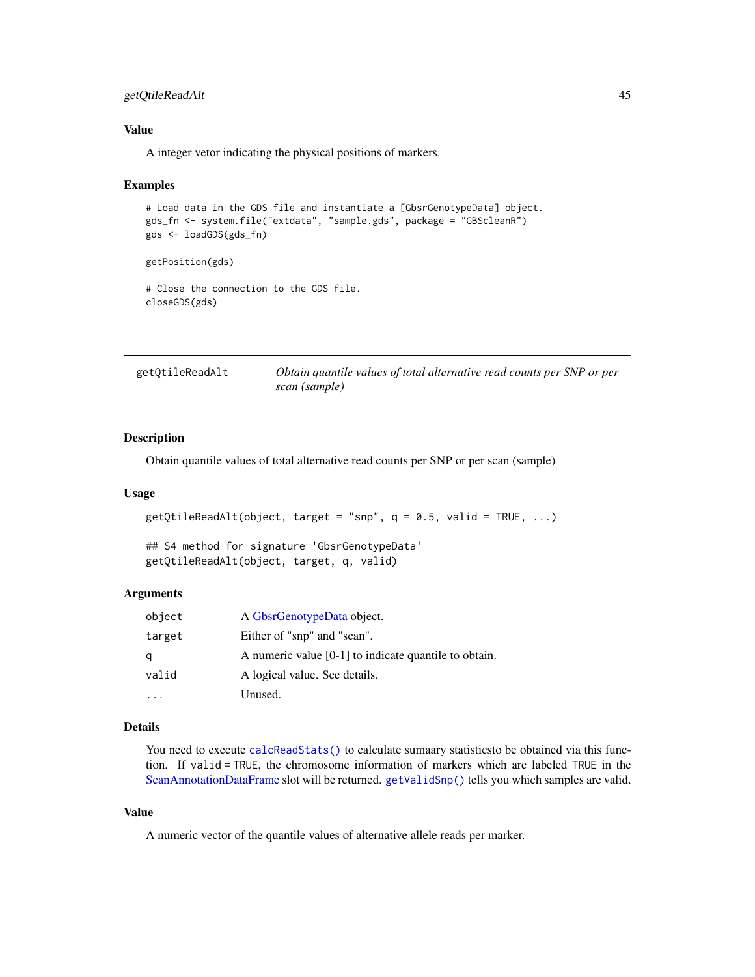# getQtileReadAlt 45

### Value

A integer vetor indicating the physical positions of markers.

#### Examples

```
# Load data in the GDS file and instantiate a [GbsrGenotypeData] object.
gds_fn <- system.file("extdata", "sample.gds", package = "GBScleanR")
gds <- loadGDS(gds_fn)
```
getPosition(gds)

# Close the connection to the GDS file. closeGDS(gds)

| getQtileReadAlt | Obtain quantile values of total alternative read counts per SNP or per |
|-----------------|------------------------------------------------------------------------|
|                 | scan (sample)                                                          |

### Description

Obtain quantile values of total alternative read counts per SNP or per scan (sample)

### Usage

```
getQtileReadAlt(object, target = "snp", q = 0.5, valid = TRUE, ...)
```

```
## S4 method for signature 'GbsrGenotypeData'
getQtileReadAlt(object, target, q, valid)
```
### Arguments

| object | A GbsrGenotypeData object.                              |
|--------|---------------------------------------------------------|
| target | Either of "snp" and "scan".                             |
| q      | A numeric value $[0-1]$ to indicate quantile to obtain. |
| valid  | A logical value. See details.                           |
|        | Unused.                                                 |

# Details

You need to execute [calcReadStats\(\)](#page-7-0) to calculate sumaary statistics to be obtained via this function. If valid = TRUE, the chromosome information of markers which are labeled TRUE in the [ScanAnnotationDataFrame](#page-0-0) slot will be returned. [getValidSnp\(\)](#page-52-0) tells you which samples are valid.

### Value

A numeric vector of the quantile values of alternative allele reads per marker.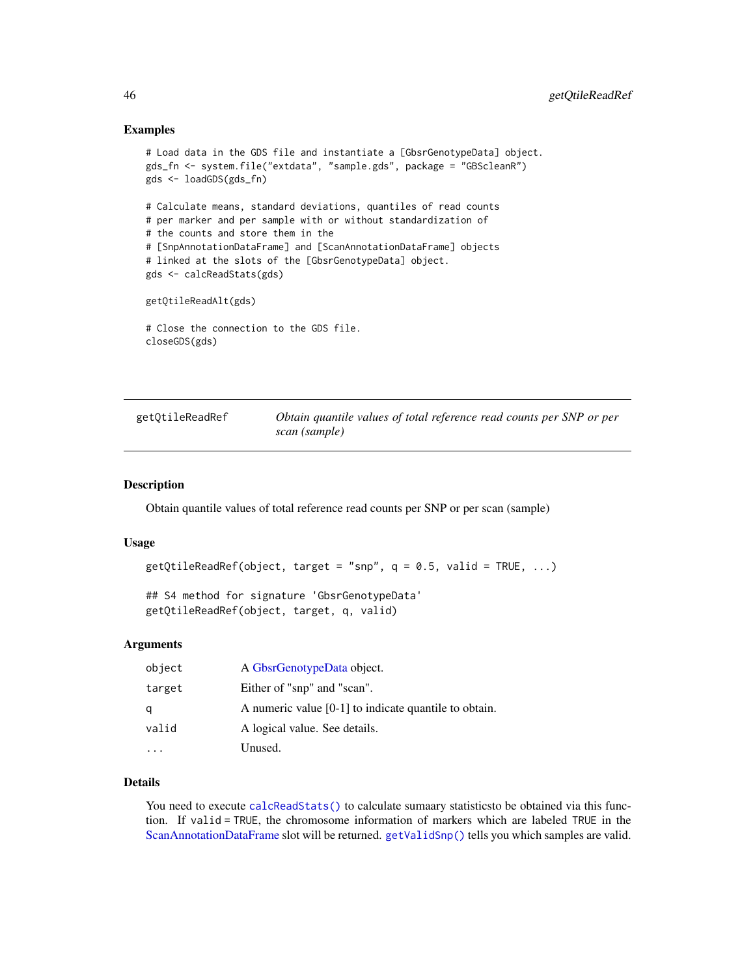### Examples

```
# Load data in the GDS file and instantiate a [GbsrGenotypeData] object.
gds_fn <- system.file("extdata", "sample.gds", package = "GBScleanR")
gds <- loadGDS(gds_fn)
# Calculate means, standard deviations, quantiles of read counts
# per marker and per sample with or without standardization of
# the counts and store them in the
# [SnpAnnotationDataFrame] and [ScanAnnotationDataFrame] objects
# linked at the slots of the [GbsrGenotypeData] object.
gds <- calcReadStats(gds)
getQtileReadAlt(gds)
# Close the connection to the GDS file.
closeGDS(gds)
```

| getQtileReadRef | Obtain quantile values of total reference read counts per SNP or per |
|-----------------|----------------------------------------------------------------------|
|                 | scan (sample)                                                        |

### Description

Obtain quantile values of total reference read counts per SNP or per scan (sample)

#### Usage

```
getQtileReadRef(object, target = "snp", q = 0.5, valid = TRUE, ...)## S4 method for signature 'GbsrGenotypeData'
getQtileReadRef(object, target, q, valid)
```
#### Arguments

| object | A GbsrGenotypeData object.                              |
|--------|---------------------------------------------------------|
| target | Either of "snp" and "scan".                             |
| q      | A numeric value $[0-1]$ to indicate quantile to obtain. |
| valid  | A logical value. See details.                           |
|        | Unused.                                                 |

# Details

You need to execute [calcReadStats\(\)](#page-7-0) to calculate sumaary statistics to be obtained via this function. If valid = TRUE, the chromosome information of markers which are labeled TRUE in the [ScanAnnotationDataFrame](#page-0-0) slot will be returned. [getValidSnp\(\)](#page-52-0) tells you which samples are valid.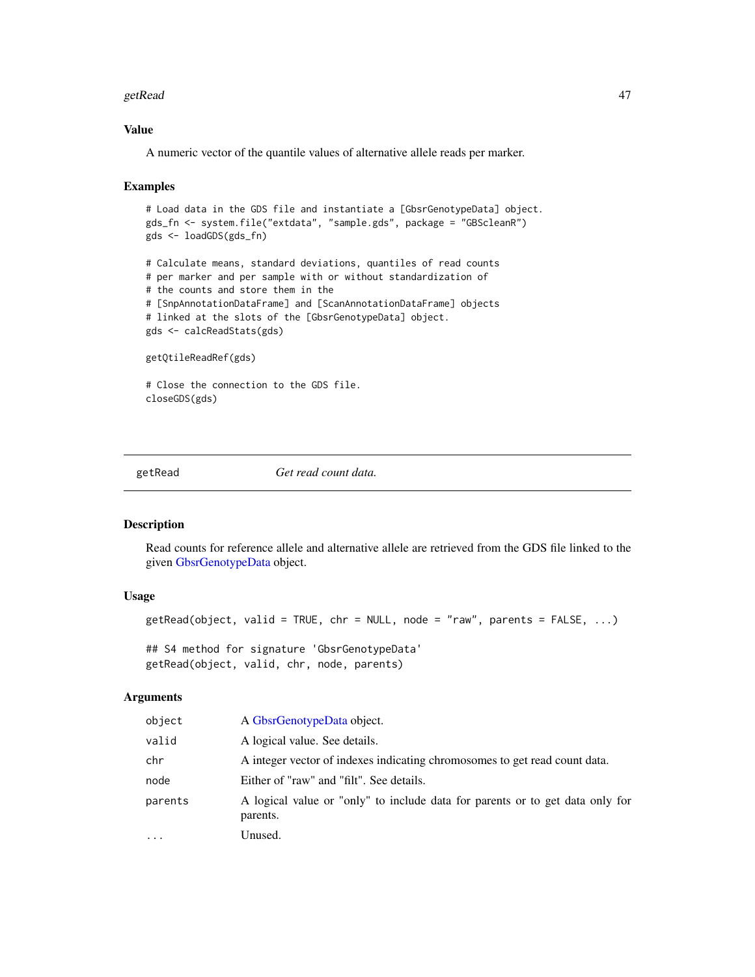#### getRead 47

# Value

A numeric vector of the quantile values of alternative allele reads per marker.

### Examples

```
# Load data in the GDS file and instantiate a [GbsrGenotypeData] object.
gds_fn <- system.file("extdata", "sample.gds", package = "GBScleanR")
gds <- loadGDS(gds_fn)
# Calculate means, standard deviations, quantiles of read counts
# per marker and per sample with or without standardization of
# the counts and store them in the
# [SnpAnnotationDataFrame] and [ScanAnnotationDataFrame] objects
# linked at the slots of the [GbsrGenotypeData] object.
gds <- calcReadStats(gds)
getQtileReadRef(gds)
# Close the connection to the GDS file.
closeGDS(gds)
```
getRead *Get read count data.*

### Description

Read counts for reference allele and alternative allele are retrieved from the GDS file linked to the given [GbsrGenotypeData](#page-16-0) object.

# Usage

```
getRead(object, valid = TRUE, chr = NULL, node = "raw", parents = FALSE, ...)
```
## S4 method for signature 'GbsrGenotypeData' getRead(object, valid, chr, node, parents)

| object  | A GbsrGenotypeData object.                                                                |
|---------|-------------------------------------------------------------------------------------------|
| valid   | A logical value. See details.                                                             |
| chr     | A integer vector of indexes indicating chromosomes to get read count data.                |
| node    | Either of "raw" and "filt". See details.                                                  |
| parents | A logical value or "only" to include data for parents or to get data only for<br>parents. |
| .       | Unused.                                                                                   |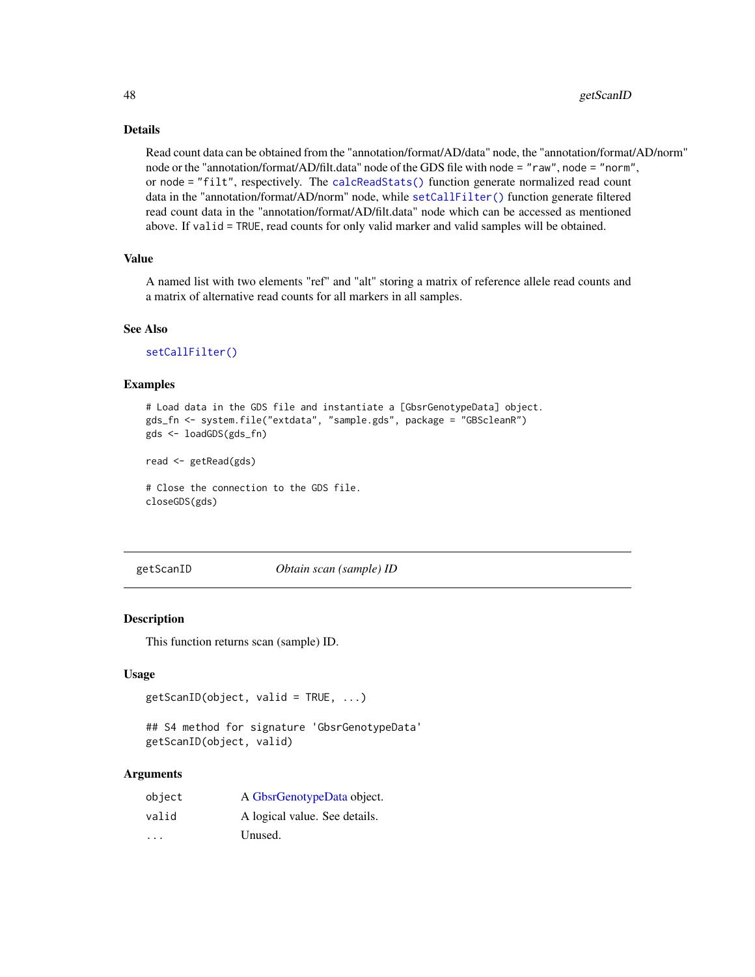# Details

Read count data can be obtained from the "annotation/format/AD/data" node, the "annotation/format/AD/norm" node or the "annotation/format/AD/filt.data" node of the GDS file with node = "raw", node = "norm", or node = "filt", respectively. The [calcReadStats\(\)](#page-7-0) function generate normalized read count data in the "annotation/format/AD/norm" node, while [setCallFilter\(\)](#page-77-0) function generate filtered read count data in the "annotation/format/AD/filt.data" node which can be accessed as mentioned above. If valid = TRUE, read counts for only valid marker and valid samples will be obtained.

# Value

A named list with two elements "ref" and "alt" storing a matrix of reference allele read counts and a matrix of alternative read counts for all markers in all samples.

### See Also

[setCallFilter\(\)](#page-77-0)

### Examples

```
# Load data in the GDS file and instantiate a [GbsrGenotypeData] object.
gds_fn <- system.file("extdata", "sample.gds", package = "GBScleanR")
gds <- loadGDS(gds_fn)
```
read <- getRead(gds)

# Close the connection to the GDS file. closeGDS(gds)

getScanID *Obtain scan (sample) ID*

#### **Description**

This function returns scan (sample) ID.

#### Usage

```
getScanID(object, valid = TRUE, ...)
```

```
## S4 method for signature 'GbsrGenotypeData'
getScanID(object, valid)
```

| object | A GbsrGenotypeData object.    |
|--------|-------------------------------|
| valid  | A logical value. See details. |
| .      | Unused.                       |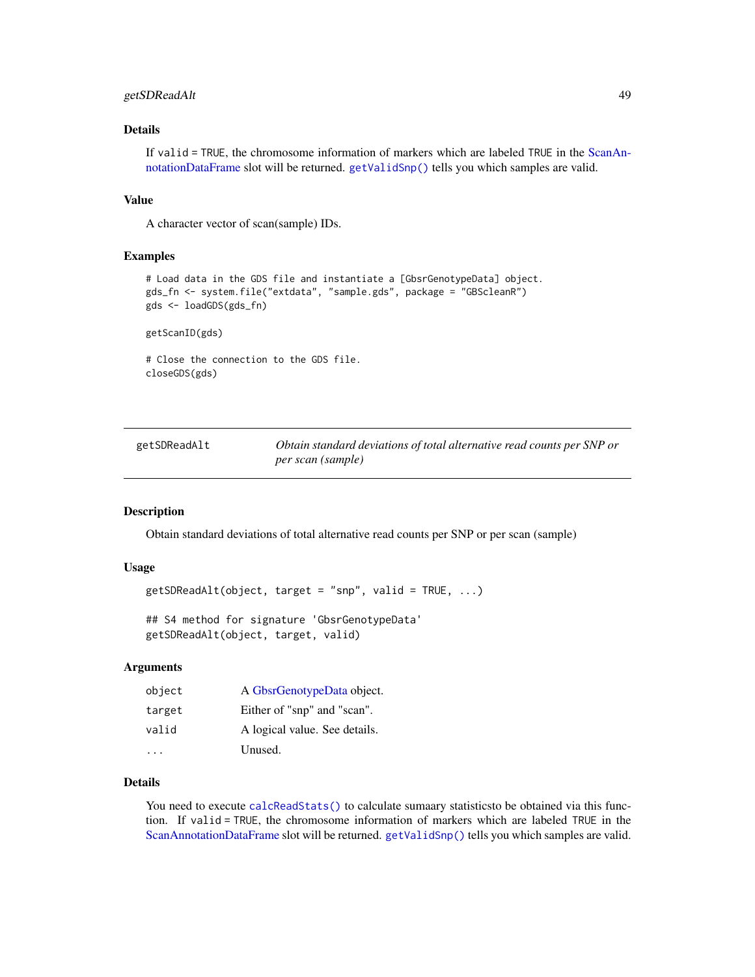# getSDReadAlt 49

# Details

If valid = TRUE, the chromosome information of markers which are labeled TRUE in the [ScanAn](#page-0-0)[notationDataFrame](#page-0-0) slot will be returned. [getValidSnp\(\)](#page-52-0) tells you which samples are valid.

#### Value

A character vector of scan(sample) IDs.

#### Examples

```
# Load data in the GDS file and instantiate a [GbsrGenotypeData] object.
gds_fn <- system.file("extdata", "sample.gds", package = "GBScleanR")
gds <- loadGDS(gds_fn)
```
getScanID(gds)

# Close the connection to the GDS file. closeGDS(gds)

getSDReadAlt *Obtain standard deviations of total alternative read counts per SNP or per scan (sample)*

#### Description

Obtain standard deviations of total alternative read counts per SNP or per scan (sample)

#### Usage

```
getSDReadAlt(object, target = "snp", valid = TRUE, ...)
```
## S4 method for signature 'GbsrGenotypeData' getSDReadAlt(object, target, valid)

#### Arguments

| object | A GbsrGenotypeData object.    |
|--------|-------------------------------|
| target | Either of "snp" and "scan".   |
| valid  | A logical value. See details. |
|        | Unused.                       |

# Details

You need to execute [calcReadStats\(\)](#page-7-0) to calculate sumaary statistics to be obtained via this function. If valid = TRUE, the chromosome information of markers which are labeled TRUE in the [ScanAnnotationDataFrame](#page-0-0) slot will be returned. [getValidSnp\(\)](#page-52-0) tells you which samples are valid.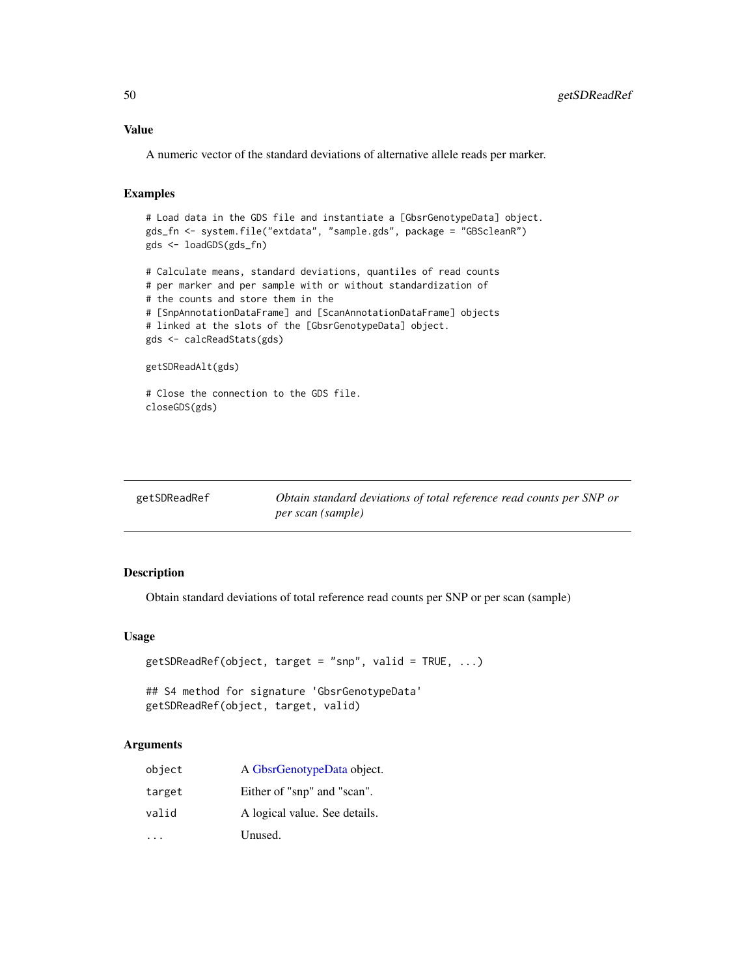### Value

A numeric vector of the standard deviations of alternative allele reads per marker.

# Examples

```
# Load data in the GDS file and instantiate a [GbsrGenotypeData] object.
gds_fn <- system.file("extdata", "sample.gds", package = "GBScleanR")
gds <- loadGDS(gds_fn)
# Calculate means, standard deviations, quantiles of read counts
# per marker and per sample with or without standardization of
# the counts and store them in the
# [SnpAnnotationDataFrame] and [ScanAnnotationDataFrame] objects
# linked at the slots of the [GbsrGenotypeData] object.
gds <- calcReadStats(gds)
getSDReadAlt(gds)
# Close the connection to the GDS file.
```

```
closeGDS(gds)
```

| getSDReadRef | Obtain standard deviations of total reference read counts per SNP or |
|--------------|----------------------------------------------------------------------|
|              | per scan (sample)                                                    |

### Description

Obtain standard deviations of total reference read counts per SNP or per scan (sample)

#### Usage

```
getSDReadRef(object, target = "snp", valid = TRUE, ...)
```
## S4 method for signature 'GbsrGenotypeData' getSDReadRef(object, target, valid)

| object | A GbsrGenotypeData object.    |
|--------|-------------------------------|
| target | Either of "snp" and "scan".   |
| valid  | A logical value. See details. |
|        | Unused.                       |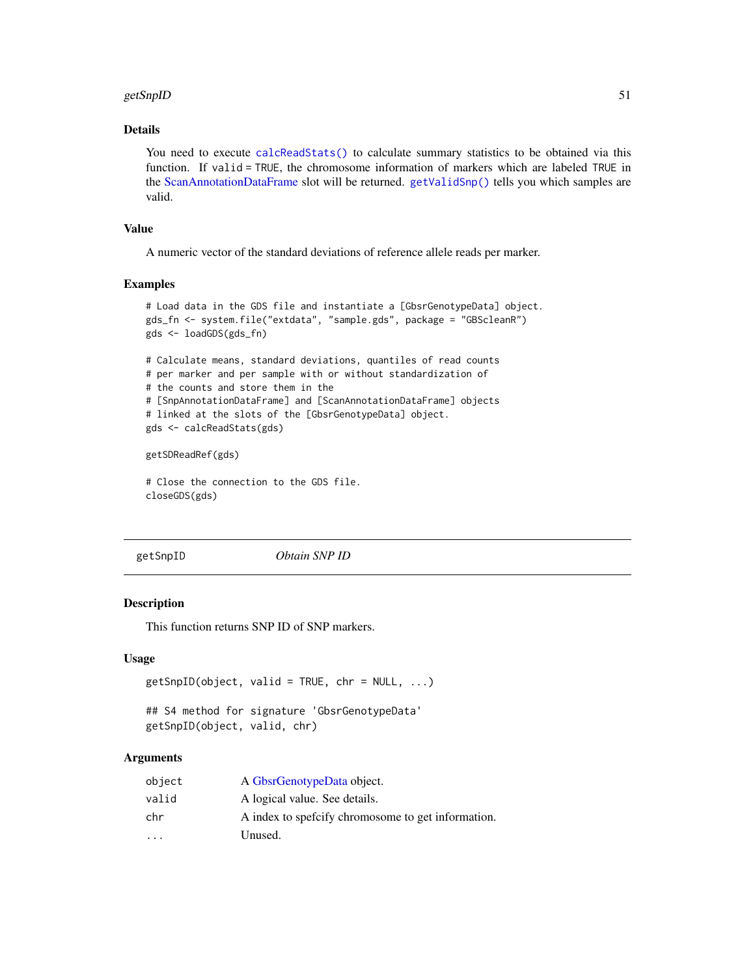#### getSnpID 51

# Details

You need to execute [calcReadStats\(\)](#page-7-0) to calculate summary statistics to be obtained via this function. If valid = TRUE, the chromosome information of markers which are labeled TRUE in the [ScanAnnotationDataFrame](#page-0-0) slot will be returned. [getValidSnp\(\)](#page-52-0) tells you which samples are valid.

### Value

A numeric vector of the standard deviations of reference allele reads per marker.

# Examples

```
# Load data in the GDS file and instantiate a [GbsrGenotypeData] object.
gds_fn <- system.file("extdata", "sample.gds", package = "GBScleanR")
gds <- loadGDS(gds_fn)
# Calculate means, standard deviations, quantiles of read counts
# per marker and per sample with or without standardization of
# the counts and store them in the
# [SnpAnnotationDataFrame] and [ScanAnnotationDataFrame] objects
# linked at the slots of the [GbsrGenotypeData] object.
```

```
gds <- calcReadStats(gds)
```
getSDReadRef(gds)

# Close the connection to the GDS file. closeGDS(gds)

getSnpID *Obtain SNP ID*

### Description

This function returns SNP ID of SNP markers.

### Usage

```
getSnpID(object, valid = TRUE, chr = NULL, ...)
```

```
## S4 method for signature 'GbsrGenotypeData'
getSnpID(object, valid, chr)
```

| object                  | A GbsrGenotypeData object.                          |
|-------------------------|-----------------------------------------------------|
| valid                   | A logical value. See details.                       |
| chr                     | A index to spefictly chromosome to get information. |
| $\cdot$ $\cdot$ $\cdot$ | Unused.                                             |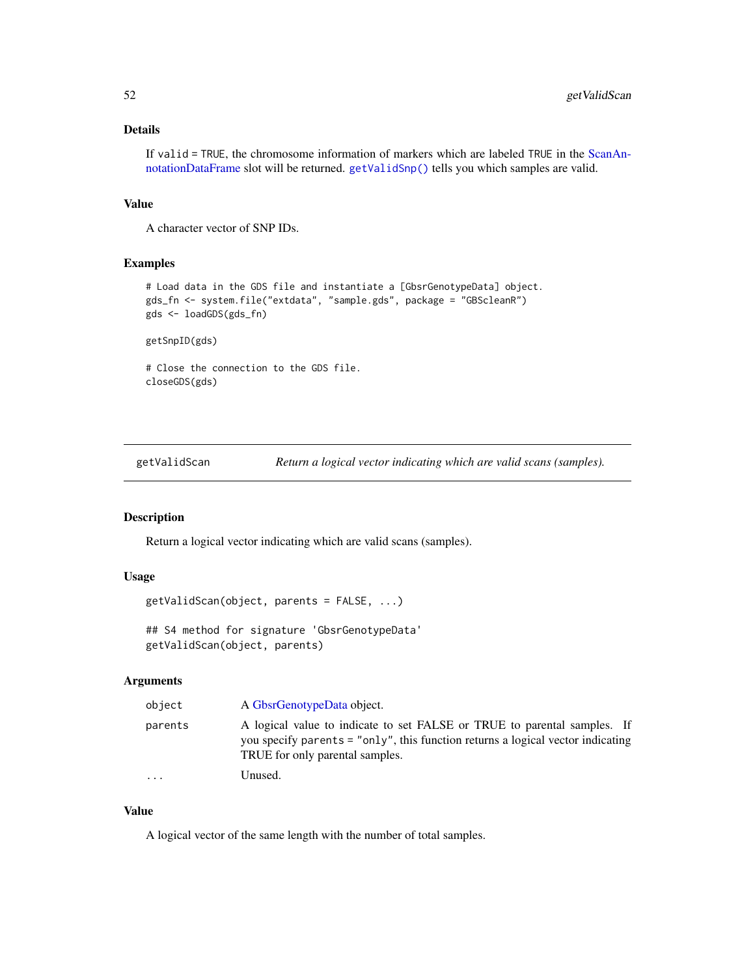# Details

If valid = TRUE, the chromosome information of markers which are labeled TRUE in the [ScanAn](#page-0-0)[notationDataFrame](#page-0-0) slot will be returned. [getValidSnp\(\)](#page-52-0) tells you which samples are valid.

### Value

A character vector of SNP IDs.

# Examples

```
# Load data in the GDS file and instantiate a [GbsrGenotypeData] object.
gds_fn <- system.file("extdata", "sample.gds", package = "GBScleanR")
gds <- loadGDS(gds_fn)
```
getSnpID(gds)

# Close the connection to the GDS file. closeGDS(gds)

<span id="page-51-0"></span>getValidScan *Return a logical vector indicating which are valid scans (samples).*

# Description

Return a logical vector indicating which are valid scans (samples).

# Usage

```
getValidScan(object, parents = FALSE, ...)
```
## S4 method for signature 'GbsrGenotypeData' getValidScan(object, parents)

#### Arguments

| object                  | A GbsrGenotypeData object.                                                                                                                                                                     |
|-------------------------|------------------------------------------------------------------------------------------------------------------------------------------------------------------------------------------------|
| parents                 | A logical value to indicate to set FALSE or TRUE to parental samples. If<br>you specify parents = "only", this function returns a logical vector indicating<br>TRUE for only parental samples. |
| $\cdot$ $\cdot$ $\cdot$ | Unused.                                                                                                                                                                                        |

### Value

A logical vector of the same length with the number of total samples.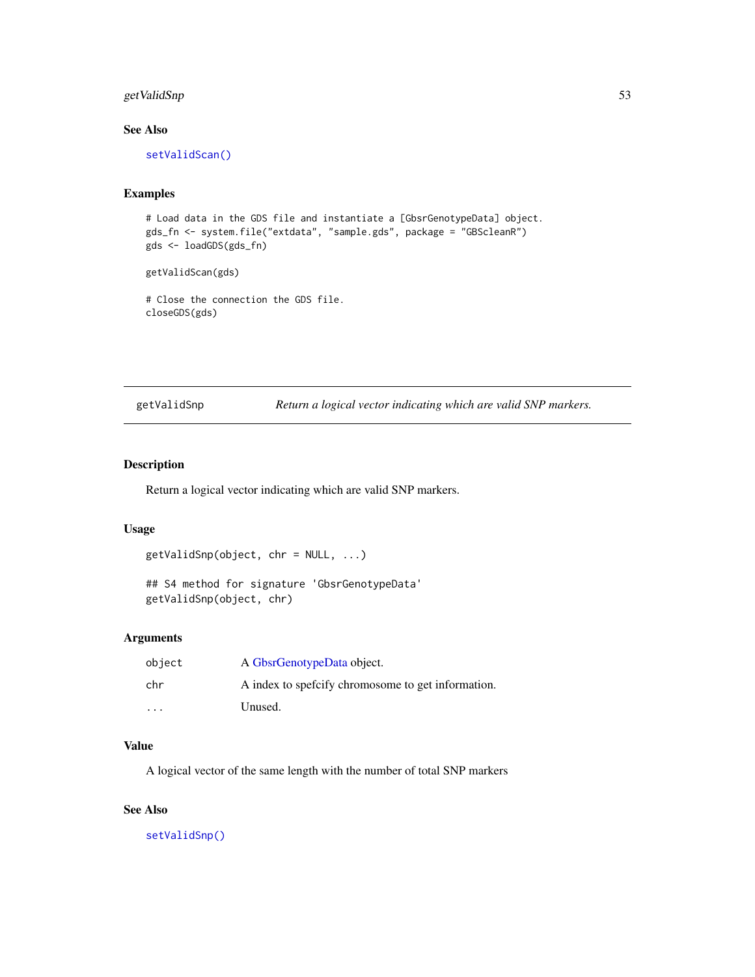# getValidSnp 53

# See Also

[setValidScan\(\)](#page-89-0)

# Examples

```
# Load data in the GDS file and instantiate a [GbsrGenotypeData] object.
gds_fn <- system.file("extdata", "sample.gds", package = "GBScleanR")
gds <- loadGDS(gds_fn)
```
getValidScan(gds)

# Close the connection the GDS file. closeGDS(gds)

<span id="page-52-0"></span>getValidSnp *Return a logical vector indicating which are valid SNP markers.*

# Description

Return a logical vector indicating which are valid SNP markers.

# Usage

```
getValidSnp(object, chr = NULL, ...)
```

```
## S4 method for signature 'GbsrGenotypeData'
getValidSnp(object, chr)
```
### Arguments

| object                  | A GbsrGenotypeData object.                        |
|-------------------------|---------------------------------------------------|
| chr                     | A index to specify chromosome to get information. |
| $\cdot$ $\cdot$ $\cdot$ | Unused.                                           |

### Value

A logical vector of the same length with the number of total SNP markers

### See Also

[setValidSnp\(\)](#page-90-0)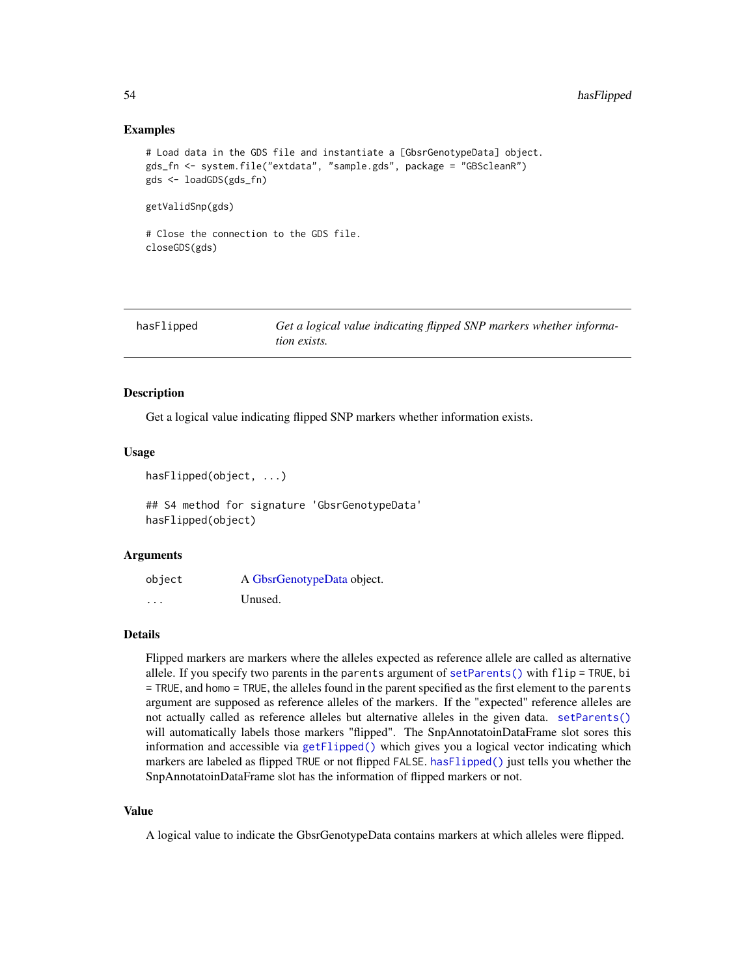### Examples

```
# Load data in the GDS file and instantiate a [GbsrGenotypeData] object.
gds_fn <- system.file("extdata", "sample.gds", package = "GBScleanR")
gds <- loadGDS(gds_fn)
getValidSnp(gds)
```

```
# Close the connection to the GDS file.
closeGDS(gds)
```
<span id="page-53-0"></span>

| hasFlipped | Get a logical value indicating flipped SNP markers whether informa- |
|------------|---------------------------------------------------------------------|
|            | <i>tion exists.</i>                                                 |

### Description

Get a logical value indicating flipped SNP markers whether information exists.

#### Usage

```
hasFlipped(object, ...)
```
## S4 method for signature 'GbsrGenotypeData' hasFlipped(object)

#### Arguments

| object | A GbsrGenotypeData object. |
|--------|----------------------------|
| .      | Unused.                    |

### Details

Flipped markers are markers where the alleles expected as reference allele are called as alternative allele. If you specify two parents in the parents argument of  $setParents()$  with  $flip = TRUE$ , bi = TRUE, and homo = TRUE, the alleles found in the parent specified as the first element to the parents argument are supposed as reference alleles of the markers. If the "expected" reference alleles are not actually called as reference alleles but alternative alleles in the given data. [setParents\(\)](#page-82-0) will automatically labels those markers "flipped". The SnpAnnotatoinDataFrame slot sores this information and accessible via [getFlipped\(\)](#page-32-0) which gives you a logical vector indicating which markers are labeled as flipped TRUE or not flipped FALSE. [hasFlipped\(\)](#page-53-0) just tells you whether the SnpAnnotatoinDataFrame slot has the information of flipped markers or not.

#### Value

A logical value to indicate the GbsrGenotypeData contains markers at which alleles were flipped.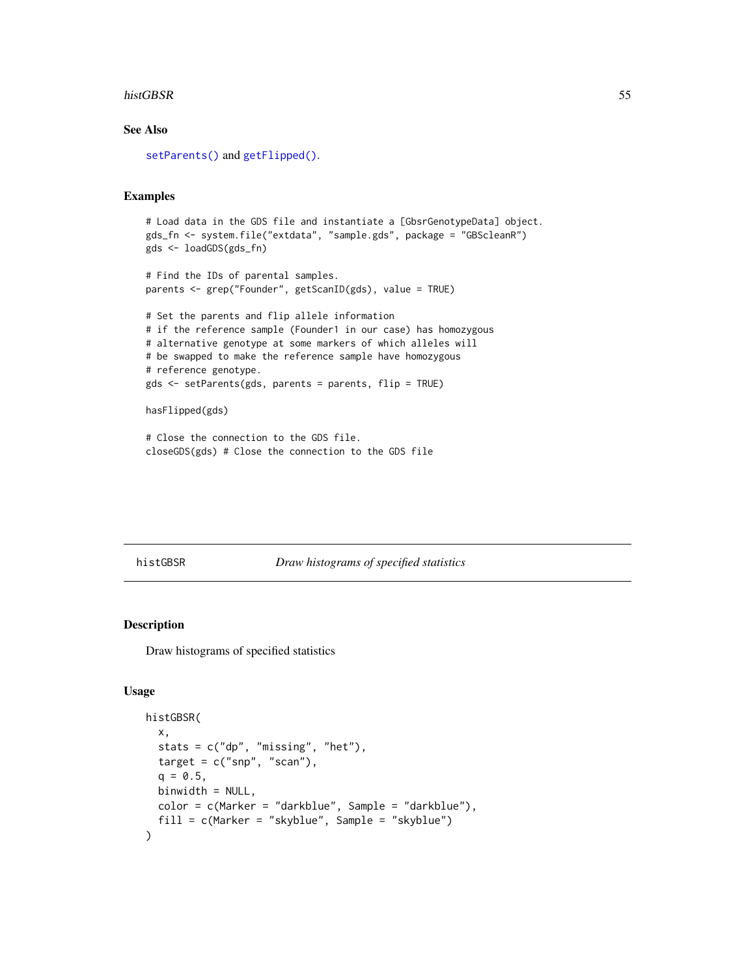#### histGBSR 55

# See Also

[setParents\(\)](#page-82-0) and [getFlipped\(\)](#page-32-0).

# Examples

```
# Load data in the GDS file and instantiate a [GbsrGenotypeData] object.
gds_fn <- system.file("extdata", "sample.gds", package = "GBScleanR")
gds <- loadGDS(gds_fn)
# Find the IDs of parental samples.
parents <- grep("Founder", getScanID(gds), value = TRUE)
# Set the parents and flip allele information
# if the reference sample (Founder1 in our case) has homozygous
# alternative genotype at some markers of which alleles will
# be swapped to make the reference sample have homozygous
# reference genotype.
gds <- setParents(gds, parents = parents, flip = TRUE)
```
hasFlipped(gds)

```
# Close the connection to the GDS file.
closeGDS(gds) # Close the connection to the GDS file
```
#### histGBSR *Draw histograms of specified statistics*

### Description

Draw histograms of specified statistics

```
histGBSR(
  x,
  stats = c("dp", "missing", "het"),
  target = c("snp", "scan"),q = 0.5,
 binwidth = NULL,
 color = c(Marker = "darkblue", Sample = "darkblue"),
  fill = c(Marker = "skyblue", Sample = "skyblue")
)
```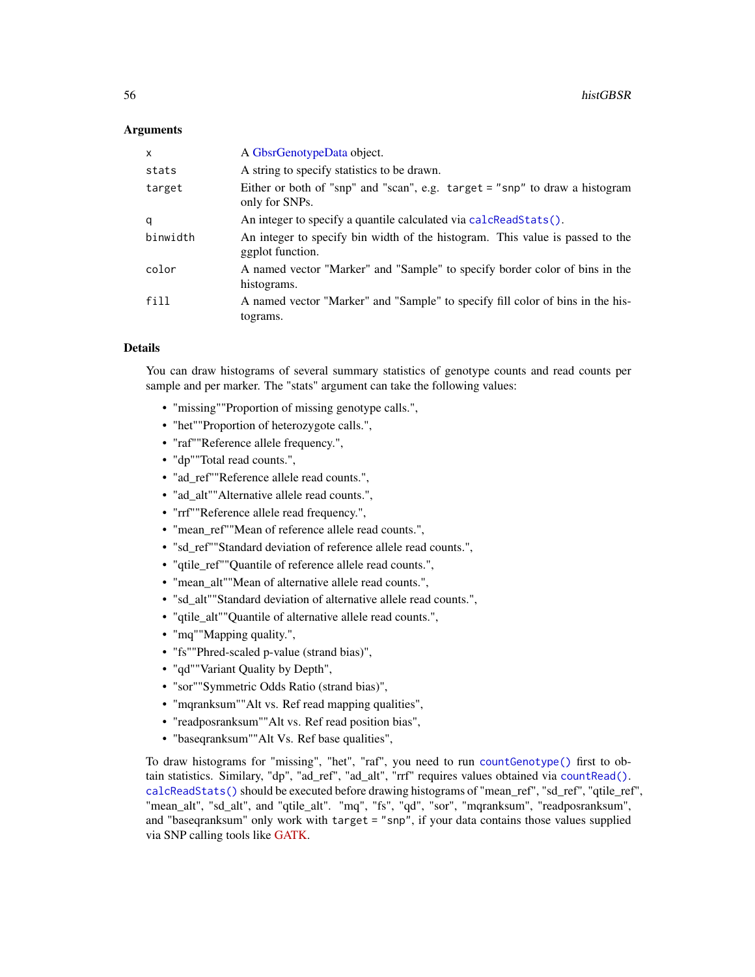### Arguments

| $\mathsf{x}$ | A GbsrGenotypeData object.                                                                        |
|--------------|---------------------------------------------------------------------------------------------------|
| stats        | A string to specify statistics to be drawn.                                                       |
| target       | Either or both of "snp" and "scan", e.g. target = "snp" to draw a histogram<br>only for SNPs.     |
| q            | An integer to specify a quantile calculated via calcReadStats().                                  |
| binwidth     | An integer to specify bin width of the histogram. This value is passed to the<br>ggplot function. |
| color        | A named vector "Marker" and "Sample" to specify border color of bins in the<br>histograms.        |
| fill         | A named vector "Marker" and "Sample" to specify fill color of bins in the his-<br>tograms.        |

# Details

You can draw histograms of several summary statistics of genotype counts and read counts per sample and per marker. The "stats" argument can take the following values:

- "missing""Proportion of missing genotype calls.",
- "het""Proportion of heterozygote calls.",
- "raf""Reference allele frequency.",
- "dp""Total read counts.",
- "ad\_ref""Reference allele read counts.",
- "ad\_alt""Alternative allele read counts.",
- "rrf""Reference allele read frequency.",
- "mean\_ref""Mean of reference allele read counts.",
- "sd\_ref""Standard deviation of reference allele read counts.",
- "qtile\_ref""Quantile of reference allele read counts.",
- "mean\_alt""Mean of alternative allele read counts.",
- "sd\_alt""Standard deviation of alternative allele read counts.",
- "qtile\_alt""Quantile of alternative allele read counts.",
- "mq""Mapping quality.",
- "fs""Phred-scaled p-value (strand bias)",
- "qd""Variant Quality by Depth",
- "sor""Symmetric Odds Ratio (strand bias)",
- "mqranksum""Alt vs. Ref read mapping qualities",
- "readposranksum""Alt vs. Ref read position bias",
- "baseqranksum""Alt Vs. Ref base qualities",

To draw histograms for "missing", "het", "raf", you need to run [countGenotype\(\)](#page-9-0) first to obtain statistics. Similary, "dp", "ad\_ref", "ad\_alt", "rrf" requires values obtained via [countRead\(\)](#page-11-0). [calcReadStats\(\)](#page-7-0) should be executed before drawing histograms of "mean\_ref", "sd\_ref", "qtile\_ref", "mean\_alt", "sd\_alt", and "qtile\_alt". "mq", "fs", "qd", "sor", "mqranksum", "readposranksum", and "baseqranksum" only work with target = "snp", if your data contains those values supplied via SNP calling tools like [GATK.](https://gatk.broadinstitute.org/hc/en-us)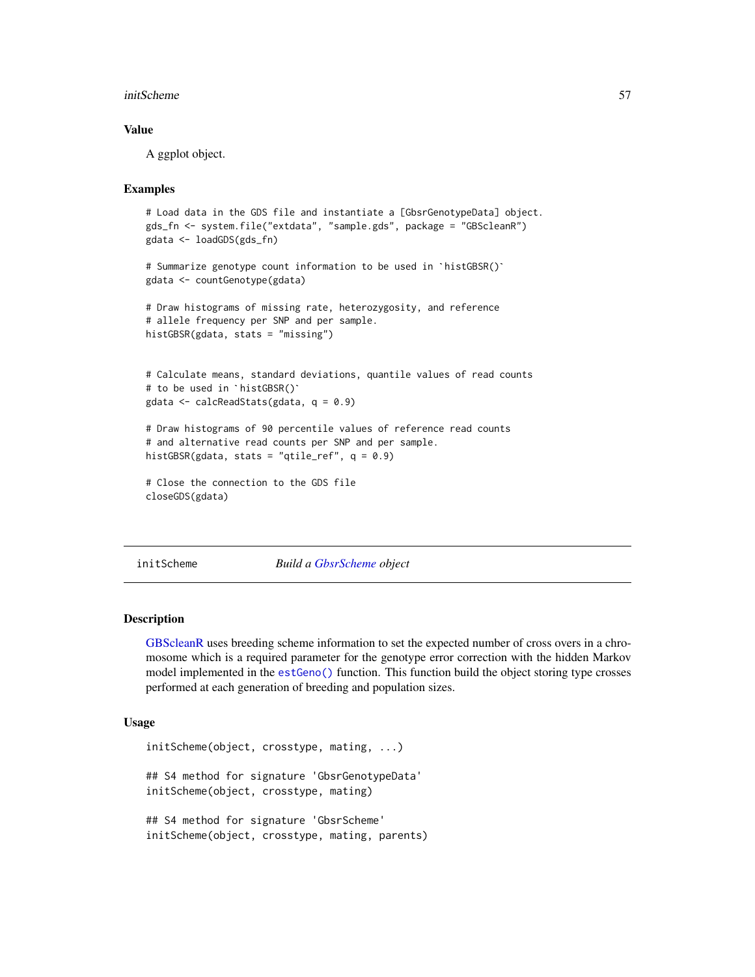#### initScheme 57

### Value

A ggplot object.

# Examples

```
# Load data in the GDS file and instantiate a [GbsrGenotypeData] object.
gds_fn <- system.file("extdata", "sample.gds", package = "GBScleanR")
# Summarize genotype count information to be used in `histGBSR()`
gdata <- loadGDS(gds_fn)
gdata <- countGenotype(gdata)
# Draw histograms of missing rate, heterozygosity, and reference
# allele frequency per SNP and per sample.
histGBSR(gdata, stats = "missing")
# Calculate means, standard deviations, quantile values of read counts
# Calculate means, standard<br># to be used in `histGBSR()`
gdata <- calcReadStats(gdata, q = 0.9)
# Draw histograms of 90 percentile values of reference read counts
# and alternative read counts per SNP and per sample.
histGBSR(gdata, stats = "qtile_ref", q = 0.9)
# Close the connection to the GDS file
closeGDS(gdata)
```
initScheme *Build a [GbsrScheme](#page-17-0) object*

### **Description**

[GBScleanR](#page-0-0) uses breeding scheme information to set the expected number of cross overs in a chromosome which is a required parameter for the genotype error correction with the hidden Markov model implemented in the [estGeno\(\)](#page-12-0) function. This function build the object storing type crosses performed at each generation of breeding and population sizes.

```
initScheme(object, crosstype, mating, ...)
## S4 method for signature 'GbsrGenotypeData'
initScheme(object, crosstype, mating)
## S4 method for signature 'GbsrScheme'
initScheme(object, crosstype, mating, parents)
```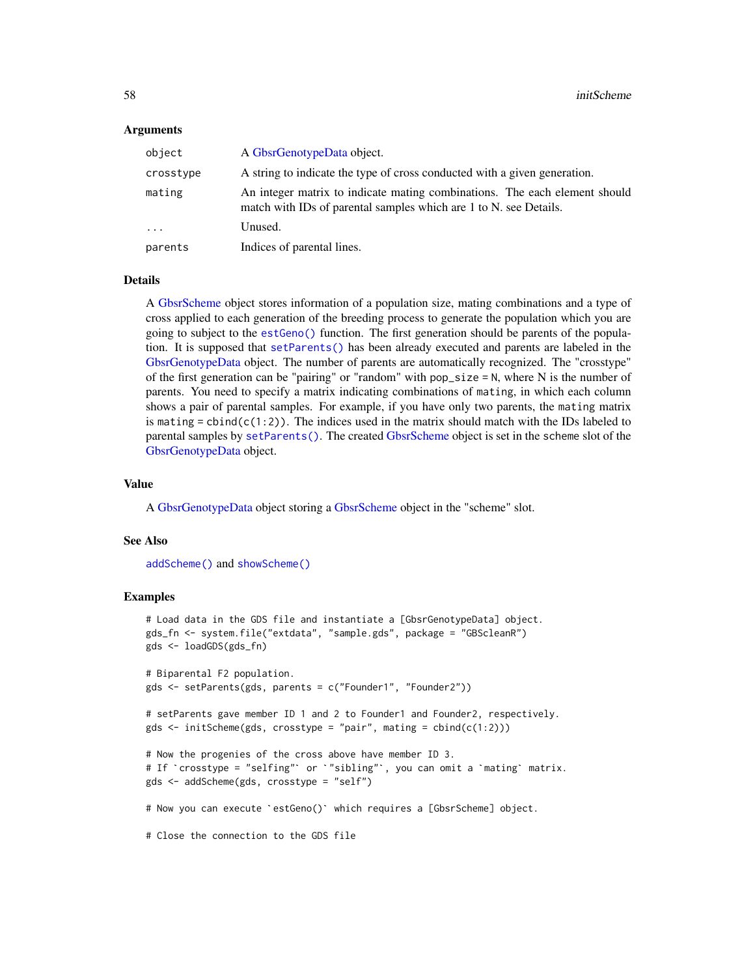#### Arguments

| object     | A GbsrGenotypeData object.                                                                                                                      |
|------------|-------------------------------------------------------------------------------------------------------------------------------------------------|
| crosstype  | A string to indicate the type of cross conducted with a given generation.                                                                       |
| mating     | An integer matrix to indicate mating combinations. The each element should<br>match with IDs of parental samples which are 1 to N, see Details. |
| $\ddots$ . | Unused.                                                                                                                                         |
| parents    | Indices of parental lines.                                                                                                                      |

#### Details

A [GbsrScheme](#page-17-0) object stores information of a population size, mating combinations and a type of cross applied to each generation of the breeding process to generate the population which you are going to subject to the [estGeno\(\)](#page-12-0) function. The first generation should be parents of the population. It is supposed that [setParents\(\)](#page-82-0) has been already executed and parents are labeled in the [GbsrGenotypeData](#page-16-0) object. The number of parents are automatically recognized. The "crosstype" of the first generation can be "pairing" or "random" with  $pop\_size = N$ , where N is the number of parents. You need to specify a matrix indicating combinations of mating, in which each column shows a pair of parental samples. For example, if you have only two parents, the mating matrix is mating =  $cbind(c(1:2))$ . The indices used in the matrix should match with the IDs labeled to parental samples by [setParents\(\)](#page-82-0). The created [GbsrScheme](#page-17-0) object is set in the scheme slot of the [GbsrGenotypeData](#page-16-0) object.

#### Value

A [GbsrGenotypeData](#page-16-0) object storing a [GbsrScheme](#page-17-0) object in the "scheme" slot.

#### See Also

[addScheme\(\)](#page-4-0) and [showScheme\(\)](#page-92-0)

### Examples

```
# Load data in the GDS file and instantiate a [GbsrGenotypeData] object.
gds_fn <- system.file("extdata", "sample.gds", package = "GBScleanR")
gds <- loadGDS(gds_fn)
# Biparental F2 population.
gds <- setParents(gds, parents = c("Founder1", "Founder2"))
# setParents gave member ID 1 and 2 to Founder1 and Founder2, respectively.
gds \le initScheme(gds, crosstype = "pair", mating = cbind(c(1:2)))
# Now the progenies of the cross above have member ID 3.
gds <- initScheme(gds, crosstype = "pair", mating = cbind(c(1:2)))<br># Now the progenies of the cross above have member ID 3.<br># If `crosstype = "selfing"` or `"sibling"`, you can omit a `mating` matrix.
gds <- addScheme(gds, crosstype = "self")
# If `crosstype = "selfing"` or `"sibling"`, you can omit a `mating` ma<br>gds <- addScheme(gds, crosstype = "self")<br># Now you can execute `estGeno()` which requires a [GbsrScheme] object.
# Close the connection to the GDS file
```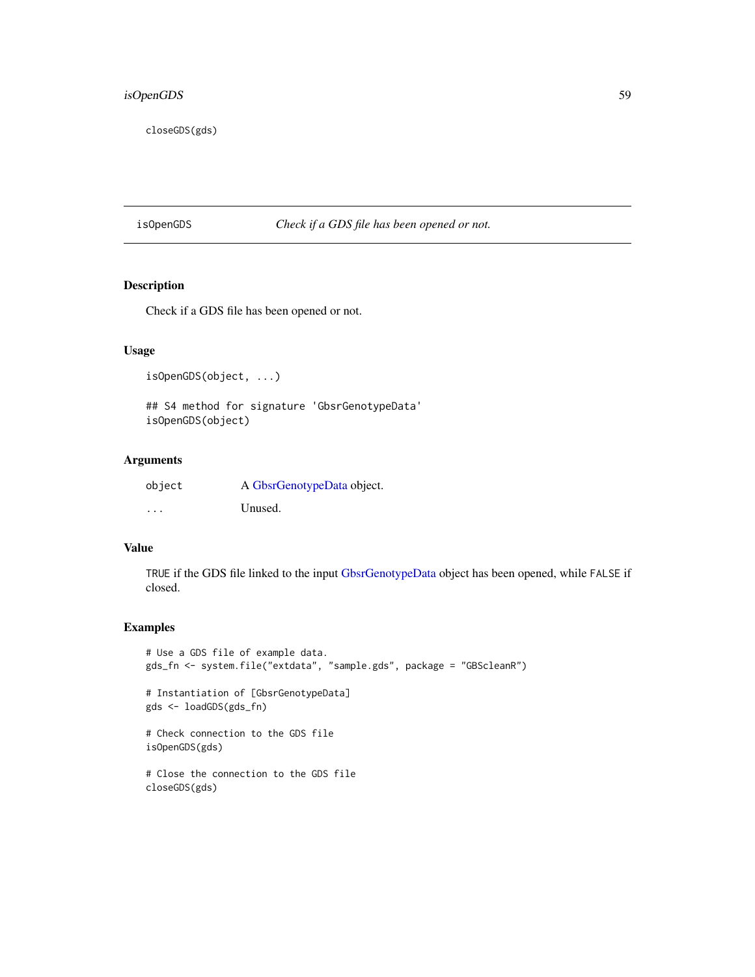# isOpenGDS 59

closeGDS(gds)

isOpenGDS *Check if a GDS file has been opened or not.*

# Description

Check if a GDS file has been opened or not.

# Usage

isOpenGDS(object, ...)

## S4 method for signature 'GbsrGenotypeData' isOpenGDS(object)

# Arguments

| object  | A GbsrGenotypeData object. |
|---------|----------------------------|
| $\cdot$ | Unused.                    |

### Value

TRUE if the GDS file linked to the input [GbsrGenotypeData](#page-16-0) object has been opened, while FALSE if closed.

### Examples

```
# Use a GDS file of example data.
gds_fn <- system.file("extdata", "sample.gds", package = "GBScleanR")
# Instantiation of [GbsrGenotypeData]
gds <- loadGDS(gds_fn)
# Check connection to the GDS file
isOpenGDS(gds)
# Close the connection to the GDS file
closeGDS(gds)
```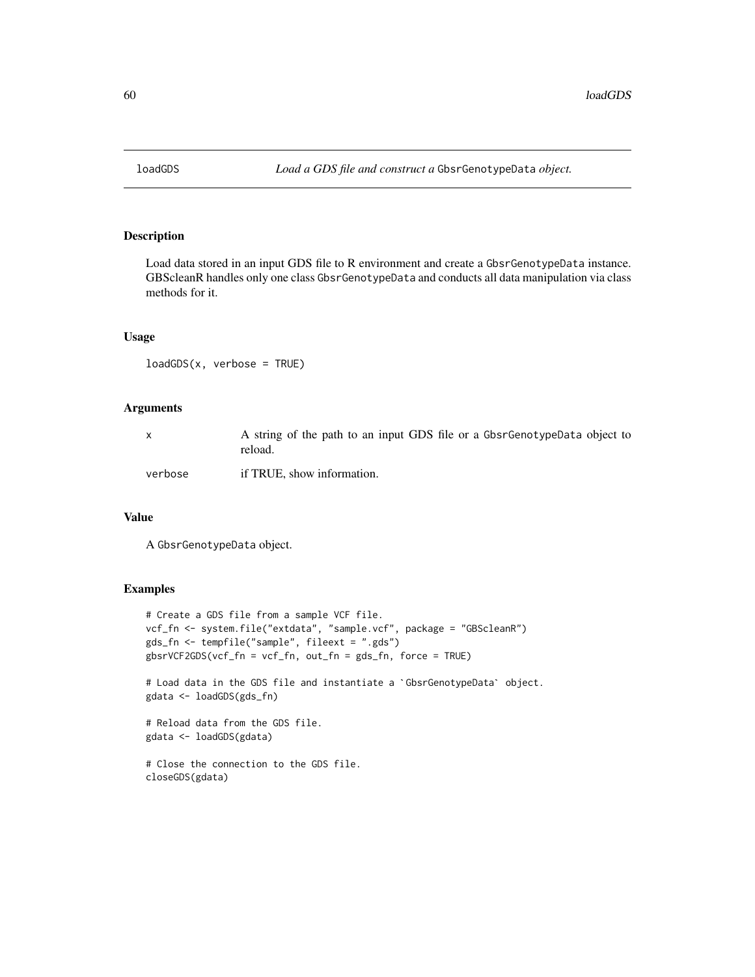### Description

Load data stored in an input GDS file to R environment and create a GbsrGenotypeData instance. GBScleanR handles only one class GbsrGenotypeData and conducts all data manipulation via class methods for it.

### Usage

```
loadGDS(x, verbose = TRUE)
```
# Arguments

|         | A string of the path to an input GDS file or a GbsrGenotypeData object to<br>reload. |
|---------|--------------------------------------------------------------------------------------|
| verbose | if TRUE, show information.                                                           |

# Value

A GbsrGenotypeData object.

## Examples

```
# Create a GDS file from a sample VCF file.
vcf_fn <- system.file("extdata", "sample.vcf", package = "GBScleanR")
gds_fn <- tempfile("sample", fileext = ".gds")
gbsrVCF2GDS(vcf_fn = vcf_fn, out_fn = gds_fn, force = TRUE)
```
# Load data in the GDS file and instantiate a `GbsrGenotypeData` object. gdata <- loadGDS(gds\_fn)

```
# Reload data from the GDS file.
gdata <- loadGDS(gdata)
```

```
# Close the connection to the GDS file.
closeGDS(gdata)
```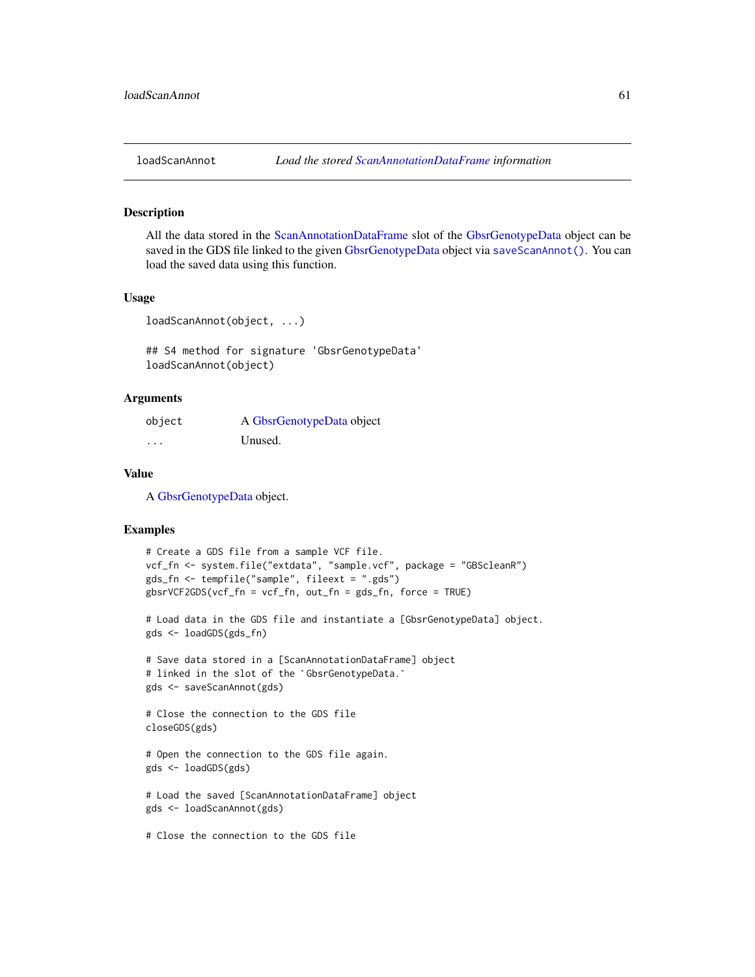#### Description

All the data stored in the [ScanAnnotationDataFrame](#page-0-0) slot of the [GbsrGenotypeData](#page-16-0) object can be saved in the GDS file linked to the given [GbsrGenotypeData](#page-16-0) object via saveScanAnnot (). You can load the saved data using this function.

### Usage

```
loadScanAnnot(object, ...)
```
## S4 method for signature 'GbsrGenotypeData' loadScanAnnot(object)

## Arguments

| object | A GbsrGenotypeData object |
|--------|---------------------------|
| .      | Unused.                   |

### Value

A [GbsrGenotypeData](#page-16-0) object.

### Examples

```
# Create a GDS file from a sample VCF file.
vcf_fn <- system.file("extdata", "sample.vcf", package = "GBScleanR")
gds_fn <- tempfile("sample", fileext = ".gds")
gbsrVCF2GDS(vcf_fn = vcf_fn, out_fn = gds_fn, force = TRUE)
```

```
# Load data in the GDS file and instantiate a [GbsrGenotypeData] object.
gds <- loadGDS(gds_fn)
```

```
# Save data stored in a [ScanAnnotationDataFrame] object
gds <<mark>- loadGDS(gds_fn)</mark><br># Save data stored in a [ScanAnnotationDataFram<br># linked in the slot of the `GbsrGenotypeData.`
gds <- saveScanAnnot(gds)
```

```
# Close the connection to the GDS file
closeGDS(gds)
```
# Open the connection to the GDS file again. gds <- loadGDS(gds)

```
# Load the saved [ScanAnnotationDataFrame] object
gds <- loadScanAnnot(gds)
```
# Close the connection to the GDS file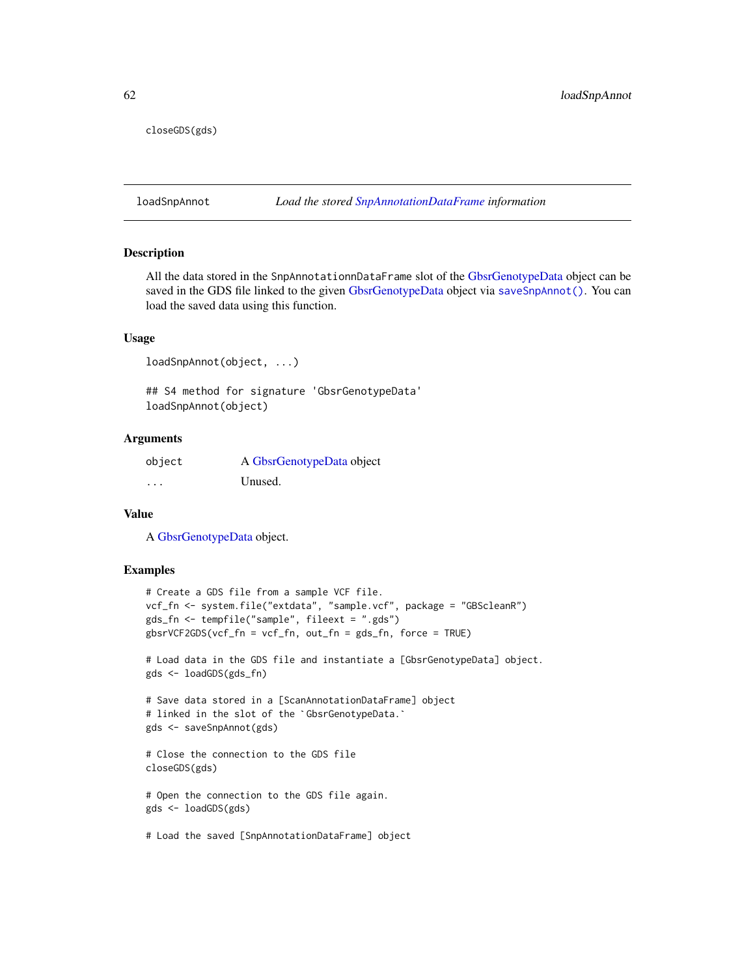closeGDS(gds)

loadSnpAnnot *Load the stored [SnpAnnotationDataFrame](#page-0-0) information*

#### Description

All the data stored in the SnpAnnotationnDataFrame slot of the [GbsrGenotypeData](#page-16-0) object can be saved in the GDS file linked to the given [GbsrGenotypeData](#page-16-0) object via [saveSnpAnnot\(\)](#page-76-0). You can load the saved data using this function.

#### Usage

```
loadSnpAnnot(object, ...)
```
## S4 method for signature 'GbsrGenotypeData' loadSnpAnnot(object)

### **Arguments**

| object | A GbsrGenotypeData object |
|--------|---------------------------|
| .      | Unused.                   |

#### Value

A [GbsrGenotypeData](#page-16-0) object.

### Examples

```
# Create a GDS file from a sample VCF file.
vcf_fn <- system.file("extdata", "sample.vcf", package = "GBScleanR")
gds_fn <- tempfile("sample", fileext = ".gds")
gbsrVCF2GDS(vcf_fn = vcf_fn, out_fn = gds_fn, force = TRUE)
```
# Load data in the GDS file and instantiate a [GbsrGenotypeData] object. gds <- loadGDS(gds\_fn)

```
# Save data stored in a [ScanAnnotationDataFrame] object
gds <<mark>- loadGDS(gds_fn)</mark><br># Save data stored in a [ScanAnnotationDataFram<br># linked in the slot of the `GbsrGenotypeData.`
gds <- saveSnpAnnot(gds)
```
# Close the connection to the GDS file closeGDS(gds)

# Open the connection to the GDS file again. gds <- loadGDS(gds)

# Load the saved [SnpAnnotationDataFrame] object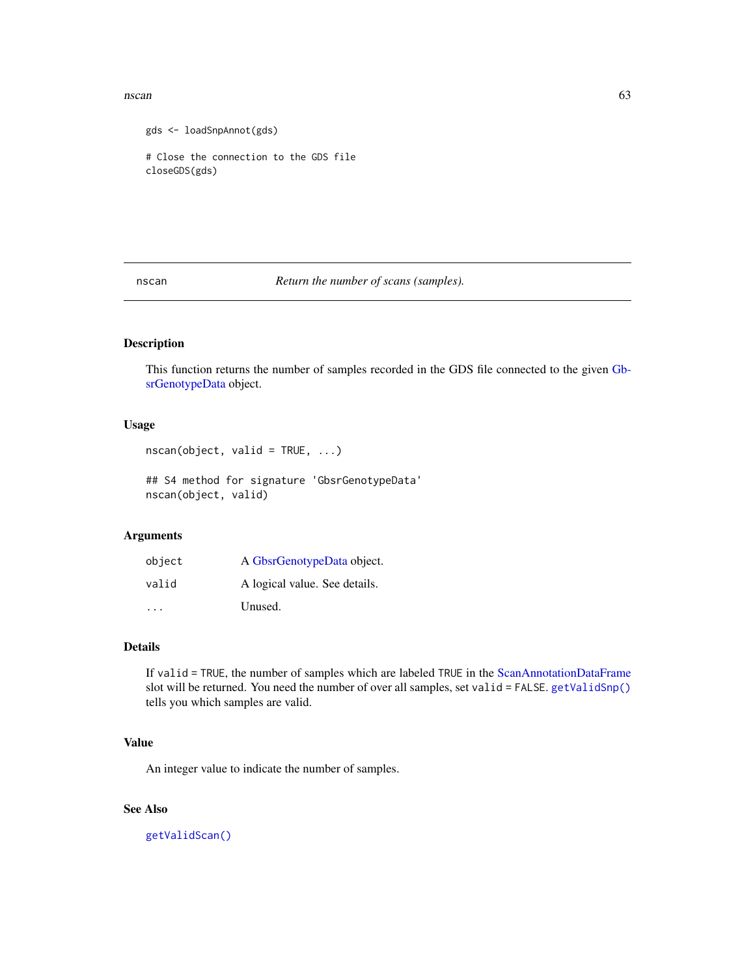#### $\frac{1}{63}$  nscan 63

```
gds <- loadSnpAnnot(gds)
# Close the connection to the GDS file
closeGDS(gds)
```
nscan *Return the number of scans (samples).*

# Description

This function returns the number of samples recorded in the GDS file connected to the given [Gb](#page-16-0)[srGenotypeData](#page-16-0) object.

# Usage

```
nscan(object, valid = TRUE, ...)
```

```
## S4 method for signature 'GbsrGenotypeData'
nscan(object, valid)
```
# Arguments

| object | A GbsrGenotypeData object.    |
|--------|-------------------------------|
| valid  | A logical value. See details. |
| .      | Unused.                       |

# Details

If valid = TRUE, the number of samples which are labeled TRUE in the [ScanAnnotationDataFrame](#page-0-0) slot will be returned. You need the number of over all samples, set valid = FALSE. [getValidSnp\(\)](#page-52-0) tells you which samples are valid.

### Value

An integer value to indicate the number of samples.

# See Also

[getValidScan\(\)](#page-51-0)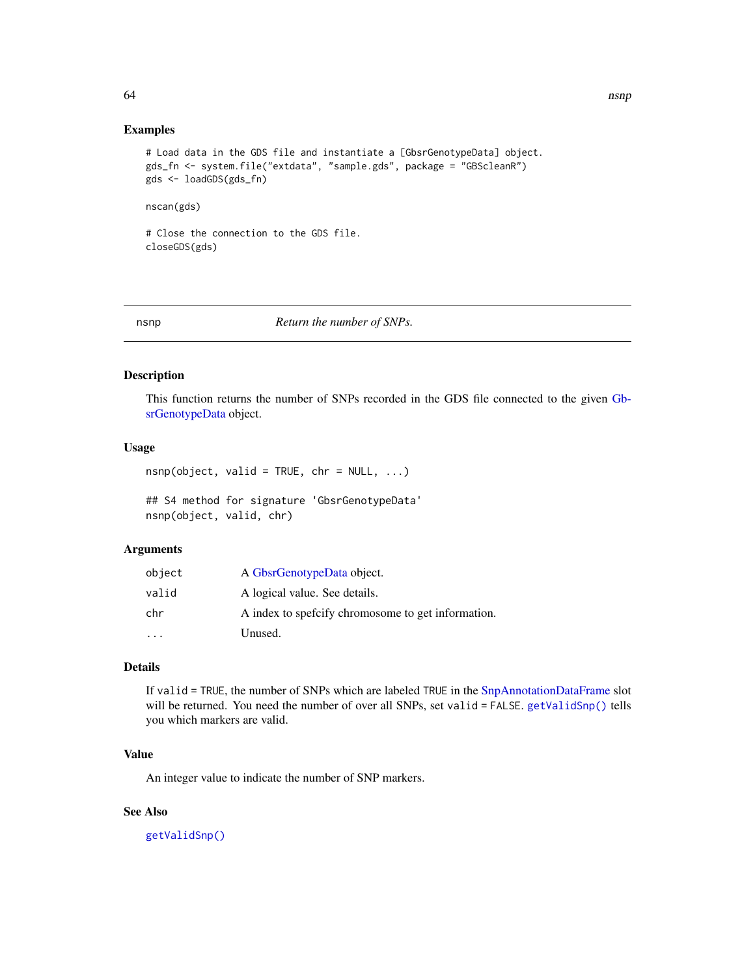#### Examples

```
# Load data in the GDS file and instantiate a [GbsrGenotypeData] object.
gds_fn <- system.file("extdata", "sample.gds", package = "GBScleanR")
gds <- loadGDS(gds_fn)
```
nscan(gds)

# Close the connection to the GDS file. closeGDS(gds)

#### nsnp *Return the number of SNPs.*

### Description

This function returns the number of SNPs recorded in the GDS file connected to the given [Gb](#page-16-0)[srGenotypeData](#page-16-0) object.

# Usage

 $n$ snp(object, valid = TRUE, chr = NULL, ...)

## S4 method for signature 'GbsrGenotypeData' nsnp(object, valid, chr)

### Arguments

| object                  | A GbsrGenotypeData object.                          |
|-------------------------|-----------------------------------------------------|
| valid                   | A logical value. See details.                       |
| chr                     | A index to spefictly chromosome to get information. |
| $\cdot$ $\cdot$ $\cdot$ | Unused.                                             |

#### Details

If valid = TRUE, the number of SNPs which are labeled TRUE in the [SnpAnnotationDataFrame](#page-0-0) slot will be returned. You need the number of over all SNPs, set valid = FALSE. [getValidSnp\(\)](#page-52-0) tells you which markers are valid.

# Value

An integer value to indicate the number of SNP markers.

# See Also

[getValidSnp\(\)](#page-52-0)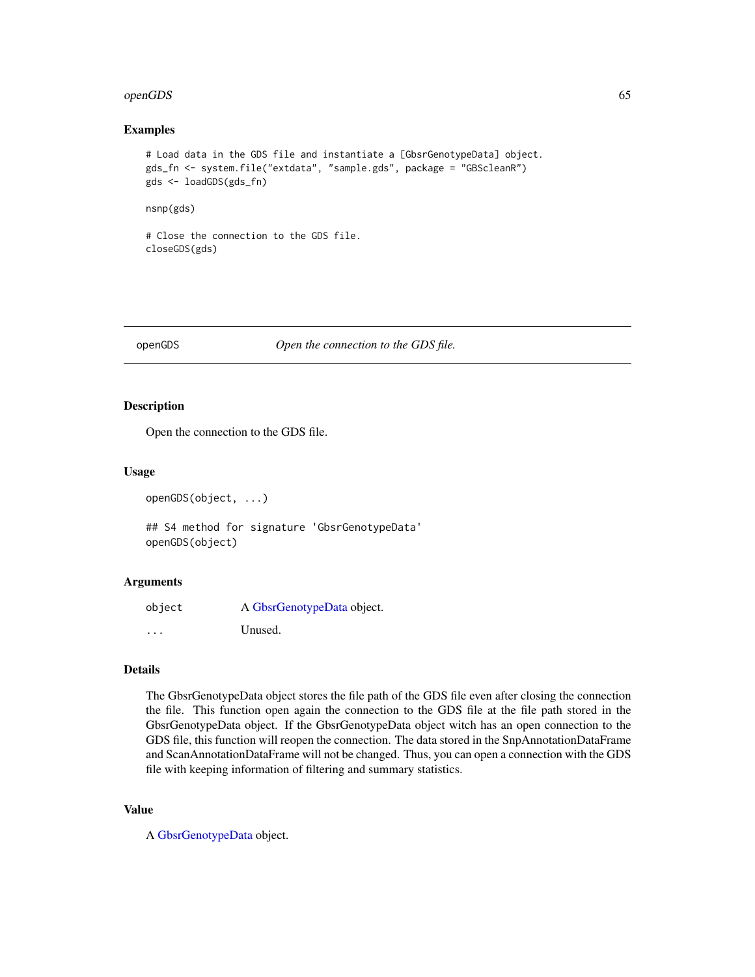#### openGDS 65

#### Examples

```
# Load data in the GDS file and instantiate a [GbsrGenotypeData] object.
gds_fn <- system.file("extdata", "sample.gds", package = "GBScleanR")
gds <- loadGDS(gds_fn)
```
nsnp(gds)

# Close the connection to the GDS file. closeGDS(gds)

openGDS *Open the connection to the GDS file.*

# Description

Open the connection to the GDS file.

### Usage

```
openGDS(object, ...)
```
## S4 method for signature 'GbsrGenotypeData' openGDS(object)

### Arguments

| object               | A GbsrGenotypeData object. |
|----------------------|----------------------------|
| $\ddot{\phantom{0}}$ | Unused.                    |

#### Details

The GbsrGenotypeData object stores the file path of the GDS file even after closing the connection the file. This function open again the connection to the GDS file at the file path stored in the GbsrGenotypeData object. If the GbsrGenotypeData object witch has an open connection to the GDS file, this function will reopen the connection. The data stored in the SnpAnnotationDataFrame and ScanAnnotationDataFrame will not be changed. Thus, you can open a connection with the GDS file with keeping information of filtering and summary statistics.

### Value

A [GbsrGenotypeData](#page-16-0) object.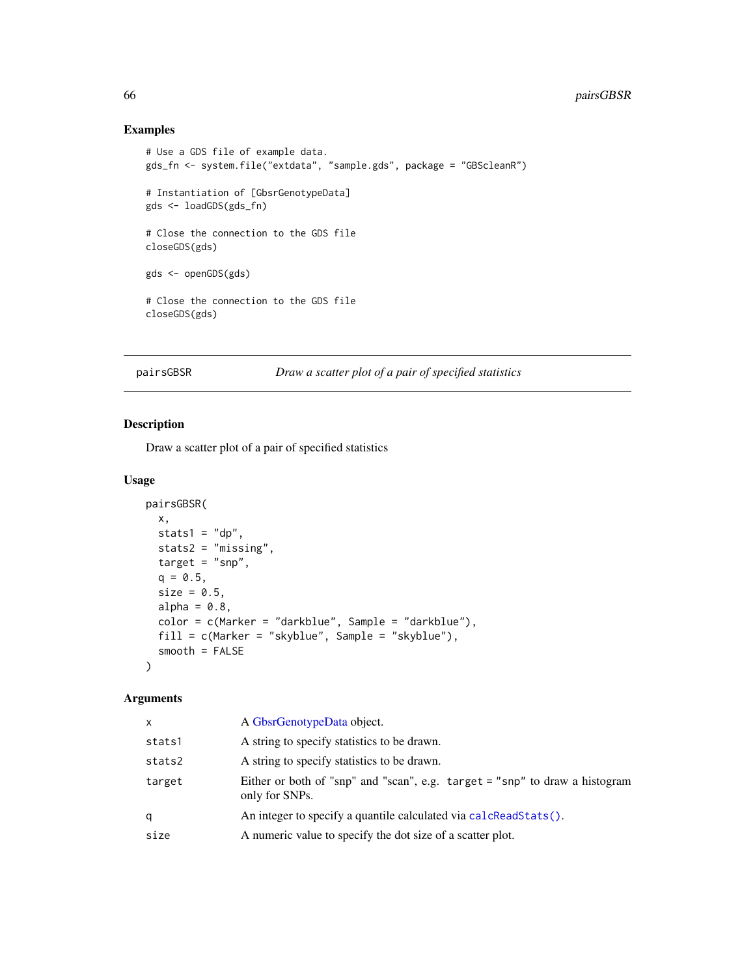# 66 pairsGBSR

# Examples

```
# Use a GDS file of example data.
gds_fn <- system.file("extdata", "sample.gds", package = "GBScleanR")
# Instantiation of [GbsrGenotypeData]
gds <- loadGDS(gds_fn)
# Close the connection to the GDS file
closeGDS(gds)
gds <- openGDS(gds)
# Close the connection to the GDS file
closeGDS(gds)
```
pairsGBSR *Draw a scatter plot of a pair of specified statistics*

# Description

Draw a scatter plot of a pair of specified statistics

### Usage

```
pairsGBSR(
 x,
  stats1 = "dp",stats2 = "missing",
  target = "snp",q = 0.5,
  size = 0.5,
 alpha = 0.8,
  color = c(Marker = "darkblue", Sample = "darkblue"),
 fill = c(Marker = "skyblue", Sample = "skyblue"),
  smooth = FALSE
\mathcal{L}
```

| x      | A GbsrGenotypeData object.                                                                    |
|--------|-----------------------------------------------------------------------------------------------|
| stats1 | A string to specify statistics to be drawn.                                                   |
| stats2 | A string to specify statistics to be drawn.                                                   |
| target | Either or both of "snp" and "scan", e.g. target = "snp" to draw a histogram<br>only for SNPs. |
| q      | An integer to specify a quantile calculated via calcReadStats().                              |
| size   | A numeric value to specify the dot size of a scatter plot.                                    |
|        |                                                                                               |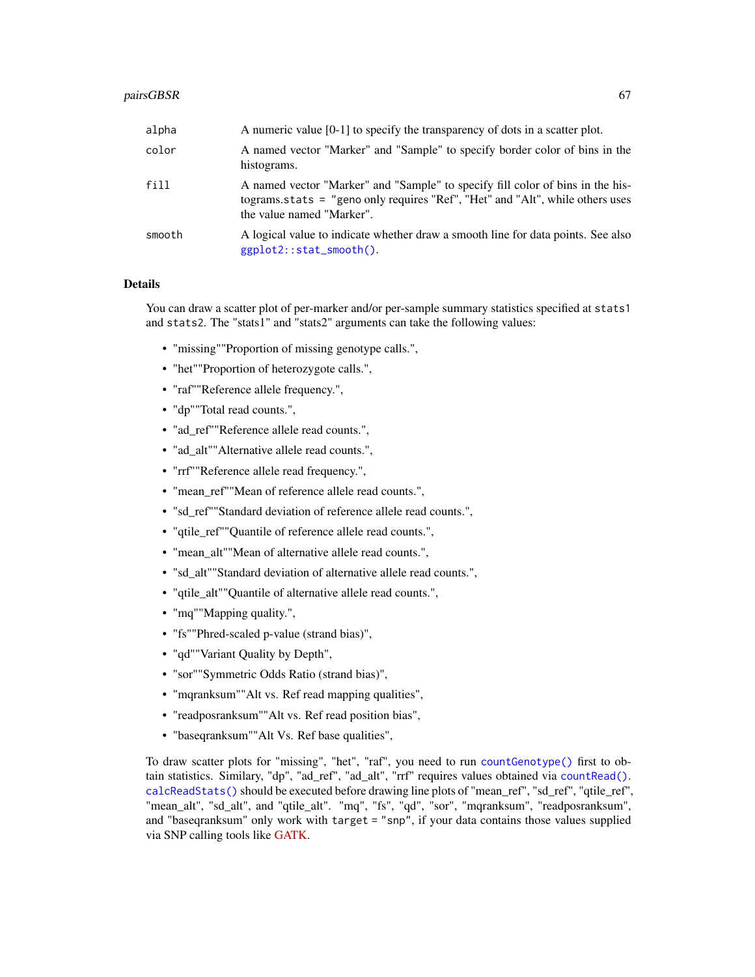#### pairsGBSR 67

| alpha  | A numeric value $[0-1]$ to specify the transparency of dots in a scatter plot.                                                                                                               |
|--------|----------------------------------------------------------------------------------------------------------------------------------------------------------------------------------------------|
| color  | A named vector "Marker" and "Sample" to specify border color of bins in the<br>histograms.                                                                                                   |
| fill   | A named vector "Marker" and "Sample" to specify fill color of bins in the his-<br>tograms.stats = "geno only requires "Ref", "Het" and "Alt", while others uses<br>the value named "Marker". |
| smooth | A logical value to indicate whether draw a smooth line for data points. See also<br>ggplot2::stat_smooth().                                                                                  |

# Details

You can draw a scatter plot of per-marker and/or per-sample summary statistics specified at stats1 and stats2. The "stats1" and "stats2" arguments can take the following values:

- "missing""Proportion of missing genotype calls.",
- "het""Proportion of heterozygote calls.",
- "raf""Reference allele frequency.",
- "dp""Total read counts.",
- "ad\_ref""Reference allele read counts.",
- "ad\_alt""Alternative allele read counts.",
- "rrf""Reference allele read frequency.",
- "mean\_ref""Mean of reference allele read counts.",
- "sd\_ref""Standard deviation of reference allele read counts.",
- "qtile\_ref""Quantile of reference allele read counts.",
- "mean\_alt""Mean of alternative allele read counts.",
- "sd\_alt""Standard deviation of alternative allele read counts.",
- "qtile\_alt""Quantile of alternative allele read counts.",
- "mq""Mapping quality.",
- "fs""Phred-scaled p-value (strand bias)",
- "qd""Variant Quality by Depth",
- "sor""Symmetric Odds Ratio (strand bias)",
- "mqranksum""Alt vs. Ref read mapping qualities",
- "readposranksum""Alt vs. Ref read position bias",
- "baseqranksum""Alt Vs. Ref base qualities",

To draw scatter plots for "missing", "het", "raf", you need to run [countGenotype\(\)](#page-9-0) first to obtain statistics. Similary, "dp", "ad\_ref", "ad\_alt", "rrf" requires values obtained via [countRead\(\)](#page-11-0). [calcReadStats\(\)](#page-7-0) should be executed before drawing line plots of "mean\_ref", "sd\_ref", "qtile\_ref", "mean\_alt", "sd\_alt", and "qtile\_alt". "mq", "fs", "qd", "sor", "mqranksum", "readposranksum", and "baseqranksum" only work with target = "snp", if your data contains those values supplied via SNP calling tools like [GATK.](https://gatk.broadinstitute.org/hc/en-us)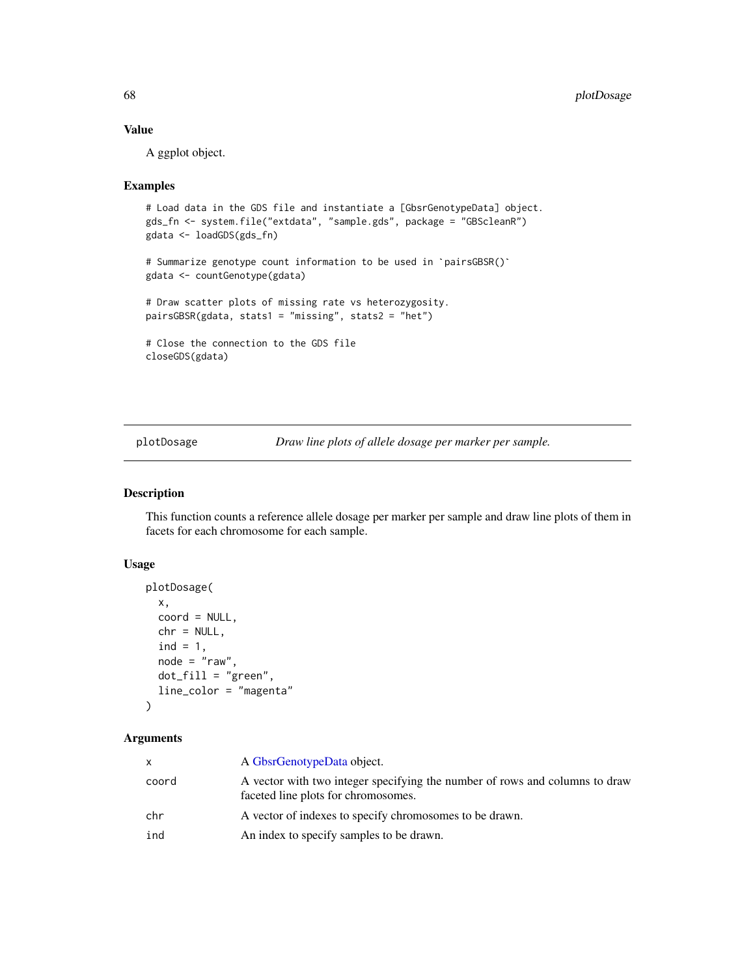### Value

A ggplot object.

#### Examples

```
# Load data in the GDS file and instantiate a [GbsrGenotypeData] object.
gds_fn <- system.file("extdata", "sample.gds", package = "GBScleanR")
# Summarize genotype count information to be used in `pairsGBSR()`
gdata <- loadGDS(gds_fn)
gdata <- countGenotype(gdata)
# Draw scatter plots of missing rate vs heterozygosity.
pairsGBSR(gdata, stats1 = "missing", stats2 = "het")
# Close the connection to the GDS file
closeGDS(gdata)
```
plotDosage *Draw line plots of allele dosage per marker per sample.*

# Description

This function counts a reference allele dosage per marker per sample and draw line plots of them in facets for each chromosome for each sample.

# Usage

```
plotDosage(
  x,
  coord = NULL,
  chr = NULL,
  ind = 1,
  node = "raw",dot_fill = "green",
  line_color = "magenta"
)
```

| x.    | A GbsrGenotypeData object.                                                                                         |
|-------|--------------------------------------------------------------------------------------------------------------------|
| coord | A vector with two integer specifying the number of rows and columns to draw<br>faceted line plots for chromosomes. |
| chr   | A vector of indexes to specify chromosomes to be drawn.                                                            |
| ind   | An index to specify samples to be drawn.                                                                           |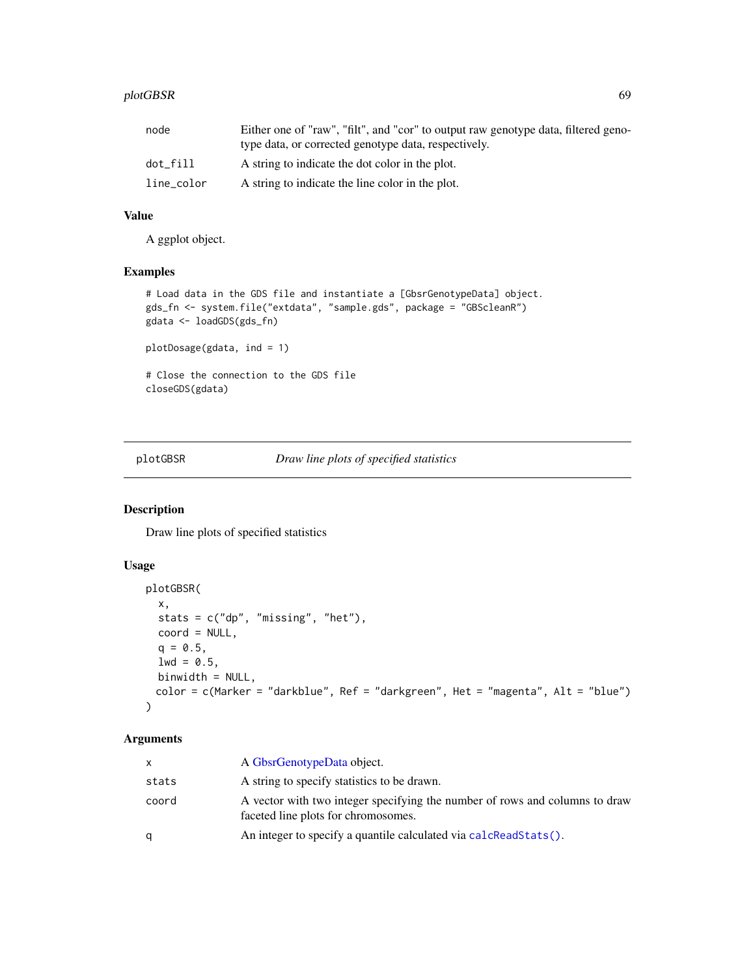# plotGBSR 69

| node       | Either one of "raw", "filt", and "cor" to output raw genotype data, filtered geno-<br>type data, or corrected genotype data, respectively. |
|------------|--------------------------------------------------------------------------------------------------------------------------------------------|
| dot fill   | A string to indicate the dot color in the plot.                                                                                            |
| line_color | A string to indicate the line color in the plot.                                                                                           |

# Value

A ggplot object.

# Examples

```
# Load data in the GDS file and instantiate a [GbsrGenotypeData] object.
gds_fn <- system.file("extdata", "sample.gds", package = "GBScleanR")
gdata <- loadGDS(gds_fn)
plotDosage(gdata, ind = 1)
# Close the connection to the GDS file
closeGDS(gdata)
```
plotGBSR *Draw line plots of specified statistics*

# Description

Draw line plots of specified statistics

# Usage

```
plotGBSR(
  x,
  stats = c("dp", "missing", "het"),
 coord = NULL,
 q = 0.5,
 1wd = 0.5,
 binwidth = NULL,color = c(Marker = "darkblue", Ref = "darkgreen", Het = "magenta", Alt = "blue")
)
```

| x     | A GbsrGenotypeData object.                                                                                         |
|-------|--------------------------------------------------------------------------------------------------------------------|
| stats | A string to specify statistics to be drawn.                                                                        |
| coord | A vector with two integer specifying the number of rows and columns to draw<br>faceted line plots for chromosomes. |
| a     | An integer to specify a quantile calculated via calcReadStats().                                                   |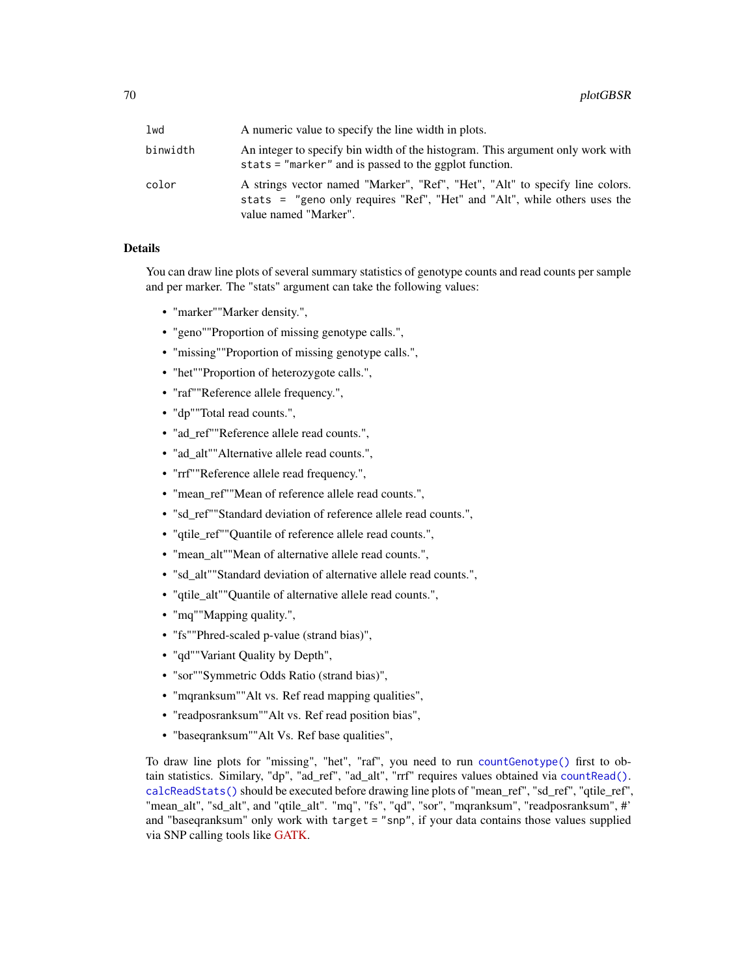| lwd      | A numeric value to specify the line width in plots.                                                                                                                                |
|----------|------------------------------------------------------------------------------------------------------------------------------------------------------------------------------------|
| binwidth | An integer to specify bin width of the histogram. This argument only work with<br>stats = "marker" and is passed to the ggplot function.                                           |
| color    | A strings vector named "Marker", "Ref", "Het", "Alt" to specify line colors.<br>stats = "geno only requires "Ref", "Het" and "Alt", while others uses the<br>value named "Marker". |

### Details

You can draw line plots of several summary statistics of genotype counts and read counts per sample and per marker. The "stats" argument can take the following values:

- "marker""Marker density.",
- "geno""Proportion of missing genotype calls.",
- "missing""Proportion of missing genotype calls.",
- "het""Proportion of heterozygote calls.",
- "raf""Reference allele frequency.",
- "dp""Total read counts.",
- "ad\_ref""Reference allele read counts.",
- "ad\_alt""Alternative allele read counts.",
- "rrf""Reference allele read frequency.",
- "mean\_ref""Mean of reference allele read counts.",
- "sd\_ref""Standard deviation of reference allele read counts.",
- "qtile\_ref""Quantile of reference allele read counts.",
- "mean\_alt""Mean of alternative allele read counts.",
- "sd\_alt""Standard deviation of alternative allele read counts.",
- "qtile\_alt""Quantile of alternative allele read counts.",
- "mq""Mapping quality.",
- "fs""Phred-scaled p-value (strand bias)",
- "qd""Variant Quality by Depth",
- "sor""Symmetric Odds Ratio (strand bias)",
- "mqranksum""Alt vs. Ref read mapping qualities",
- "readposranksum""Alt vs. Ref read position bias",
- "baseqranksum""Alt Vs. Ref base qualities",

To draw line plots for "missing", "het", "raf", you need to run [countGenotype\(\)](#page-9-0) first to obtain statistics. Similary, "dp", "ad\_ref", "ad\_alt", "rrf" requires values obtained via [countRead\(\)](#page-11-0). [calcReadStats\(\)](#page-7-0) should be executed before drawing line plots of "mean\_ref", "sd\_ref", "qtile\_ref", "mean\_alt", "sd\_alt", and "qtile\_alt". "mq", "fs", "qd", "sor", "mqranksum", "readposranksum", #' and "baseqranksum" only work with target = "snp", if your data contains those values supplied via SNP calling tools like [GATK.](https://gatk.broadinstitute.org/hc/en-us)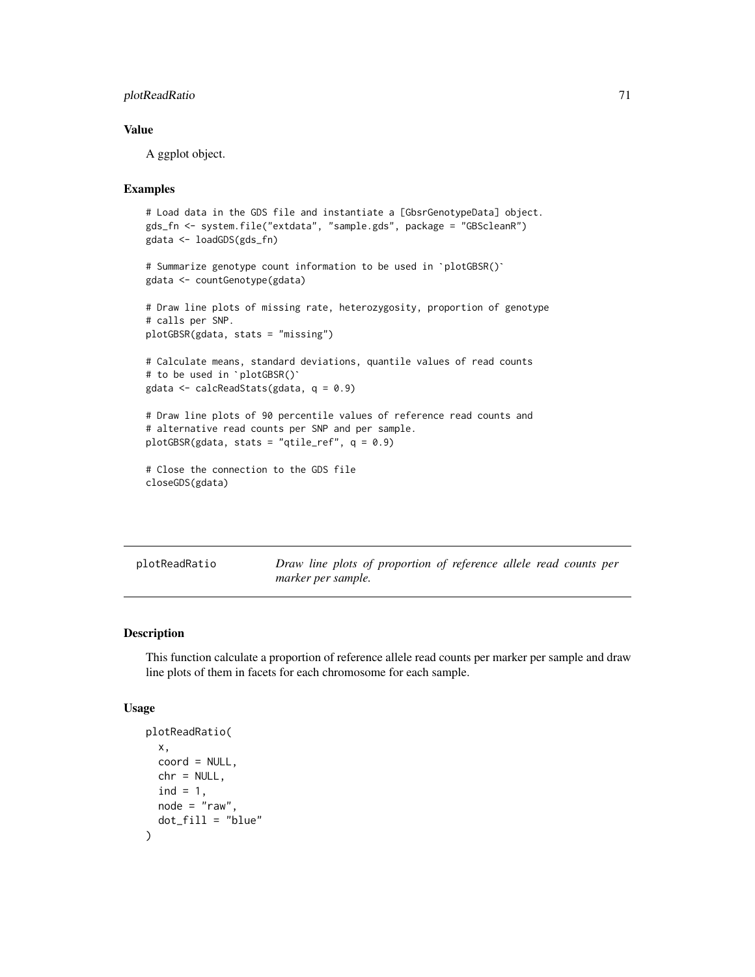# plotReadRatio 71

# Value

A ggplot object.

# Examples

```
# Load data in the GDS file and instantiate a [GbsrGenotypeData] object.
gds_fn <- system.file("extdata", "sample.gds", package = "GBScleanR")
# Summarize genotype count information to be used in `plotGBSR()`
gdata <- loadGDS(gds_fn)
gdata <- countGenotype(gdata)
# Draw line plots of missing rate, heterozygosity, proportion of genotype
# calls per SNP.
plotGBSR(gdata, stats = "missing")
# Calculate means, standard deviations, quantile values of read counts
plotGBSR(gdata, stats = "mis<br># Calculate means, standard<br># to be used in `plotGBSR()`
gdata <- calcReadStats(gdata, q = 0.9)
# Draw line plots of 90 percentile values of reference read counts and
# alternative read counts per SNP and per sample.
plotGBSR(gdata, stats = "qtile_ref", q = 0.9)
# Close the connection to the GDS file
closeGDS(gdata)
```
plotReadRatio *Draw line plots of proportion of reference allele read counts per marker per sample.*

### Description

This function calculate a proportion of reference allele read counts per marker per sample and draw line plots of them in facets for each chromosome for each sample.

```
plotReadRatio(
 x,
 coord = NULL,chr = NULL,
 ind = 1,
 node = "raw",dot_fill = "blue")
```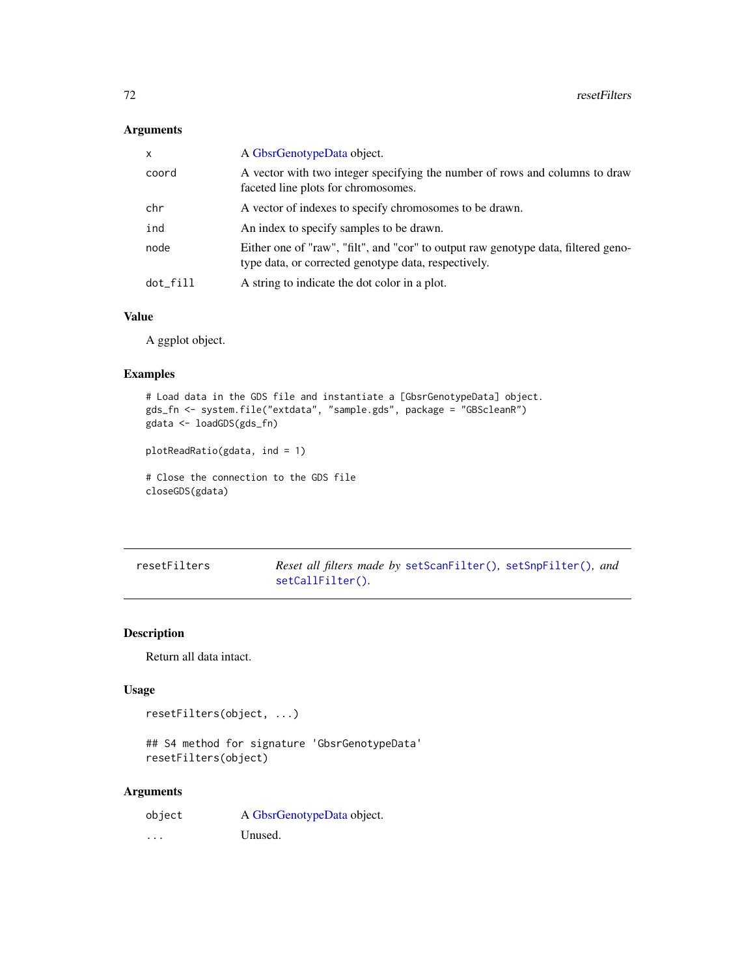# Arguments

| $\mathsf{x}$ | A GbsrGenotypeData object.                                                                                                                 |
|--------------|--------------------------------------------------------------------------------------------------------------------------------------------|
| coord        | A vector with two integer specifying the number of rows and columns to draw<br>faceted line plots for chromosomes.                         |
| chr          | A vector of indexes to specify chromosomes to be drawn.                                                                                    |
| ind          | An index to specify samples to be drawn.                                                                                                   |
| node         | Either one of "raw", "filt", and "cor" to output raw genotype data, filtered geno-<br>type data, or corrected genotype data, respectively. |
| dot fill     | A string to indicate the dot color in a plot.                                                                                              |

### Value

A ggplot object.

# Examples

```
# Load data in the GDS file and instantiate a [GbsrGenotypeData] object.
gds_fn <- system.file("extdata", "sample.gds", package = "GBScleanR")
gdata <- loadGDS(gds_fn)
```

```
plotReadRatio(gdata, ind = 1)
```

```
# Close the connection to the GDS file
closeGDS(gdata)
```

| resetFilters | <i>Reset all filters made by setScanFilter(), setSnpFilter(), and</i> |  |  |
|--------------|-----------------------------------------------------------------------|--|--|
|              | setCallFilter().                                                      |  |  |

# Description

Return all data intact.

### Usage

```
resetFilters(object, ...)
```

```
## S4 method for signature 'GbsrGenotypeData'
resetFilters(object)
```

| object | A GbsrGenotypeData object. |
|--------|----------------------------|
| .      | Unused.                    |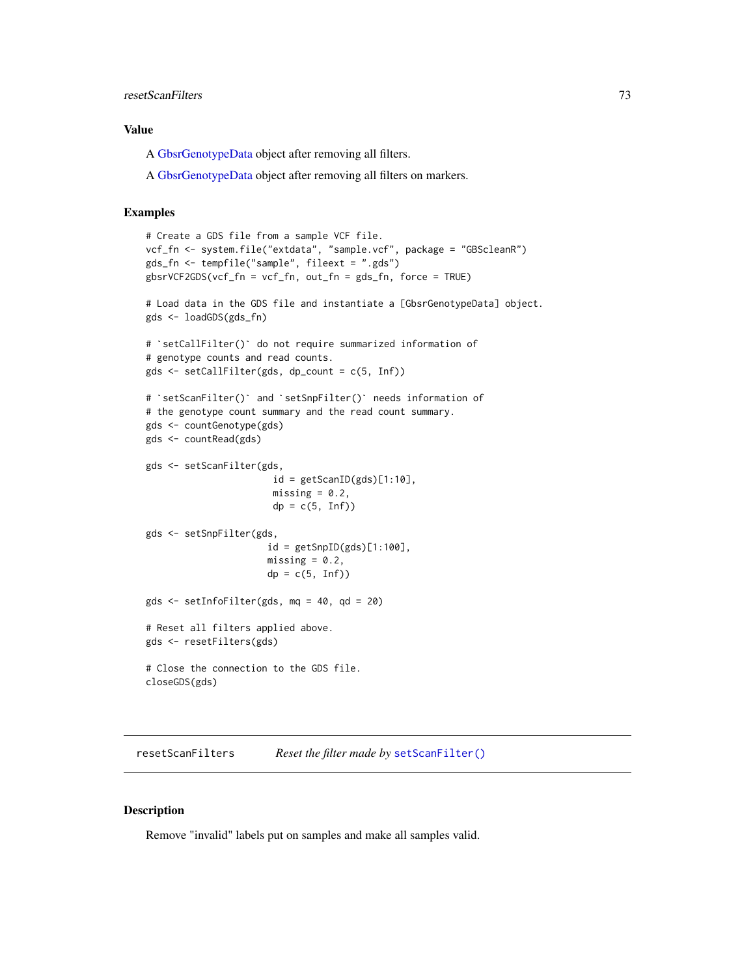# <span id="page-72-0"></span>resetScanFilters 73

# Value

A [GbsrGenotypeData](#page-16-0) object after removing all filters.

A [GbsrGenotypeData](#page-16-0) object after removing all filters on markers.

# Examples

```
# Create a GDS file from a sample VCF file.
vcf_fn <- system.file("extdata", "sample.vcf", package = "GBScleanR")
gds_fn <- tempfile("sample", fileext = ".gds")
gbsrVCF2GDS(vcf_fn = vcf_fn, out_fn = gds_fn, force = TRUE)
# Load data in the GDS file and instantiate a [GbsrGenotypeData] object.
# `setCallFilter()` do not require summarized information of
gds <- loadGDS(gds_fn)
# genotype counts and read counts.
gds <- setCallFilter(gds, dp_count = c(5, Inf))
# `setScanFilter()` and `setSnpFilter()` needs information of
# the genotype count summary and the read count summary.
gds <- countGenotype(gds)
gds <- countRead(gds)
gds <- setScanFilter(gds,
                        id = getScanID(gds)[1:10],missing = 0.2,
                        dp = c(5, Inf)gds <- setSnpFilter(gds,
                       id = getSupID(gds)[1:100],missing = 0.2,
                       dp = c(5, Inf)gds <- setInfoFilter(gds, mq = 40, qd = 20)
# Reset all filters applied above.
gds <- resetFilters(gds)
# Close the connection to the GDS file.
closeGDS(gds)
```
resetScanFilters *Reset the filter made by* [setScanFilter\(\)](#page-85-0)

# Description

Remove "invalid" labels put on samples and make all samples valid.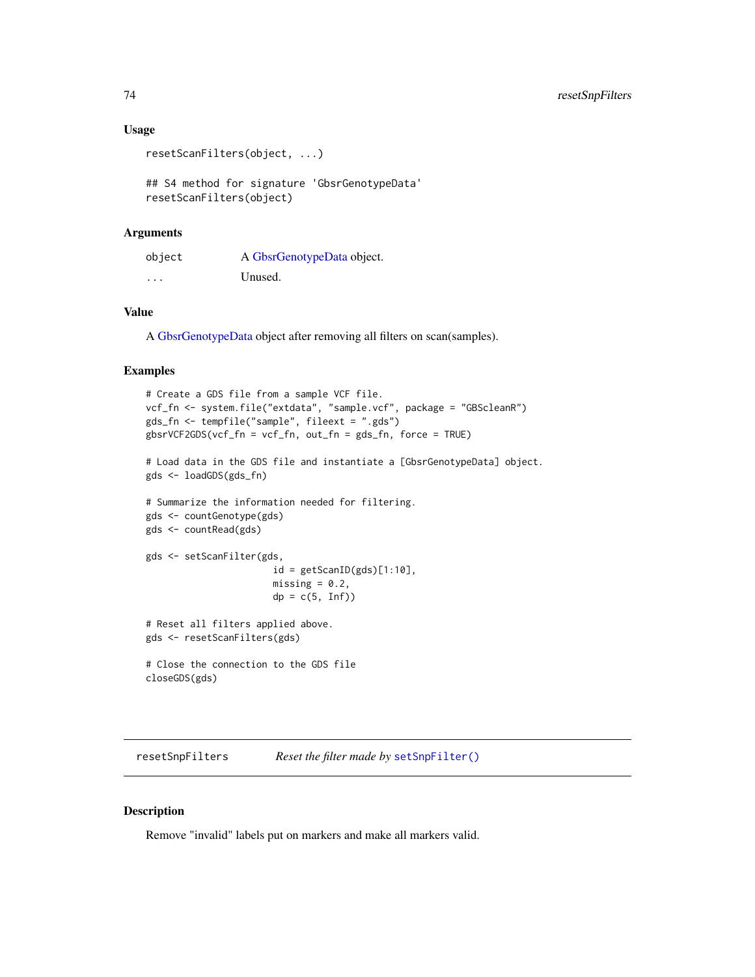# Usage

```
resetScanFilters(object, ...)
```
## S4 method for signature 'GbsrGenotypeData' resetScanFilters(object)

### Arguments

| object | A GbsrGenotypeData object. |
|--------|----------------------------|
| .      | Unused.                    |

# Value

A [GbsrGenotypeData](#page-16-0) object after removing all filters on scan(samples).

# Examples

```
# Create a GDS file from a sample VCF file.
vcf_fn <- system.file("extdata", "sample.vcf", package = "GBScleanR")
gds_fn <- tempfile("sample", fileext = ".gds")
gbsrVCF2GDS(vcf_fn = vcf_fn, out_fn = gds_fn, force = TRUE)
# Load data in the GDS file and instantiate a [GbsrGenotypeData] object.
gds <- loadGDS(gds_fn)
# Summarize the information needed for filtering.
gds <- countGenotype(gds)
gds <- countRead(gds)
gds <- setScanFilter(gds,
                       id = getScanID(gds)[1:10],missing = 0.2,
                       dp = c(5, Inf)# Reset all filters applied above.
gds <- resetScanFilters(gds)
# Close the connection to the GDS file
closeGDS(gds)
```
resetSnpFilters *Reset the filter made by* [setSnpFilter\(\)](#page-87-0)

# Description

Remove "invalid" labels put on markers and make all markers valid.

<span id="page-73-0"></span>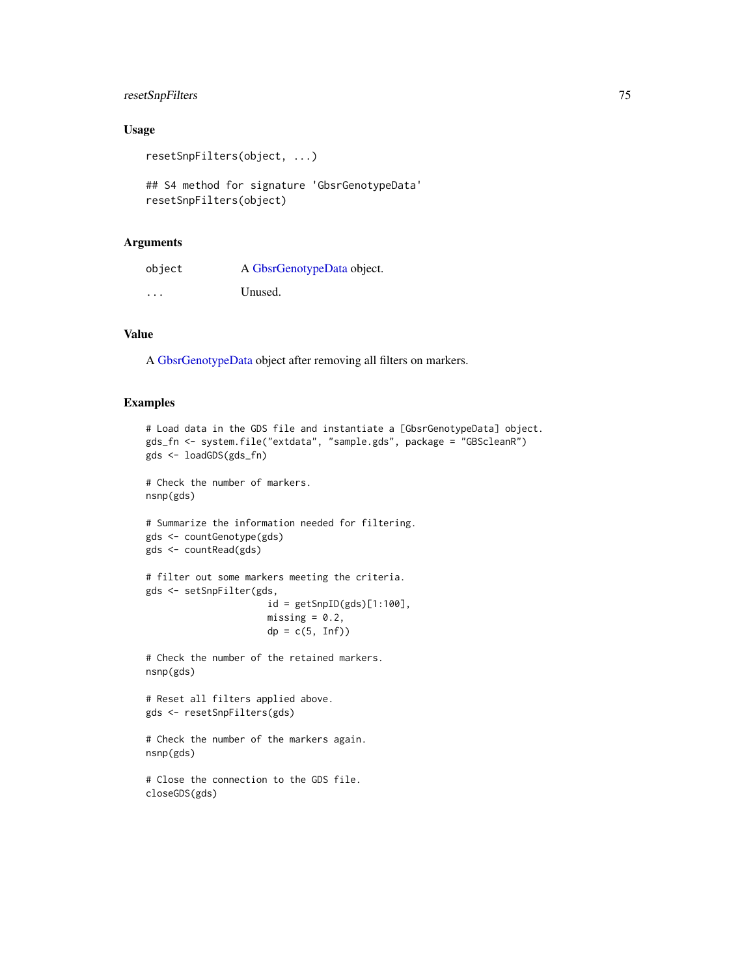# resetSnpFilters 75

# Usage

```
resetSnpFilters(object, ...)
```

```
## S4 method for signature 'GbsrGenotypeData'
resetSnpFilters(object)
```
### Arguments

| object  | A GbsrGenotypeData object. |
|---------|----------------------------|
| $\cdot$ | Unused.                    |

# Value

A [GbsrGenotypeData](#page-16-0) object after removing all filters on markers.

### Examples

```
# Load data in the GDS file and instantiate a [GbsrGenotypeData] object.
gds_fn <- system.file("extdata", "sample.gds", package = "GBScleanR")
gds <- loadGDS(gds_fn)
```

```
# Check the number of markers.
nsnp(gds)
```

```
# Summarize the information needed for filtering.
gds <- countGenotype(gds)
gds <- countRead(gds)
```

```
# filter out some markers meeting the criteria.
gds <- setSnpFilter(gds,
                     id = getSnpID(gds)[1:100],
                     missing = 0.2,
                     dp = c(5, Inf)
```
# Check the number of the retained markers. nsnp(gds)

```
# Reset all filters applied above.
gds <- resetSnpFilters(gds)
```

```
# Check the number of the markers again.
nsnp(gds)
```

```
# Close the connection to the GDS file.
closeGDS(gds)
```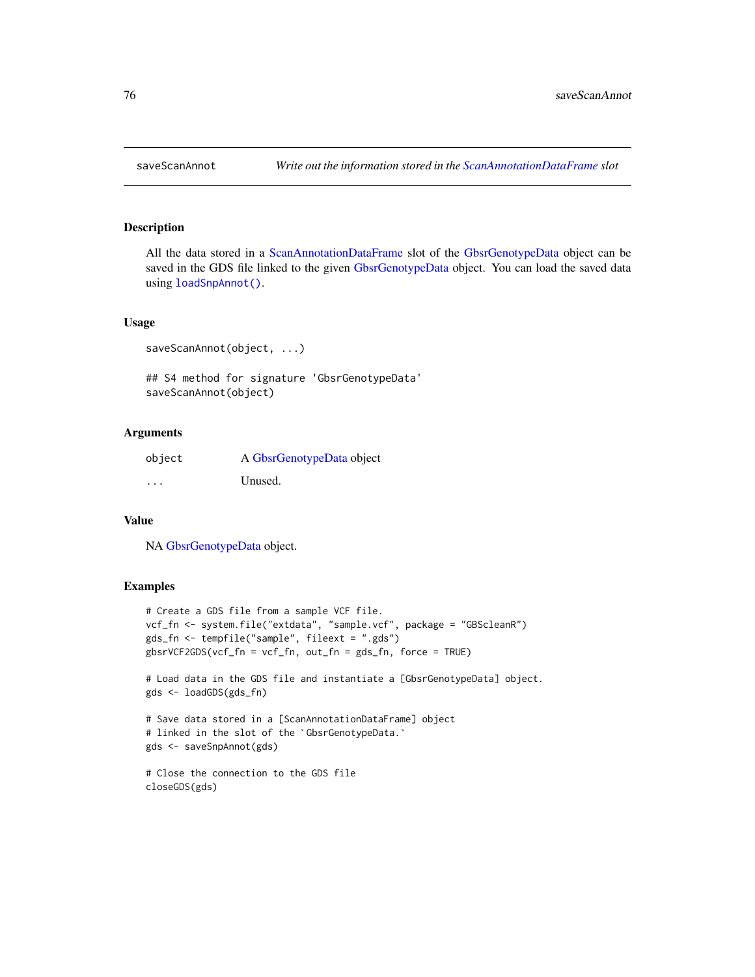All the data stored in a [ScanAnnotationDataFrame](#page-0-0) slot of the [GbsrGenotypeData](#page-16-0) object can be saved in the GDS file linked to the given [GbsrGenotypeData](#page-16-0) object. You can load the saved data using [loadSnpAnnot\(\)](#page-61-0).

# Usage

```
saveScanAnnot(object, ...)
## S4 method for signature 'GbsrGenotypeData'
saveScanAnnot(object)
```
# Arguments

| object   | A GbsrGenotypeData object |
|----------|---------------------------|
| $\cdots$ | Unused.                   |

# Value

NA [GbsrGenotypeData](#page-16-0) object.

```
# Create a GDS file from a sample VCF file.
vcf_fn <- system.file("extdata", "sample.vcf", package = "GBScleanR")
gds_fn <- tempfile("sample", fileext = ".gds")
gbsrVCF2GDS(vcf_fn = vcf_fn, out_fn = gds_fn, force = TRUE)
# Load data in the GDS file and instantiate a [GbsrGenotypeData] object.
gds <- loadGDS(gds_fn)
# Save data stored in a [ScanAnnotationDataFrame] object
gds <<mark>- loadGDS(gds_fn)</mark><br># Save data stored in a [ScanAnnotationDataFram<br># linked in the slot of the `GbsrGenotypeData.`
gds <- saveSnpAnnot(gds)
```

```
# Close the connection to the GDS file
closeGDS(gds)
```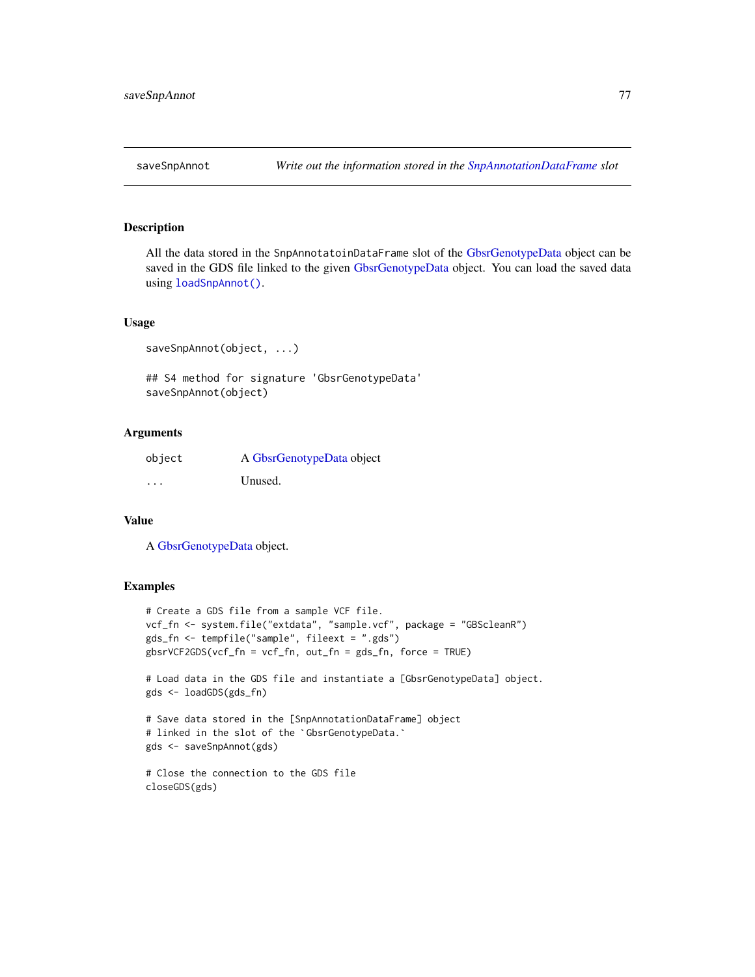<span id="page-76-0"></span>

All the data stored in the SnpAnnotatoinDataFrame slot of the [GbsrGenotypeData](#page-16-0) object can be saved in the GDS file linked to the given [GbsrGenotypeData](#page-16-0) object. You can load the saved data using [loadSnpAnnot\(\)](#page-61-0).

# Usage

```
saveSnpAnnot(object, ...)
## S4 method for signature 'GbsrGenotypeData'
saveSnpAnnot(object)
```
# Arguments

| object   | A GbsrGenotypeData object |
|----------|---------------------------|
| $\cdots$ | Unused.                   |

# Value

A [GbsrGenotypeData](#page-16-0) object.

```
# Create a GDS file from a sample VCF file.
vcf_fn <- system.file("extdata", "sample.vcf", package = "GBScleanR")
gds_fn <- tempfile("sample", fileext = ".gds")
gbsrVCF2GDS(vcf_fn = vcf_fn, out_fn = gds_fn, force = TRUE)
# Load data in the GDS file and instantiate a [GbsrGenotypeData] object.
gds <- loadGDS(gds_fn)
# Save data stored in the [SnpAnnotationDataFrame] object
gds <<mark>- loadGDS(gds_fn)</mark><br># Save data stored in the [SnpAnnotationDataFra<br># linked in the slot of the `GbsrGenotypeData.`
```

```
gds <- saveSnpAnnot(gds)
```

```
# Close the connection to the GDS file
closeGDS(gds)
```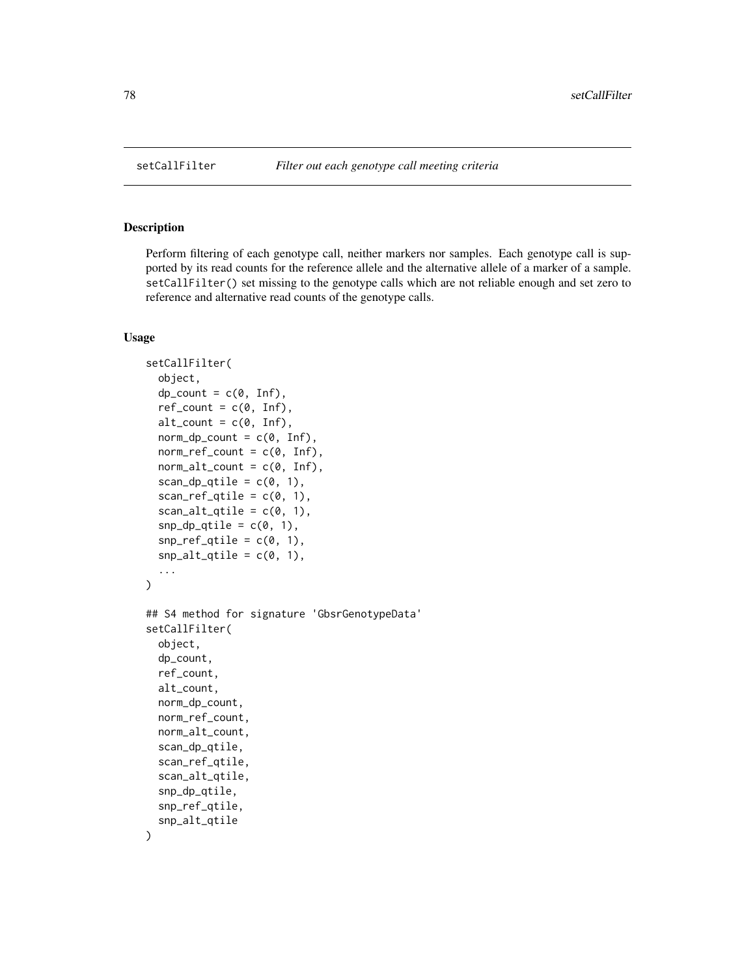Perform filtering of each genotype call, neither markers nor samples. Each genotype call is supported by its read counts for the reference allele and the alternative allele of a marker of a sample. setCallFilter() set missing to the genotype calls which are not reliable enough and set zero to reference and alternative read counts of the genotype calls.

### Usage

```
setCallFilter(
  object,
  dp_{\text{count}} = c(\emptyset, \text{Inf}),ref\_count = c(0, Inf),alt\_count = c(0, Inf),norm_dp_count = c(0, Inf),
  norm\_ref\_count = c(0, Inf),norm\_alt\_count = c(0, Inf),scan_dp_qtile = c(0, 1),
  scan_ref_qtile = c(0, 1),scan_alt_qtile = c(\theta, 1),
  snp_dp_qtile = c(0, 1),snp_ref_qtile = c(0, 1),snp\_alt_qtile = c(0, 1),...
\mathcal{L}## S4 method for signature 'GbsrGenotypeData'
setCallFilter(
  object,
  dp_count,
  ref_count,
  alt_count,
  norm_dp_count,
  norm_ref_count,
  norm_alt_count,
  scan_dp_qtile,
  scan_ref_qtile,
  scan_alt_qtile,
  snp_dp_qtile,
  snp_ref_qtile,
  snp_alt_qtile
)
```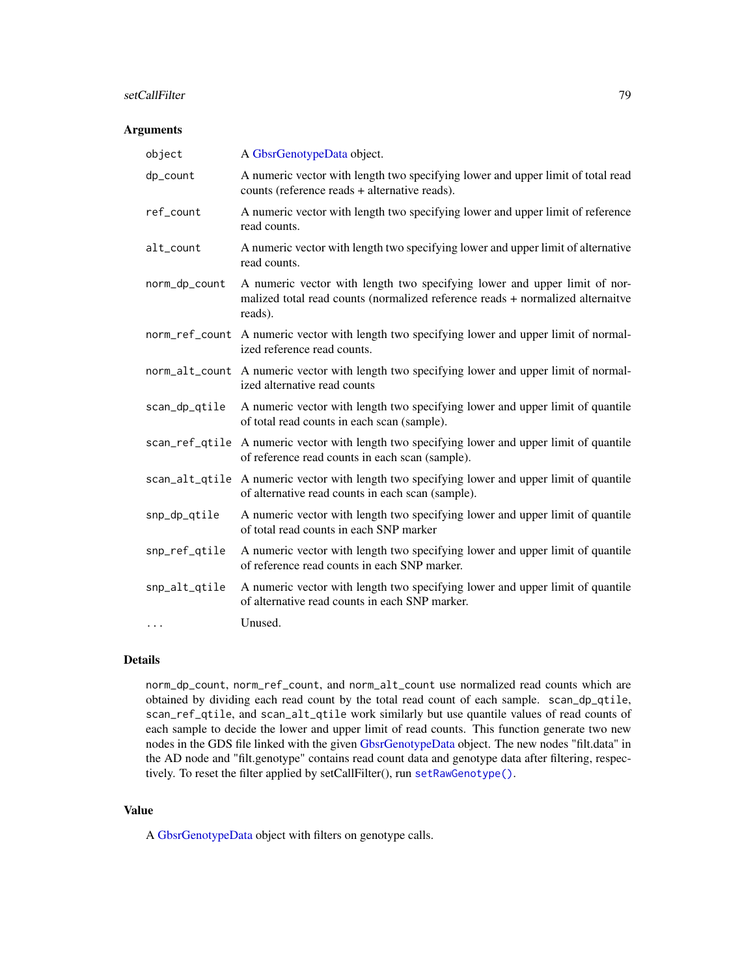# <span id="page-78-0"></span>setCallFilter 79

# Arguments

| object         | A GbsrGenotypeData object.                                                                                                                                             |
|----------------|------------------------------------------------------------------------------------------------------------------------------------------------------------------------|
| dp_count       | A numeric vector with length two specifying lower and upper limit of total read<br>counts (reference reads + alternative reads).                                       |
| ref_count      | A numeric vector with length two specifying lower and upper limit of reference<br>read counts.                                                                         |
| alt_count      | A numeric vector with length two specifying lower and upper limit of alternative<br>read counts.                                                                       |
| norm_dp_count  | A numeric vector with length two specifying lower and upper limit of nor-<br>malized total read counts (normalized reference reads + normalized alternaitve<br>reads). |
|                | norm_ref_count A numeric vector with length two specifying lower and upper limit of normal-<br>ized reference read counts.                                             |
|                | norm_alt_count A numeric vector with length two specifying lower and upper limit of normal-<br>ized alternative read counts                                            |
| scan_dp_qtile  | A numeric vector with length two specifying lower and upper limit of quantile<br>of total read counts in each scan (sample).                                           |
|                | scan_ref_qtile A numeric vector with length two specifying lower and upper limit of quantile<br>of reference read counts in each scan (sample).                        |
| scan_alt_qtile | A numeric vector with length two specifying lower and upper limit of quantile<br>of alternative read counts in each scan (sample).                                     |
| snp_dp_qtile   | A numeric vector with length two specifying lower and upper limit of quantile<br>of total read counts in each SNP marker                                               |
| snp_ref_qtile  | A numeric vector with length two specifying lower and upper limit of quantile<br>of reference read counts in each SNP marker.                                          |
| snp_alt_qtile  | A numeric vector with length two specifying lower and upper limit of quantile<br>of alternative read counts in each SNP marker.                                        |
| $\cdots$       | Unused.                                                                                                                                                                |

# Details

norm\_dp\_count, norm\_ref\_count, and norm\_alt\_count use normalized read counts which are obtained by dividing each read count by the total read count of each sample. scan\_dp\_qtile, scan\_ref\_qtile, and scan\_alt\_qtile work similarly but use quantile values of read counts of each sample to decide the lower and upper limit of read counts. This function generate two new nodes in the GDS file linked with the given [GbsrGenotypeData](#page-16-0) object. The new nodes "filt.data" in the AD node and "filt.genotype" contains read count data and genotype data after filtering, respectively. To reset the filter applied by setCallFilter(), run [setRawGenotype\(\)](#page-84-0).

# Value

A [GbsrGenotypeData](#page-16-0) object with filters on genotype calls.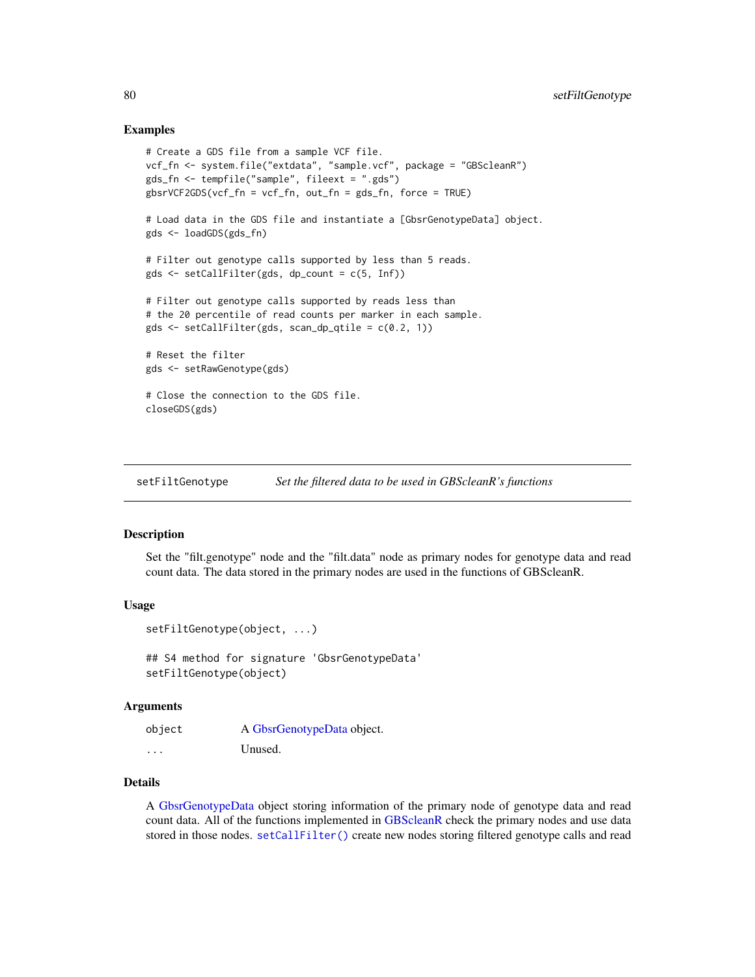# Examples

```
# Create a GDS file from a sample VCF file.
vcf_fn <- system.file("extdata", "sample.vcf", package = "GBScleanR")
gds_fn <- tempfile("sample", fileext = ".gds")
gbsrVCF2GDS(vcf_fn = vcf_fn, out_fn = gds_fn, force = TRUE)
# Load data in the GDS file and instantiate a [GbsrGenotypeData] object.
gds <- loadGDS(gds_fn)
# Filter out genotype calls supported by less than 5 reads.
gds \leq setCallFilter(gds, dp_count = c(5, Inf))# Filter out genotype calls supported by reads less than
# the 20 percentile of read counts per marker in each sample.
gds <- setCallFilter(gds, scan_dp_qtile = c(0.2, 1))
# Reset the filter
gds <- setRawGenotype(gds)
# Close the connection to the GDS file.
closeGDS(gds)
```
<span id="page-79-0"></span>setFiltGenotype *Set the filtered data to be used in GBScleanR's functions*

# Description

Set the "filt.genotype" node and the "filt.data" node as primary nodes for genotype data and read count data. The data stored in the primary nodes are used in the functions of GBScleanR.

# Usage

```
setFiltGenotype(object, ...)
```
## S4 method for signature 'GbsrGenotypeData' setFiltGenotype(object)

# Arguments

| object   | A GbsrGenotypeData object. |
|----------|----------------------------|
| $\cdots$ | Unused.                    |

# Details

A [GbsrGenotypeData](#page-16-0) object storing information of the primary node of genotype data and read count data. All of the functions implemented in [GBScleanR](#page-0-0) check the primary nodes and use data stored in those nodes. [setCallFilter\(\)](#page-77-0) create new nodes storing filtered genotype calls and read

<span id="page-79-1"></span>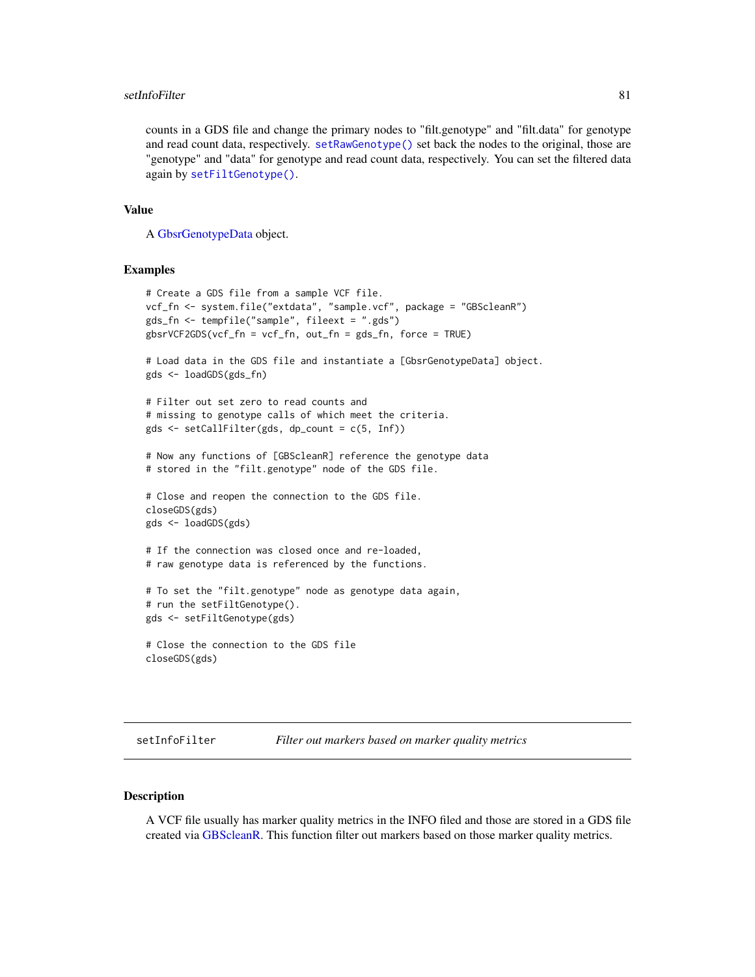### <span id="page-80-0"></span>setInfoFilter 81

counts in a GDS file and change the primary nodes to "filt.genotype" and "filt.data" for genotype and read count data, respectively. [setRawGenotype\(\)](#page-84-0) set back the nodes to the original, those are "genotype" and "data" for genotype and read count data, respectively. You can set the filtered data again by [setFiltGenotype\(\)](#page-79-0).

# Value

A [GbsrGenotypeData](#page-16-0) object.

# Examples

```
# Create a GDS file from a sample VCF file.
vcf_fn <- system.file("extdata", "sample.vcf", package = "GBScleanR")
gds_fn <- tempfile("sample", fileext = ".gds")
gbsrVCF2GDS(vcf_fn = vcf_fn, out_fn = gds_fn, force = TRUE)
# Load data in the GDS file and instantiate a [GbsrGenotypeData] object.
gds <- loadGDS(gds_fn)
# Filter out set zero to read counts and
# missing to genotype calls of which meet the criteria.
gds <- setCallFilter(gds, dp_count = c(5, Inf))
# Now any functions of [GBScleanR] reference the genotype data
# stored in the "filt.genotype" node of the GDS file.
# Close and reopen the connection to the GDS file.
closeGDS(gds)
gds <- loadGDS(gds)
# If the connection was closed once and re-loaded,
# raw genotype data is referenced by the functions.
# To set the "filt.genotype" node as genotype data again,
# run the setFiltGenotype().
gds <- setFiltGenotype(gds)
# Close the connection to the GDS file
closeGDS(gds)
```
setInfoFilter *Filter out markers based on marker quality metrics*

# Description

A VCF file usually has marker quality metrics in the INFO filed and those are stored in a GDS file created via [GBScleanR.](#page-0-0) This function filter out markers based on those marker quality metrics.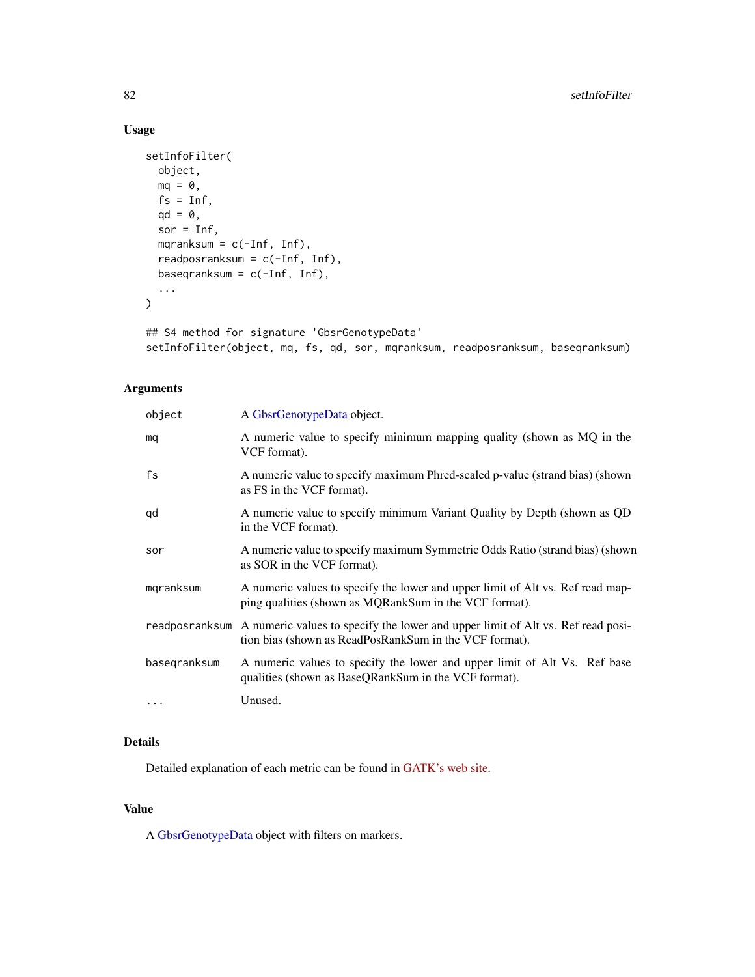# Usage

```
setInfoFilter(
 object,
 mq = 0,
 fs = Inf,qd = 0,sor = Inf,
 mqranksum = c(-Inf, Inf),
  readposranksum = c(-Inf, Inf),
 baseqranksum = c(-Inf, Inf),
  ...
\mathcal{L}## S4 method for signature 'GbsrGenotypeData'
```

```
setInfoFilter(object, mq, fs, qd, sor, mqranksum, readposranksum, baseqranksum)
```
# Arguments

| object       | A GbsrGenotypeData object.                                                                                                                               |
|--------------|----------------------------------------------------------------------------------------------------------------------------------------------------------|
| mq           | A numeric value to specify minimum mapping quality (shown as MQ in the<br>VCF format).                                                                   |
| fs           | A numeric value to specify maximum Phred-scaled p-value (strand bias) (shown<br>as FS in the VCF format).                                                |
| qd           | A numeric value to specify minimum Variant Quality by Depth (shown as QD)<br>in the VCF format).                                                         |
| sor          | A numeric value to specify maximum Symmetric Odds Ratio (strand bias) (shown<br>as SOR in the VCF format).                                               |
| mqranksum    | A numeric values to specify the lower and upper limit of Alt vs. Ref read map-<br>ping qualities (shown as MQRankSum in the VCF format).                 |
|              | readposranksum A numeric values to specify the lower and upper limit of Alt vs. Ref read posi-<br>tion bias (shown as ReadPosRankSum in the VCF format). |
| basegranksum | A numeric values to specify the lower and upper limit of Alt Vs. Ref base<br>qualities (shown as BaseQRankSum in the VCF format).                        |
| $\cdots$     | Unused.                                                                                                                                                  |

# Details

Detailed explanation of each metric can be found in [GATK's web site.](https://gatk.broadinstitute.org/hc/en-us)

# Value

A [GbsrGenotypeData](#page-16-0) object with filters on markers.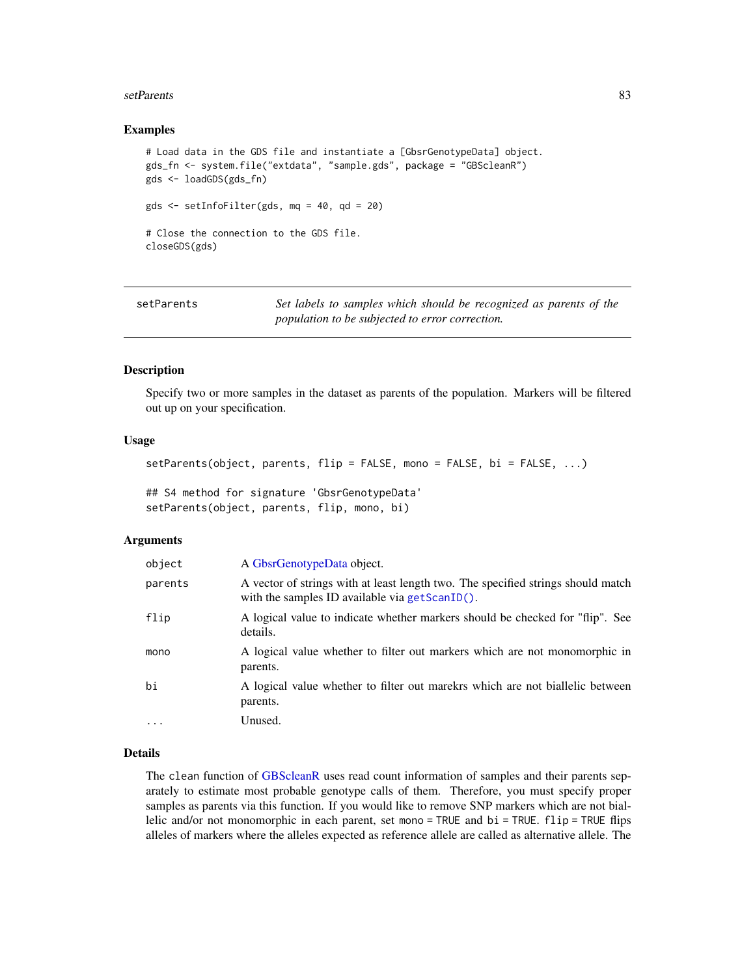### <span id="page-82-0"></span>setParents 83

# Examples

```
# Load data in the GDS file and instantiate a [GbsrGenotypeData] object.
gds_fn <- system.file("extdata", "sample.gds", package = "GBScleanR")
gds <- loadGDS(gds_fn)
gds <- setInfoFilter(gds, mq = 40, qd = 20)
# Close the connection to the GDS file.
closeGDS(gds)
```

| setParents | Set labels to samples which should be recognized as parents of the |
|------------|--------------------------------------------------------------------|
|            | population to be subjected to error correction.                    |

### Description

Specify two or more samples in the dataset as parents of the population. Markers will be filtered out up on your specification.

# Usage

```
setParents(object, parents, flip = FALSE, mono = FALSE, bi = FALSE, ...)
```

```
## S4 method for signature 'GbsrGenotypeData'
setParents(object, parents, flip, mono, bi)
```
### Arguments

| object   | A GbsrGenotypeData object.                                                                                                            |
|----------|---------------------------------------------------------------------------------------------------------------------------------------|
| parents  | A vector of strings with at least length two. The specified strings should match<br>with the samples ID available via $getScanID()$ . |
| flip     | A logical value to indicate whether markers should be checked for "flip". See<br>details.                                             |
| mono     | A logical value whether to filter out markers which are not monomorphic in<br>parents.                                                |
| bi       | A logical value whether to filter out mare key which are not biallelic between<br>parents.                                            |
| $\cdots$ | Unused.                                                                                                                               |

# Details

The clean function of [GBScleanR](#page-0-0) uses read count information of samples and their parents separately to estimate most probable genotype calls of them. Therefore, you must specify proper samples as parents via this function. If you would like to remove SNP markers which are not biallelic and/or not monomorphic in each parent, set mono = TRUE and  $bi = TRUE$ .  $flip = TRUE$  flips alleles of markers where the alleles expected as reference allele are called as alternative allele. The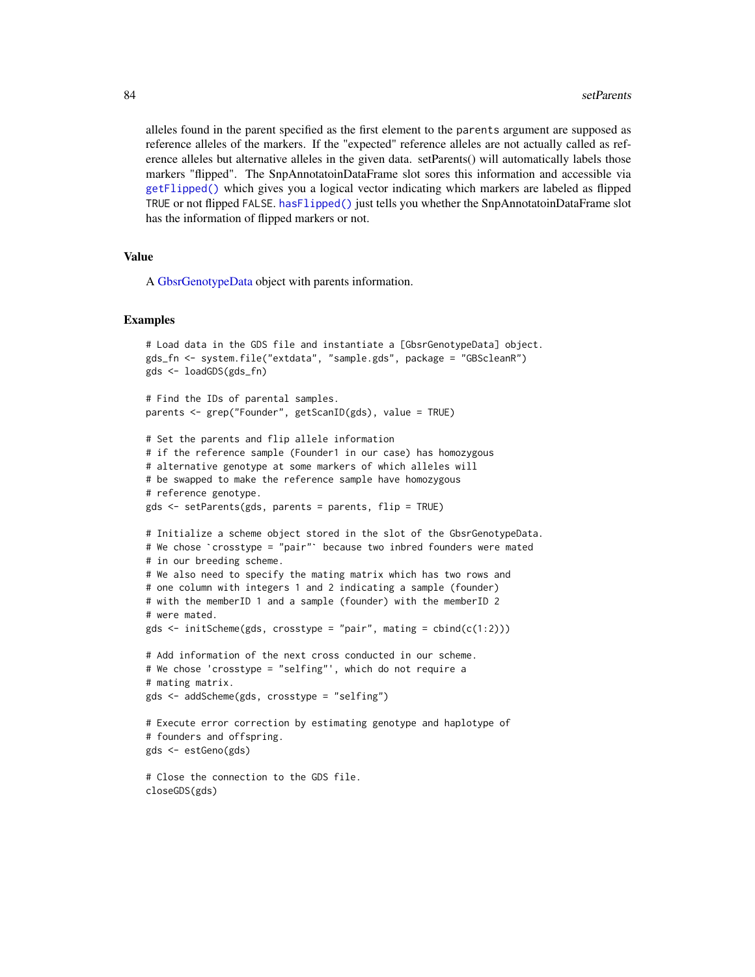alleles found in the parent specified as the first element to the parents argument are supposed as reference alleles of the markers. If the "expected" reference alleles are not actually called as reference alleles but alternative alleles in the given data. setParents() will automatically labels those markers "flipped". The SnpAnnotatoinDataFrame slot sores this information and accessible via [getFlipped\(\)](#page-32-0) which gives you a logical vector indicating which markers are labeled as flipped TRUE or not flipped FALSE. [hasFlipped\(\)](#page-53-0) just tells you whether the SnpAnnotatoinDataFrame slot has the information of flipped markers or not.

# Value

A [GbsrGenotypeData](#page-16-0) object with parents information.

```
# Load data in the GDS file and instantiate a [GbsrGenotypeData] object.
gds_fn <- system.file("extdata", "sample.gds", package = "GBScleanR")
gds <- loadGDS(gds_fn)
# Find the IDs of parental samples.
parents <- grep("Founder", getScanID(gds), value = TRUE)
# Set the parents and flip allele information
# if the reference sample (Founder1 in our case) has homozygous
# alternative genotype at some markers of which alleles will
# be swapped to make the reference sample have homozygous
# reference genotype.
gds <- setParents(gds, parents = parents, flip = TRUE)
# Initialize a scheme object stored in the slot of the GbsrGenotypeData.
gds <- setParents(gds, parents = parents, flip = TRUE)<br># Initialize a scheme object stored in the slot of the GbsrGenotypeDat<br># We chose `crosstype = "pair"` because two inbred founders were mated
# in our breeding scheme.
# We also need to specify the mating matrix which has two rows and
# one column with integers 1 and 2 indicating a sample (founder)
# with the memberID 1 and a sample (founder) with the memberID 2
# were mated.
gds \le initScheme(gds, crosstype = "pair", mating = cbind(c(1:2)))
# Add information of the next cross conducted in our scheme.
# We chose 'crosstype = "selfing"', which do not require a
# mating matrix.
gds <- addScheme(gds, crosstype = "selfing")
# Execute error correction by estimating genotype and haplotype of
# founders and offspring.
gds <- estGeno(gds)
# Close the connection to the GDS file.
closeGDS(gds)
```
<span id="page-83-0"></span>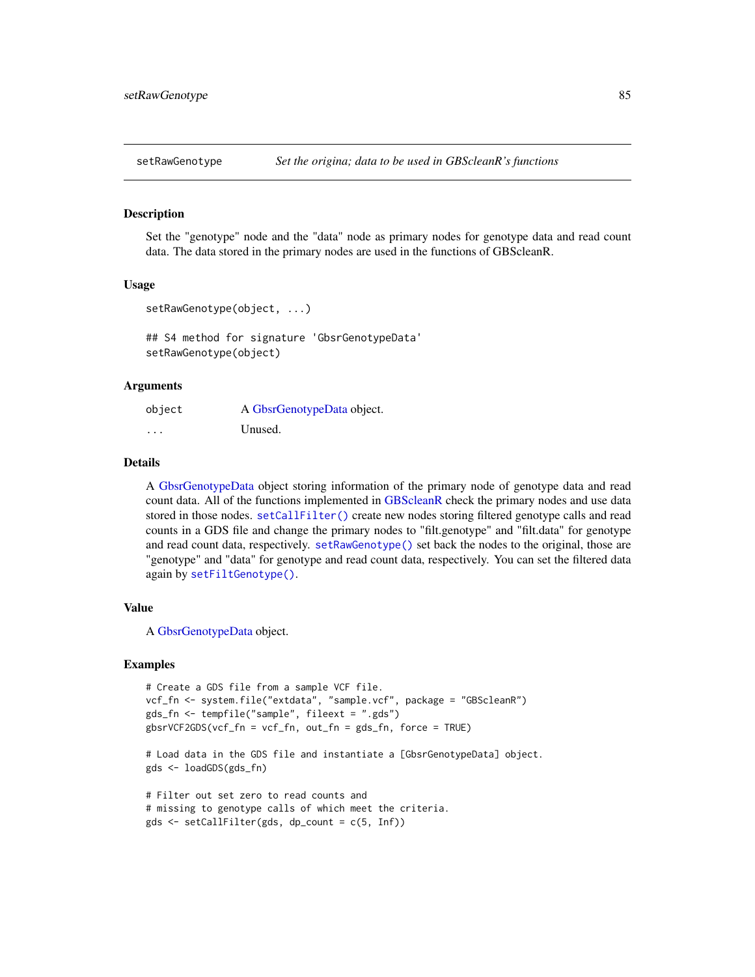<span id="page-84-1"></span><span id="page-84-0"></span>

Set the "genotype" node and the "data" node as primary nodes for genotype data and read count data. The data stored in the primary nodes are used in the functions of GBScleanR.

# Usage

```
setRawGenotype(object, ...)
```
## S4 method for signature 'GbsrGenotypeData' setRawGenotype(object)

# Arguments

| object | A GbsrGenotypeData object. |
|--------|----------------------------|
| .      | Unused.                    |

### Details

A [GbsrGenotypeData](#page-16-0) object storing information of the primary node of genotype data and read count data. All of the functions implemented in [GBScleanR](#page-0-0) check the primary nodes and use data stored in those nodes. [setCallFilter\(\)](#page-77-0) create new nodes storing filtered genotype calls and read counts in a GDS file and change the primary nodes to "filt.genotype" and "filt.data" for genotype and read count data, respectively. [setRawGenotype\(\)](#page-84-0) set back the nodes to the original, those are "genotype" and "data" for genotype and read count data, respectively. You can set the filtered data again by [setFiltGenotype\(\)](#page-79-0).

# Value

A [GbsrGenotypeData](#page-16-0) object.

```
# Create a GDS file from a sample VCF file.
vcf_fn <- system.file("extdata", "sample.vcf", package = "GBScleanR")
gds_fn <- tempfile("sample", fileext = ".gds")
gbsrVCF2GDS(vcf_fn = vcf_fn, out_fn = gds_fn, force = TRUE)
# Load data in the GDS file and instantiate a [GbsrGenotypeData] object.
gds <- loadGDS(gds_fn)
# Filter out set zero to read counts and
# missing to genotype calls of which meet the criteria.
gds <- setCallFilter(gds, dp_count = c(5, Inf))
```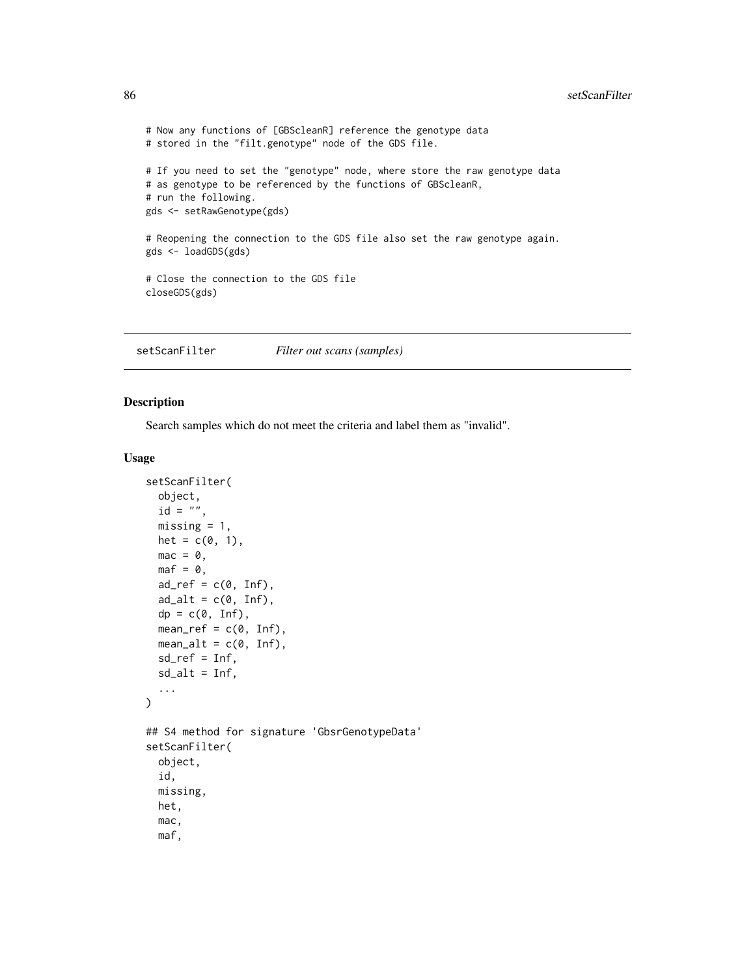```
# Now any functions of [GBScleanR] reference the genotype data
# stored in the "filt.genotype" node of the GDS file.
# If you need to set the "genotype" node, where store the raw genotype data
# as genotype to be referenced by the functions of GBScleanR,
# run the following.
gds <- setRawGenotype(gds)
# Reopening the connection to the GDS file also set the raw genotype again.
gds <- loadGDS(gds)
# Close the connection to the GDS file
closeGDS(gds)
```
<span id="page-85-0"></span>setScanFilter *Filter out scans (samples)*

# Description

Search samples which do not meet the criteria and label them as "invalid".

### Usage

```
setScanFilter(
 object,
  id = "".missing = 1,
  het = c(\emptyset, 1),
 mac = 0,\text{maf} = \emptyset,
  ad_ref = c(0, Inf),
  ad\_alt = c(0, Inf),
  dp = c(0, \text{Inf}),mean_ref = c(0, Inf),mean\_alt = c(0, Inf),sd_ref = Inf,
  sd\_alt = Inf,...
)
## S4 method for signature 'GbsrGenotypeData'
setScanFilter(
  object,
  id,
  missing,
  het,
  mac,
  maf,
```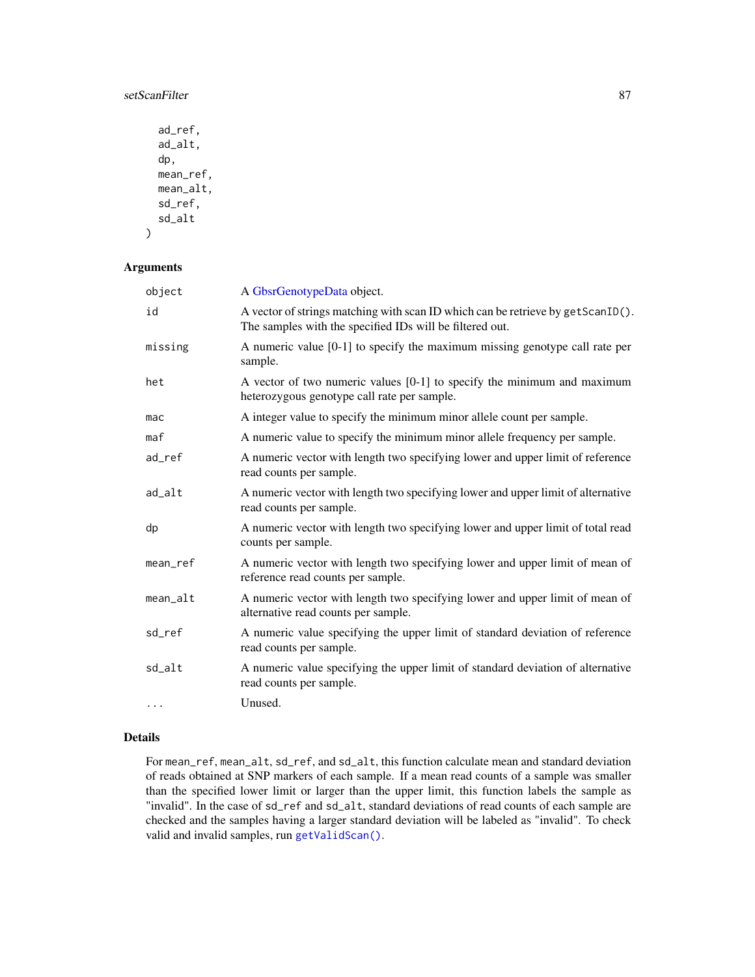# <span id="page-86-0"></span>setScanFilter 87

```
ad_ref,
  ad_alt,
  dp,
  mean_ref,
  mean_alt,
  sd_ref,
  sd_alt
\mathcal{L}
```
# Arguments

| object   | A GbsrGenotypeData object.                                                                                                                    |
|----------|-----------------------------------------------------------------------------------------------------------------------------------------------|
| id       | A vector of strings matching with scan ID which can be retrieve by get Scan ID().<br>The samples with the specified IDs will be filtered out. |
| missing  | A numeric value [0-1] to specify the maximum missing genotype call rate per<br>sample.                                                        |
| het      | A vector of two numeric values [0-1] to specify the minimum and maximum<br>heterozygous genotype call rate per sample.                        |
| mac      | A integer value to specify the minimum minor allele count per sample.                                                                         |
| maf      | A numeric value to specify the minimum minor allele frequency per sample.                                                                     |
| ad_ref   | A numeric vector with length two specifying lower and upper limit of reference<br>read counts per sample.                                     |
| ad_alt   | A numeric vector with length two specifying lower and upper limit of alternative<br>read counts per sample.                                   |
| dp       | A numeric vector with length two specifying lower and upper limit of total read<br>counts per sample.                                         |
| mean_ref | A numeric vector with length two specifying lower and upper limit of mean of<br>reference read counts per sample.                             |
| mean_alt | A numeric vector with length two specifying lower and upper limit of mean of<br>alternative read counts per sample.                           |
| sd_ref   | A numeric value specifying the upper limit of standard deviation of reference<br>read counts per sample.                                      |
| sd_alt   | A numeric value specifying the upper limit of standard deviation of alternative<br>read counts per sample.                                    |
|          | Unused.                                                                                                                                       |

# Details

For mean\_ref, mean\_alt, sd\_ref, and sd\_alt, this function calculate mean and standard deviation of reads obtained at SNP markers of each sample. If a mean read counts of a sample was smaller than the specified lower limit or larger than the upper limit, this function labels the sample as "invalid". In the case of sd\_ref and sd\_alt, standard deviations of read counts of each sample are checked and the samples having a larger standard deviation will be labeled as "invalid". To check valid and invalid samples, run [getValidScan\(\)](#page-51-0).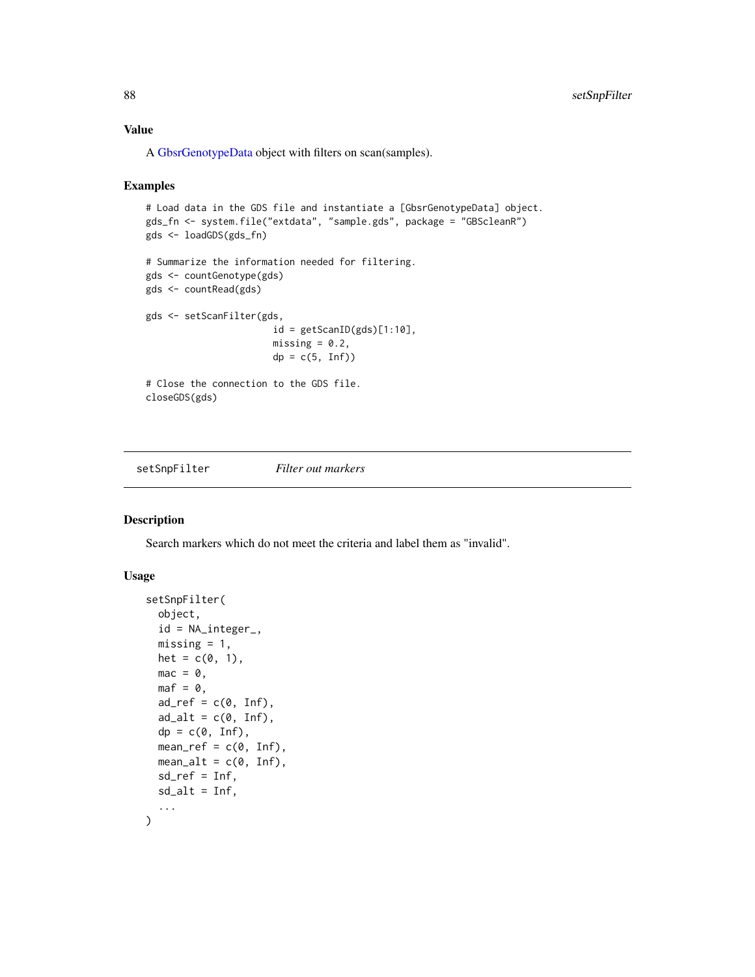# <span id="page-87-1"></span>Value

A [GbsrGenotypeData](#page-16-0) object with filters on scan(samples).

## Examples

```
# Load data in the GDS file and instantiate a [GbsrGenotypeData] object.
gds_fn <- system.file("extdata", "sample.gds", package = "GBScleanR")
gds <- loadGDS(gds_fn)
# Summarize the information needed for filtering.
gds <- countGenotype(gds)
gds <- countRead(gds)
gds <- setScanFilter(gds,
                       id = getScanID(gds)[1:10],missing = 0.2,
                       dp = c(5, Inf)# Close the connection to the GDS file.
closeGDS(gds)
```
<span id="page-87-0"></span>setSnpFilter *Filter out markers*

# Description

Search markers which do not meet the criteria and label them as "invalid".

# Usage

```
setSnpFilter(
  object,
  id = NA_integer_,
  missing = 1,
  het = c(\emptyset, 1),
  mac = 0,
  \text{maf} = \emptyset,ad_ref = c(0, Inf),
  ad\_alt = c(0, Inf),
  dp = c(0, Inf),
  mean_ref = c(0, Inf),mean\_alt = c(0, Inf),
  sd_ref = Inf,
  sd\_alt = Inf,...
)
```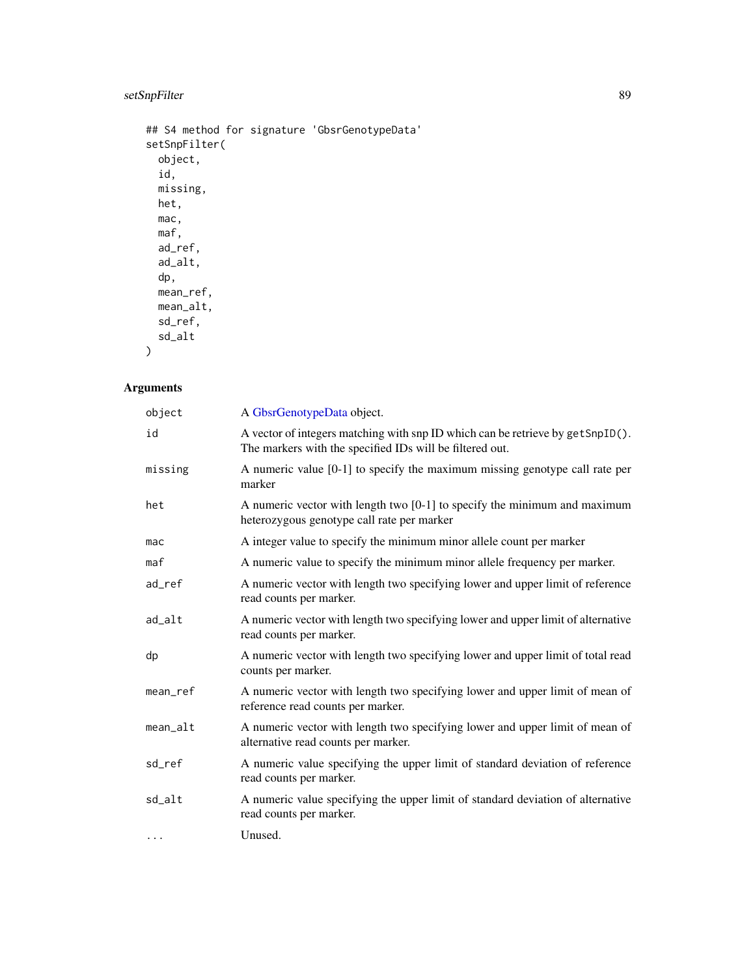# setSnpFilter 89

```
## S4 method for signature 'GbsrGenotypeData'
setSnpFilter(
 object,
 id,
 missing,
 het,
 mac,
 maf,
 ad_ref,
 ad_alt,
 dp,
 mean_ref,
 mean_alt,
 sd_ref,
 sd_alt
)
```
# Arguments

| object     | A GbsrGenotypeData object.                                                                                                                 |
|------------|--------------------------------------------------------------------------------------------------------------------------------------------|
| id         | A vector of integers matching with snp ID which can be retrieve by getSnpID().<br>The markers with the specified IDs will be filtered out. |
| missing    | A numeric value $[0-1]$ to specify the maximum missing genotype call rate per<br>marker                                                    |
| het        | A numeric vector with length two [0-1] to specify the minimum and maximum<br>heterozygous genotype call rate per marker                    |
| mac        | A integer value to specify the minimum minor allele count per marker                                                                       |
| maf        | A numeric value to specify the minimum minor allele frequency per marker.                                                                  |
| ad_ref     | A numeric vector with length two specifying lower and upper limit of reference<br>read counts per marker.                                  |
| ad_alt     | A numeric vector with length two specifying lower and upper limit of alternative<br>read counts per marker.                                |
| dp         | A numeric vector with length two specifying lower and upper limit of total read<br>counts per marker.                                      |
| mean_ref   | A numeric vector with length two specifying lower and upper limit of mean of<br>reference read counts per marker.                          |
| $mean_alt$ | A numeric vector with length two specifying lower and upper limit of mean of<br>alternative read counts per marker.                        |
| sd_ref     | A numeric value specifying the upper limit of standard deviation of reference<br>read counts per marker.                                   |
| sd_alt     | A numeric value specifying the upper limit of standard deviation of alternative<br>read counts per marker.                                 |
| $\cdots$   | Unused.                                                                                                                                    |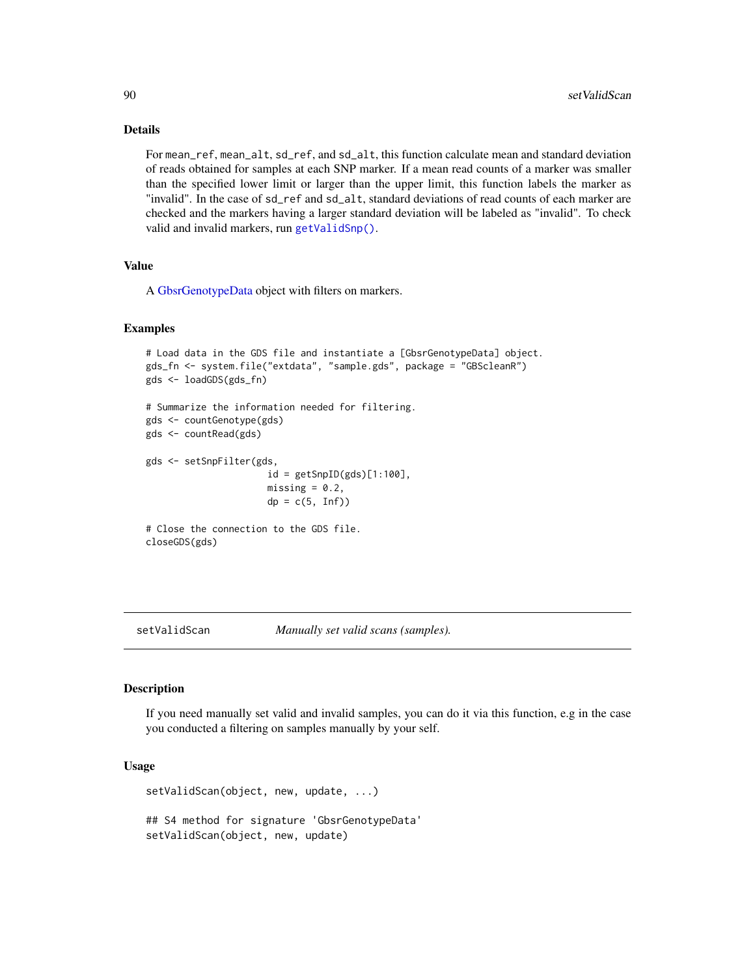# Details

For mean\_ref, mean\_alt, sd\_ref, and sd\_alt, this function calculate mean and standard deviation of reads obtained for samples at each SNP marker. If a mean read counts of a marker was smaller than the specified lower limit or larger than the upper limit, this function labels the marker as "invalid". In the case of sd\_ref and sd\_alt, standard deviations of read counts of each marker are checked and the markers having a larger standard deviation will be labeled as "invalid". To check valid and invalid markers, run [getValidSnp\(\)](#page-52-0).

# Value

A [GbsrGenotypeData](#page-16-0) object with filters on markers.

### Examples

```
# Load data in the GDS file and instantiate a [GbsrGenotypeData] object.
gds_fn <- system.file("extdata", "sample.gds", package = "GBScleanR")
gds <- loadGDS(gds_fn)
# Summarize the information needed for filtering.
gds <- countGenotype(gds)
gds <- countRead(gds)
gds <- setSnpFilter(gds,
                      id = getSupID(gds)[1:100],missing = 0.2,
                      dp = c(5, Inf)# Close the connection to the GDS file.
closeGDS(gds)
```
setValidScan *Manually set valid scans (samples).*

# Description

If you need manually set valid and invalid samples, you can do it via this function, e.g in the case you conducted a filtering on samples manually by your self.

# Usage

setValidScan(object, new, update, ...) ## S4 method for signature 'GbsrGenotypeData' setValidScan(object, new, update)

<span id="page-89-0"></span>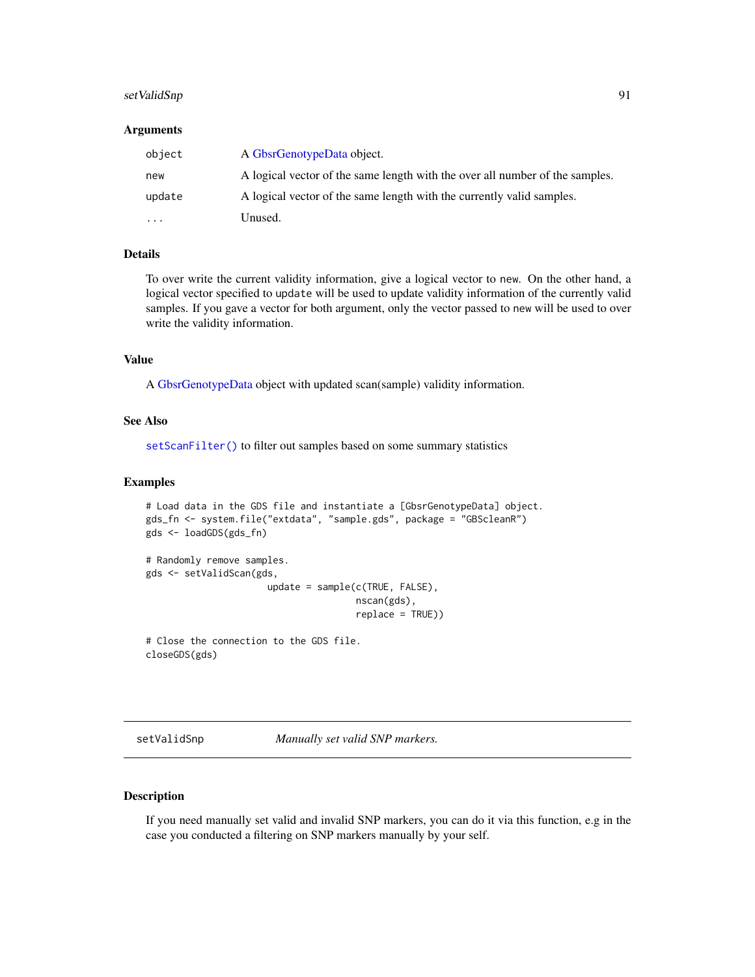# <span id="page-90-0"></span>setValidSnp 91

### Arguments

| object   | A GbsrGenotypeData object.                                                   |
|----------|------------------------------------------------------------------------------|
| new      | A logical vector of the same length with the over all number of the samples. |
| update   | A logical vector of the same length with the currently valid samples.        |
| $\cdots$ | Unused.                                                                      |

### Details

To over write the current validity information, give a logical vector to new. On the other hand, a logical vector specified to update will be used to update validity information of the currently valid samples. If you gave a vector for both argument, only the vector passed to new will be used to over write the validity information.

# Value

A [GbsrGenotypeData](#page-16-0) object with updated scan(sample) validity information.

# See Also

[setScanFilter\(\)](#page-85-0) to filter out samples based on some summary statistics

# Examples

```
# Load data in the GDS file and instantiate a [GbsrGenotypeData] object.
gds_fn <- system.file("extdata", "sample.gds", package = "GBScleanR")
gds <- loadGDS(gds_fn)
# Randomly remove samples.
gds <- setValidScan(gds,
                      update = sample(c(TRUE, FALSE),
                                      nscan(gds),
                                      replace = TRUE))
```
# Close the connection to the GDS file. closeGDS(gds)

setValidSnp *Manually set valid SNP markers.*

### Description

If you need manually set valid and invalid SNP markers, you can do it via this function, e.g in the case you conducted a filtering on SNP markers manually by your self.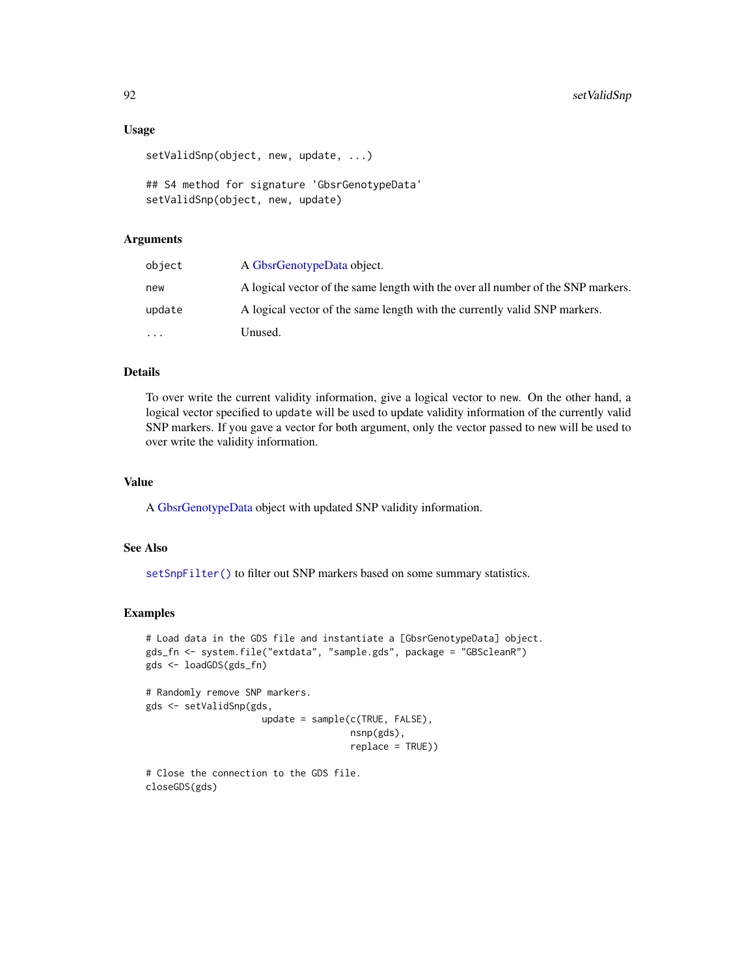# Usage

```
setValidSnp(object, new, update, ...)
```

```
## S4 method for signature 'GbsrGenotypeData'
setValidSnp(object, new, update)
```
# Arguments

| object    | A GbsrGenotypeData object.                                                       |
|-----------|----------------------------------------------------------------------------------|
| new       | A logical vector of the same length with the over all number of the SNP markers. |
| update    | A logical vector of the same length with the currently valid SNP markers.        |
| $\ddotsc$ | Unused.                                                                          |

# Details

To over write the current validity information, give a logical vector to new. On the other hand, a logical vector specified to update will be used to update validity information of the currently valid SNP markers. If you gave a vector for both argument, only the vector passed to new will be used to over write the validity information.

# Value

A [GbsrGenotypeData](#page-16-0) object with updated SNP validity information.

# See Also

[setSnpFilter\(\)](#page-87-0) to filter out SNP markers based on some summary statistics.

```
# Load data in the GDS file and instantiate a [GbsrGenotypeData] object.
gds_fn <- system.file("extdata", "sample.gds", package = "GBScleanR")
gds <- loadGDS(gds_fn)
# Randomly remove SNP markers.
gds <- setValidSnp(gds,
                     update = sample(c(TRUE, FALSE),
                                     nsnp(gds),
                                     replace = TRUE))
```

```
# Close the connection to the GDS file.
closeGDS(gds)
```
<span id="page-91-0"></span>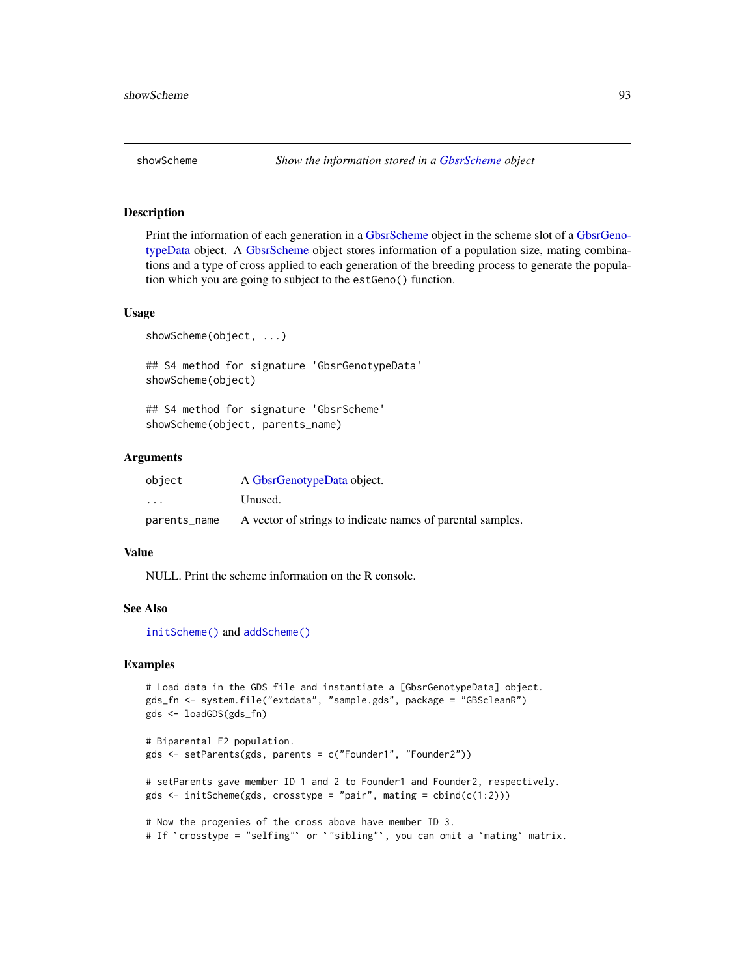<span id="page-92-0"></span>

Print the information of each generation in a [GbsrScheme](#page-17-0) object in the scheme slot of a [GbsrGeno](#page-16-0)[typeData](#page-16-0) object. A [GbsrScheme](#page-17-0) object stores information of a population size, mating combinations and a type of cross applied to each generation of the breeding process to generate the population which you are going to subject to the estGeno() function.

### Usage

```
showScheme(object, ...)
```
## S4 method for signature 'GbsrGenotypeData' showScheme(object)

## S4 method for signature 'GbsrScheme' showScheme(object, parents\_name)

# Arguments

| object                  | A GbsrGenotypeData object.                                 |
|-------------------------|------------------------------------------------------------|
| $\cdot$ $\cdot$ $\cdot$ | Unused.                                                    |
| parents_name            | A vector of strings to indicate names of parental samples. |

# Value

NULL. Print the scheme information on the R console.

# See Also

[initScheme\(\)](#page-56-0) and [addScheme\(\)](#page-4-0)

```
# Load data in the GDS file and instantiate a [GbsrGenotypeData] object.
gds_fn <- system.file("extdata", "sample.gds", package = "GBScleanR")
gds <- loadGDS(gds_fn)
# Biparental F2 population.
gds <- setParents(gds, parents = c("Founder1", "Founder2"))
# setParents gave member ID 1 and 2 to Founder1 and Founder2, respectively.
gds \le initScheme(gds, crosstype = "pair", mating = cbind(c(1:2)))
# Now the progenies of the cross above have member ID 3.
# If `crosstype = "selfing"` or `"sibling"`, you can omit a `mating` matrix.
```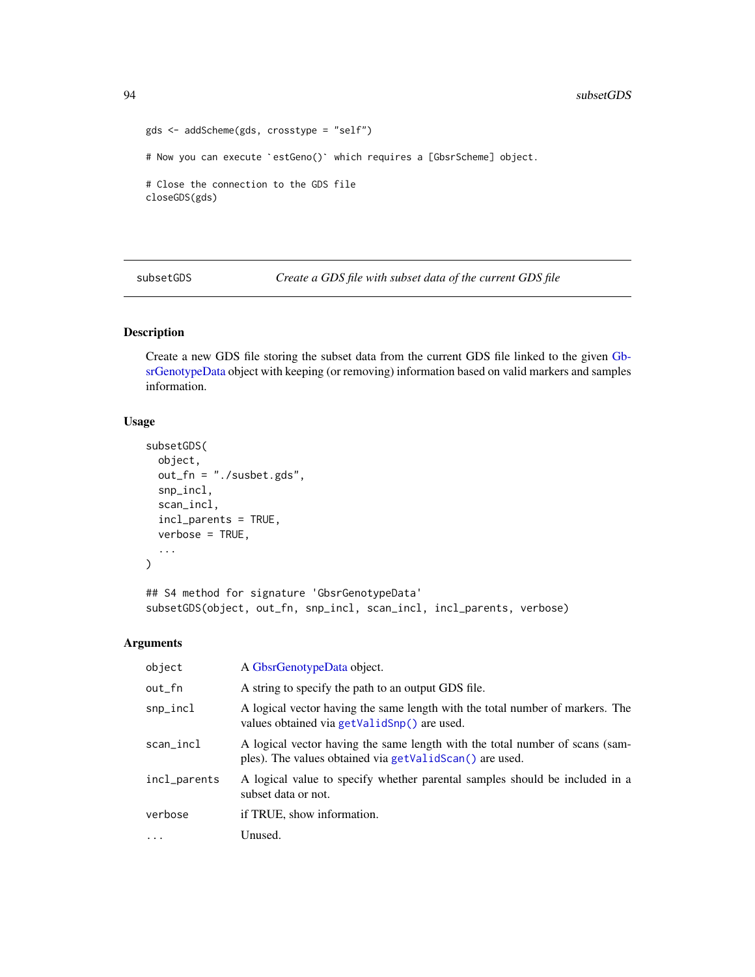```
gds <- addScheme(gds, crosstype = "self")
# Now you can execute `estGeno()` which requires a [GbsrScheme] object.
# Close the connection to the GDS file
closeGDS(gds)
```
subsetGDS *Create a GDS file with subset data of the current GDS file*

# Description

Create a new GDS file storing the subset data from the current GDS file linked to the given [Gb](#page-16-0)[srGenotypeData](#page-16-0) object with keeping (or removing) information based on valid markers and samples information.

# Usage

```
subsetGDS(
  object,
  out_fn = "./susbet.gds",
  snp_incl,
  scan_incl,
  incl_parents = TRUE,
  verbose = TRUE,
  ...
\mathcal{L}
```
## S4 method for signature 'GbsrGenotypeData' subsetGDS(object, out\_fn, snp\_incl, scan\_incl, incl\_parents, verbose)

# Arguments

| object       | A GbsrGenotypeData object.                                                                                                              |
|--------------|-----------------------------------------------------------------------------------------------------------------------------------------|
| out_fn       | A string to specify the path to an output GDS file.                                                                                     |
| snp_incl     | A logical vector having the same length with the total number of markers. The<br>values obtained via getValidSnp() are used.            |
| scan_incl    | A logical vector having the same length with the total number of scans (sam-<br>ples). The values obtained via getValidScan() are used. |
| incl_parents | A logical value to specify whether parental samples should be included in a<br>subset data or not.                                      |
| verbose      | if TRUE, show information.                                                                                                              |
| $\ddotsc$    | Unused.                                                                                                                                 |

<span id="page-93-0"></span>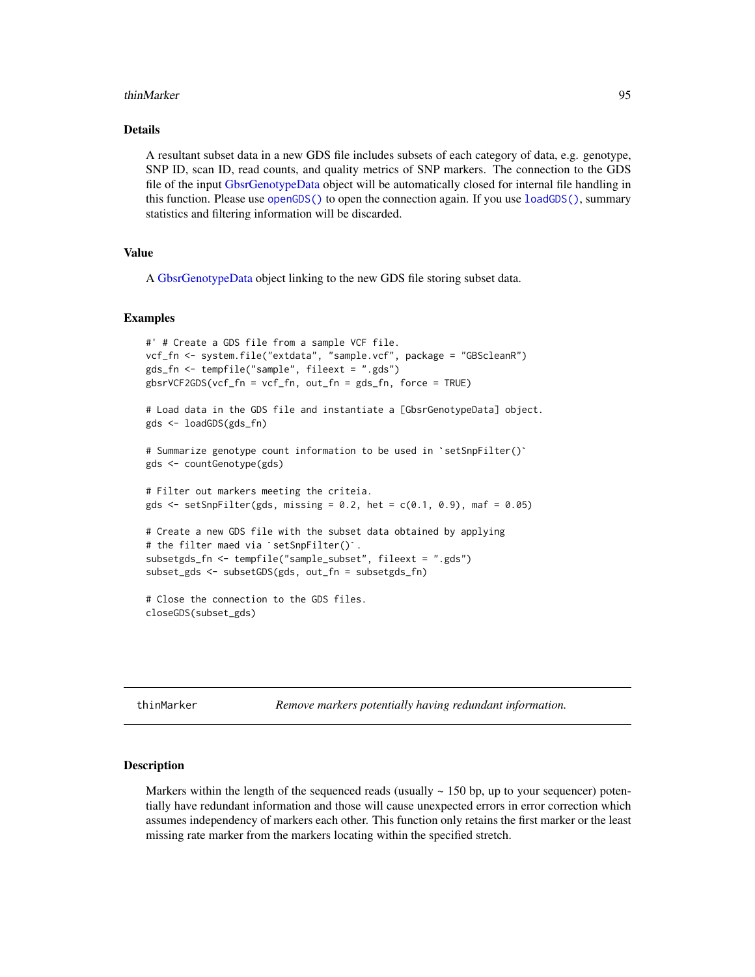### <span id="page-94-0"></span>thinMarker 95

### Details

A resultant subset data in a new GDS file includes subsets of each category of data, e.g. genotype, SNP ID, scan ID, read counts, and quality metrics of SNP markers. The connection to the GDS file of the input [GbsrGenotypeData](#page-16-0) object will be automatically closed for internal file handling in this function. Please use [openGDS\(\)](#page-64-0) to open the connection again. If you use [loadGDS\(\)](#page-59-0), summary statistics and filtering information will be discarded.

# Value

A [GbsrGenotypeData](#page-16-0) object linking to the new GDS file storing subset data.

# Examples

```
#' # Create a GDS file from a sample VCF file.
vcf_fn <- system.file("extdata", "sample.vcf", package = "GBScleanR")
gds_fn <- tempfile("sample", fileext = ".gds")
gbsrVCF2GDS(vcf_fn = vcf_fn, out_fn = gds_fn, force = TRUE)
# Load data in the GDS file and instantiate a [GbsrGenotypeData] object.
gds <- loadGDS(gds_fn)
# Summarize genotype count information to be used in `setSnpFilter()`
gds <- countGenotype(gds)
# Filter out markers meeting the criteia.
gds \le setSnpFilter(gds, missing = 0.2, het = c(0.1, 0.9), maf = 0.05)
# Create a new GDS file with the subset data obtained by applying
# the filter maed via `setSnpFilter()`.
subsetgds_fn <- tempfile("sample_subset", fileext = ".gds")
subset_gds <- subsetGDS(gds, out_fn = subsetgds_fn)
# Close the connection to the GDS files.
closeGDS(subset_gds)
```
thinMarker *Remove markers potentially having redundant information.*

# Description

Markers within the length of the sequenced reads (usually  $\sim$  150 bp, up to your sequencer) potentially have redundant information and those will cause unexpected errors in error correction which assumes independency of markers each other. This function only retains the first marker or the least missing rate marker from the markers locating within the specified stretch.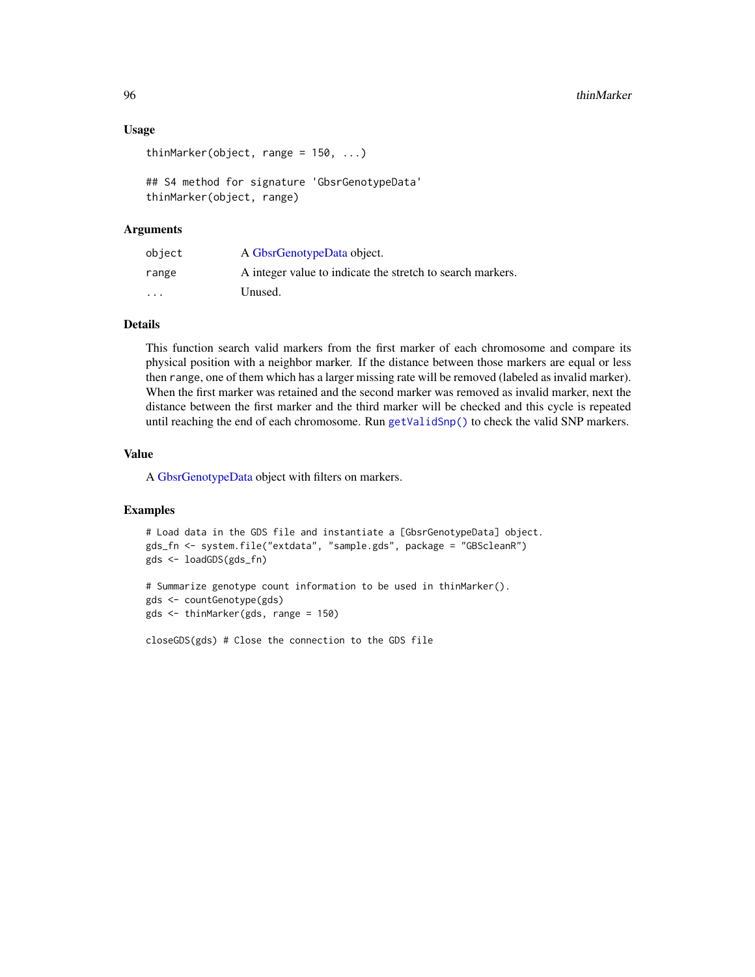# <span id="page-95-0"></span>Usage

```
thinMarker(object, range = 150, ...)
```
## S4 method for signature 'GbsrGenotypeData' thinMarker(object, range)

# Arguments

| object  | A GbsrGenotypeData object.                                 |
|---------|------------------------------------------------------------|
| range   | A integer value to indicate the stretch to search markers. |
| $\cdot$ | Unused.                                                    |

# Details

This function search valid markers from the first marker of each chromosome and compare its physical position with a neighbor marker. If the distance between those markers are equal or less then range, one of them which has a larger missing rate will be removed (labeled as invalid marker). When the first marker was retained and the second marker was removed as invalid marker, next the distance between the first marker and the third marker will be checked and this cycle is repeated until reaching the end of each chromosome. Run [getValidSnp\(\)](#page-52-0) to check the valid SNP markers.

# Value

A [GbsrGenotypeData](#page-16-0) object with filters on markers.

### Examples

```
# Load data in the GDS file and instantiate a [GbsrGenotypeData] object.
gds_fn <- system.file("extdata", "sample.gds", package = "GBScleanR")
gds <- loadGDS(gds_fn)
```

```
# Summarize genotype count information to be used in thinMarker().
gds <- countGenotype(gds)
gds <- thinMarker(gds, range = 150)
```
closeGDS(gds) # Close the connection to the GDS file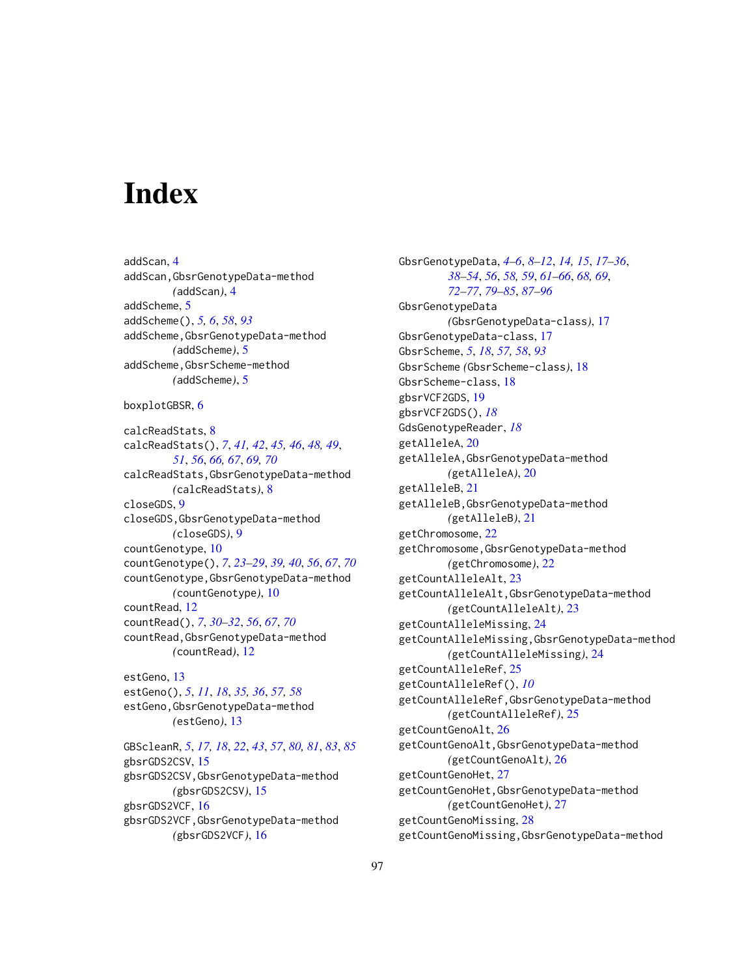# Index

addScan, [4](#page-3-0) addScan,GbsrGenotypeData-method *(*addScan*)*, [4](#page-3-0) addScheme, [5](#page-4-1) addScheme(), *[5,](#page-4-1) [6](#page-5-0)*, *[58](#page-57-0)*, *[93](#page-92-0)* addScheme,GbsrGenotypeData-method *(*addScheme*)*, [5](#page-4-1) addScheme,GbsrScheme-method *(*addScheme*)*, [5](#page-4-1)

boxplotGBSR, [6](#page-5-0)

calcReadStats, [8](#page-7-0) calcReadStats(), *[7](#page-6-0)*, *[41,](#page-40-0) [42](#page-41-0)*, *[45,](#page-44-0) [46](#page-45-0)*, *[48,](#page-47-1) [49](#page-48-0)*, *[51](#page-50-0)*, *[56](#page-55-0)*, *[66,](#page-65-0) [67](#page-66-0)*, *[69,](#page-68-0) [70](#page-69-0)* calcReadStats,GbsrGenotypeData-method *(*calcReadStats*)*, [8](#page-7-0) closeGDS, [9](#page-8-0) closeGDS,GbsrGenotypeData-method *(*closeGDS*)*, [9](#page-8-0) countGenotype, [10](#page-9-0) countGenotype(), *[7](#page-6-0)*, *[23–](#page-22-0)[29](#page-28-0)*, *[39,](#page-38-0) [40](#page-39-0)*, *[56](#page-55-0)*, *[67](#page-66-0)*, *[70](#page-69-0)* countGenotype,GbsrGenotypeData-method *(*countGenotype*)*, [10](#page-9-0) countRead, [12](#page-11-0) countRead(), *[7](#page-6-0)*, *[30](#page-29-0)[–32](#page-31-0)*, *[56](#page-55-0)*, *[67](#page-66-0)*, *[70](#page-69-0)* countRead,GbsrGenotypeData-method *(*countRead*)*, [12](#page-11-0)

estGeno, [13](#page-12-0) estGeno(), *[5](#page-4-1)*, *[11](#page-10-0)*, *[18](#page-17-1)*, *[35,](#page-34-0) [36](#page-35-0)*, *[57,](#page-56-1) [58](#page-57-0)* estGeno,GbsrGenotypeData-method *(*estGeno*)*, [13](#page-12-0)

GBScleanR, *[5](#page-4-1)*, *[17,](#page-16-1) [18](#page-17-1)*, *[22](#page-21-0)*, *[43](#page-42-0)*, *[57](#page-56-1)*, *[80,](#page-79-1) [81](#page-80-0)*, *[83](#page-82-0)*, *[85](#page-84-1)* gbsrGDS2CSV, [15](#page-14-0) gbsrGDS2CSV,GbsrGenotypeData-method *(*gbsrGDS2CSV*)*, [15](#page-14-0) gbsrGDS2VCF, [16](#page-15-0) gbsrGDS2VCF,GbsrGenotypeData-method *(*gbsrGDS2VCF*)*, [16](#page-15-0)

GbsrGenotypeData, *[4](#page-3-0)[–6](#page-5-0)*, *[8](#page-7-0)[–12](#page-11-0)*, *[14,](#page-13-0) [15](#page-14-0)*, *[17](#page-16-1)[–36](#page-35-0)*, *[38](#page-37-0)[–54](#page-53-1)*, *[56](#page-55-0)*, *[58,](#page-57-0) [59](#page-58-0)*, *[61](#page-60-0)[–66](#page-65-0)*, *[68,](#page-67-0) [69](#page-68-0)*, *[72](#page-71-0)[–77](#page-76-0)*, *[79](#page-78-0)[–85](#page-84-1)*, *[87](#page-86-0)[–96](#page-95-0)* GbsrGenotypeData *(*GbsrGenotypeData-class*)*, [17](#page-16-1) GbsrGenotypeData-class, [17](#page-16-1) GbsrScheme, *[5](#page-4-1)*, *[18](#page-17-1)*, *[57,](#page-56-1) [58](#page-57-0)*, *[93](#page-92-0)* GbsrScheme *(*GbsrScheme-class*)*, [18](#page-17-1) GbsrScheme-class, [18](#page-17-1) gbsrVCF2GDS, [19](#page-18-0) gbsrVCF2GDS(), *[18](#page-17-1)* GdsGenotypeReader, *[18](#page-17-1)* getAlleleA, [20](#page-19-0) getAlleleA,GbsrGenotypeData-method *(*getAlleleA*)*, [20](#page-19-0) getAlleleB, [21](#page-20-0) getAlleleB,GbsrGenotypeData-method *(*getAlleleB*)*, [21](#page-20-0) getChromosome, [22](#page-21-0) getChromosome,GbsrGenotypeData-method *(*getChromosome*)*, [22](#page-21-0) getCountAlleleAlt, [23](#page-22-0) getCountAlleleAlt,GbsrGenotypeData-method *(*getCountAlleleAlt*)*, [23](#page-22-0) getCountAlleleMissing, [24](#page-23-0) getCountAlleleMissing,GbsrGenotypeData-method *(*getCountAlleleMissing*)*, [24](#page-23-0) getCountAlleleRef, [25](#page-24-0) getCountAlleleRef(), *[10](#page-9-0)* getCountAlleleRef,GbsrGenotypeData-method *(*getCountAlleleRef*)*, [25](#page-24-0) getCountGenoAlt, [26](#page-25-0) getCountGenoAlt,GbsrGenotypeData-method *(*getCountGenoAlt*)*, [26](#page-25-0) getCountGenoHet, [27](#page-26-0) getCountGenoHet,GbsrGenotypeData-method *(*getCountGenoHet*)*, [27](#page-26-0) getCountGenoMissing, [28](#page-27-0) getCountGenoMissing,GbsrGenotypeData-method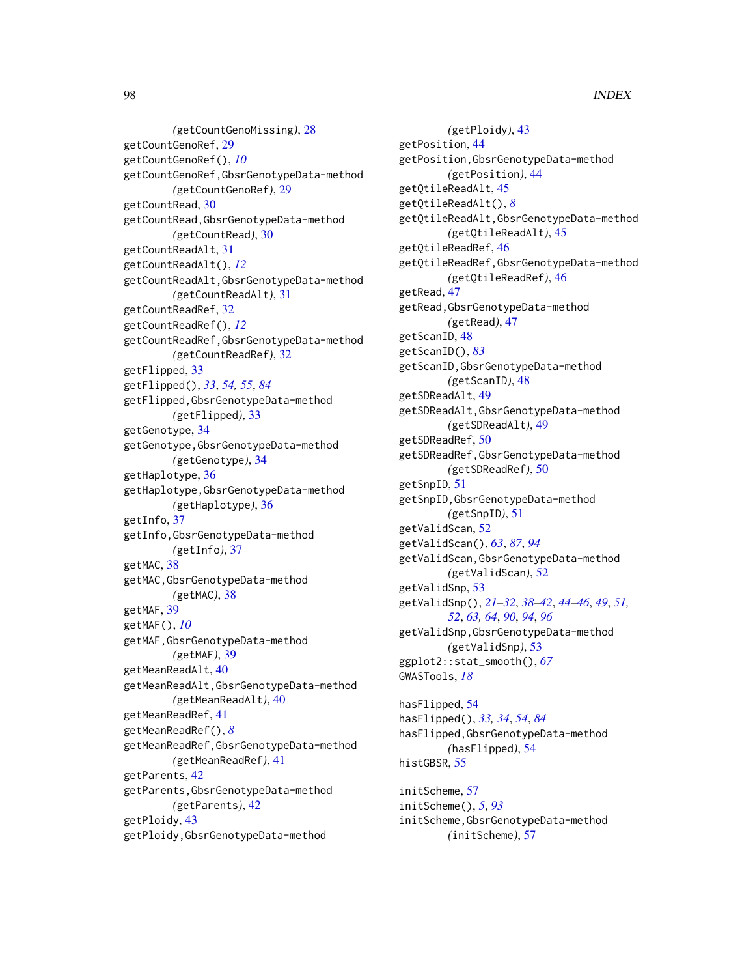*(*getCountGenoMissing*)*, [28](#page-27-0) getCountGenoRef, [29](#page-28-0) getCountGenoRef(), *[10](#page-9-0)* getCountGenoRef,GbsrGenotypeData-method *(*getCountGenoRef*)*, [29](#page-28-0) getCountRead, [30](#page-29-0) getCountRead,GbsrGenotypeData-method *(*getCountRead*)*, [30](#page-29-0) getCountReadAlt, [31](#page-30-0) getCountReadAlt(), *[12](#page-11-0)* getCountReadAlt,GbsrGenotypeData-method *(*getCountReadAlt*)*, [31](#page-30-0) getCountReadRef, [32](#page-31-0) getCountReadRef(), *[12](#page-11-0)* getCountReadRef,GbsrGenotypeData-method *(*getCountReadRef*)*, [32](#page-31-0) getFlipped, [33](#page-32-1) getFlipped(), *[33](#page-32-1)*, *[54,](#page-53-1) [55](#page-54-0)*, *[84](#page-83-0)* getFlipped,GbsrGenotypeData-method *(*getFlipped*)*, [33](#page-32-1) getGenotype, [34](#page-33-0) getGenotype,GbsrGenotypeData-method *(*getGenotype*)*, [34](#page-33-0) getHaplotype, [36](#page-35-0) getHaplotype,GbsrGenotypeData-method *(*getHaplotype*)*, [36](#page-35-0) getInfo, [37](#page-36-0) getInfo,GbsrGenotypeData-method *(*getInfo*)*, [37](#page-36-0) getMAC, [38](#page-37-0) getMAC,GbsrGenotypeData-method *(*getMAC*)*, [38](#page-37-0) getMAF, [39](#page-38-0) getMAF(), *[10](#page-9-0)* getMAF,GbsrGenotypeData-method *(*getMAF*)*, [39](#page-38-0) getMeanReadAlt, [40](#page-39-0) getMeanReadAlt,GbsrGenotypeData-method *(*getMeanReadAlt*)*, [40](#page-39-0) getMeanReadRef, [41](#page-40-0) getMeanReadRef(), *[8](#page-7-0)* getMeanReadRef,GbsrGenotypeData-method *(*getMeanReadRef*)*, [41](#page-40-0) getParents, [42](#page-41-0) getParents,GbsrGenotypeData-method *(*getParents*)*, [42](#page-41-0) getPloidy, [43](#page-42-0) getPloidy,GbsrGenotypeData-method

*(*getPloidy*)*, [43](#page-42-0) getPosition, [44](#page-43-0) getPosition,GbsrGenotypeData-method *(*getPosition*)*, [44](#page-43-0) getQtileReadAlt, [45](#page-44-0) getQtileReadAlt(), *[8](#page-7-0)* getQtileReadAlt,GbsrGenotypeData-method *(*getQtileReadAlt*)*, [45](#page-44-0) getQtileReadRef, [46](#page-45-0) getQtileReadRef,GbsrGenotypeData-method *(*getQtileReadRef*)*, [46](#page-45-0) getRead, [47](#page-46-0) getRead,GbsrGenotypeData-method *(*getRead*)*, [47](#page-46-0) getScanID, [48](#page-47-1) getScanID(), *[83](#page-82-0)* getScanID,GbsrGenotypeData-method *(*getScanID*)*, [48](#page-47-1) getSDReadAlt, [49](#page-48-0) getSDReadAlt,GbsrGenotypeData-method *(*getSDReadAlt*)*, [49](#page-48-0) getSDReadRef, [50](#page-49-0) getSDReadRef,GbsrGenotypeData-method *(*getSDReadRef*)*, [50](#page-49-0) getSnpID, [51](#page-50-0) getSnpID,GbsrGenotypeData-method *(*getSnpID*)*, [51](#page-50-0) getValidScan, [52](#page-51-1) getValidScan(), *[63](#page-62-0)*, *[87](#page-86-0)*, *[94](#page-93-0)* getValidScan,GbsrGenotypeData-method *(*getValidScan*)*, [52](#page-51-1) getValidSnp, [53](#page-52-1) getValidSnp(), *[21](#page-20-0)[–32](#page-31-0)*, *[38](#page-37-0)[–42](#page-41-0)*, *[44](#page-43-0)[–46](#page-45-0)*, *[49](#page-48-0)*, *[51,](#page-50-0) [52](#page-51-1)*, *[63,](#page-62-0) [64](#page-63-0)*, *[90](#page-89-0)*, *[94](#page-93-0)*, *[96](#page-95-0)* getValidSnp,GbsrGenotypeData-method *(*getValidSnp*)*, [53](#page-52-1) ggplot2::stat\_smooth(), *[67](#page-66-0)* GWASTools, *[18](#page-17-1)*

hasFlipped, [54](#page-53-1) hasFlipped(), *[33,](#page-32-1) [34](#page-33-0)*, *[54](#page-53-1)*, *[84](#page-83-0)* hasFlipped,GbsrGenotypeData-method *(*hasFlipped*)*, [54](#page-53-1) histGBSR, [55](#page-54-0)

initScheme, [57](#page-56-1) initScheme(), *[5](#page-4-1)*, *[93](#page-92-0)* initScheme,GbsrGenotypeData-method *(*initScheme*)*, [57](#page-56-1)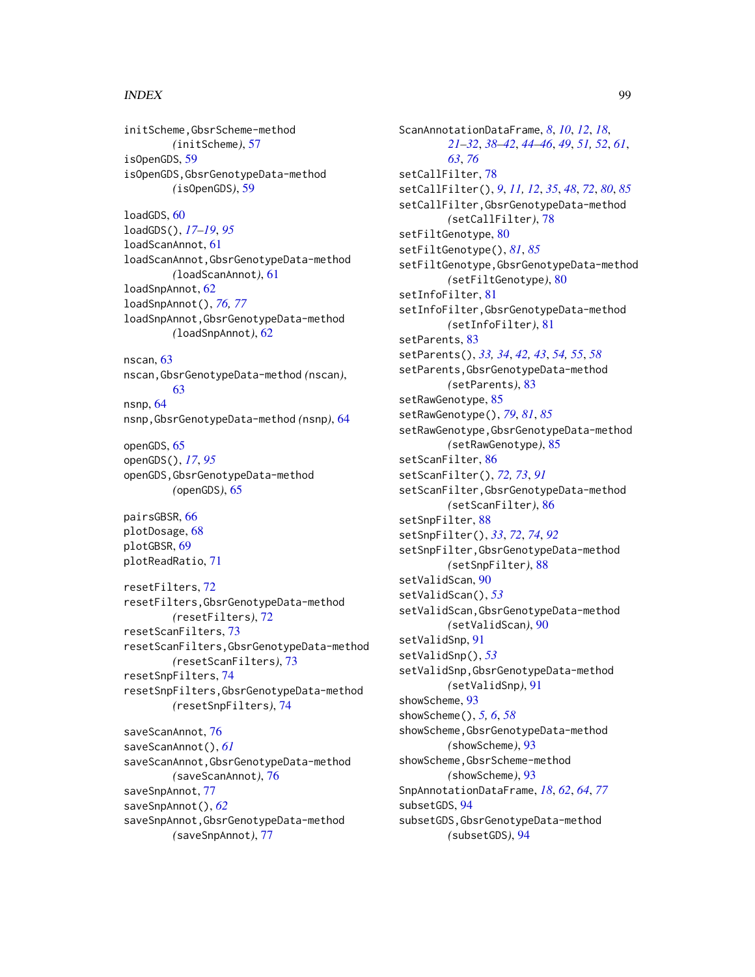# INDEX 99

initScheme,GbsrScheme-method *(*initScheme*)*, [57](#page-56-1) isOpenGDS, [59](#page-58-0) isOpenGDS,GbsrGenotypeData-method *(*isOpenGDS*)*, [59](#page-58-0) loadGDS, [60](#page-59-1) loadGDS(), *[17](#page-16-1)[–19](#page-18-0)*, *[95](#page-94-0)* loadScanAnnot, [61](#page-60-0) loadScanAnnot,GbsrGenotypeData-method *(*loadScanAnnot*)*, [61](#page-60-0) loadSnpAnnot, [62](#page-61-1) loadSnpAnnot(), *[76,](#page-75-0) [77](#page-76-0)* loadSnpAnnot,GbsrGenotypeData-method *(*loadSnpAnnot*)*, [62](#page-61-1) nscan, [63](#page-62-0) nscan,GbsrGenotypeData-method *(*nscan*)*, [63](#page-62-0) nsnp, [64](#page-63-0) nsnp,GbsrGenotypeData-method *(*nsnp*)*, [64](#page-63-0) openGDS, [65](#page-64-1) openGDS(), *[17](#page-16-1)*, *[95](#page-94-0)* openGDS,GbsrGenotypeData-method *(*openGDS*)*, [65](#page-64-1) pairsGBSR, [66](#page-65-0) plotDosage, [68](#page-67-0) plotGBSR, [69](#page-68-0) plotReadRatio, [71](#page-70-0) resetFilters, [72](#page-71-0) resetFilters,GbsrGenotypeData-method *(*resetFilters*)*, [72](#page-71-0) resetScanFilters, [73](#page-72-0) resetScanFilters,GbsrGenotypeData-method *(*resetScanFilters*)*, [73](#page-72-0) resetSnpFilters, [74](#page-73-0) resetSnpFilters,GbsrGenotypeData-method *(*resetSnpFilters*)*, [74](#page-73-0) saveScanAnnot, [76](#page-75-0) saveScanAnnot(), *[61](#page-60-0)* saveScanAnnot,GbsrGenotypeData-method *(*saveScanAnnot*)*, [76](#page-75-0) saveSnpAnnot, [77](#page-76-0) saveSnpAnnot(), *[62](#page-61-1)* saveSnpAnnot,GbsrGenotypeData-method *(*saveSnpAnnot*)*, [77](#page-76-0)

ScanAnnotationDataFrame, *[8](#page-7-0)*, *[10](#page-9-0)*, *[12](#page-11-0)*, *[18](#page-17-1)*, *[21](#page-20-0)[–32](#page-31-0)*, *[38](#page-37-0)[–42](#page-41-0)*, *[44](#page-43-0)[–46](#page-45-0)*, *[49](#page-48-0)*, *[51,](#page-50-0) [52](#page-51-1)*, *[61](#page-60-0)*, *[63](#page-62-0)*, *[76](#page-75-0)* setCallFilter, [78](#page-77-1) setCallFilter(), *[9](#page-8-0)*, *[11,](#page-10-0) [12](#page-11-0)*, *[35](#page-34-0)*, *[48](#page-47-1)*, *[72](#page-71-0)*, *[80](#page-79-1)*, *[85](#page-84-1)* setCallFilter,GbsrGenotypeData-method *(*setCallFilter*)*, [78](#page-77-1) setFiltGenotype, [80](#page-79-1) setFiltGenotype(), *[81](#page-80-0)*, *[85](#page-84-1)* setFiltGenotype,GbsrGenotypeData-method *(*setFiltGenotype*)*, [80](#page-79-1) setInfoFilter, [81](#page-80-0) setInfoFilter,GbsrGenotypeData-method *(*setInfoFilter*)*, [81](#page-80-0) setParents, [83](#page-82-0) setParents(), *[33,](#page-32-1) [34](#page-33-0)*, *[42,](#page-41-0) [43](#page-42-0)*, *[54,](#page-53-1) [55](#page-54-0)*, *[58](#page-57-0)* setParents,GbsrGenotypeData-method *(*setParents*)*, [83](#page-82-0) setRawGenotype, [85](#page-84-1) setRawGenotype(), *[79](#page-78-0)*, *[81](#page-80-0)*, *[85](#page-84-1)* setRawGenotype,GbsrGenotypeData-method *(*setRawGenotype*)*, [85](#page-84-1) setScanFilter, [86](#page-85-1) setScanFilter(), *[72,](#page-71-0) [73](#page-72-0)*, *[91](#page-90-0)* setScanFilter,GbsrGenotypeData-method *(*setScanFilter*)*, [86](#page-85-1) setSnpFilter, [88](#page-87-1) setSnpFilter(), *[33](#page-32-1)*, *[72](#page-71-0)*, *[74](#page-73-0)*, *[92](#page-91-0)* setSnpFilter,GbsrGenotypeData-method *(*setSnpFilter*)*, [88](#page-87-1) setValidScan, [90](#page-89-0) setValidScan(), *[53](#page-52-1)* setValidScan,GbsrGenotypeData-method *(*setValidScan*)*, [90](#page-89-0) setValidSnp, [91](#page-90-0) setValidSnp(), *[53](#page-52-1)* setValidSnp,GbsrGenotypeData-method *(*setValidSnp*)*, [91](#page-90-0) showScheme, [93](#page-92-0) showScheme(), *[5,](#page-4-1) [6](#page-5-0)*, *[58](#page-57-0)* showScheme, GbsrGenotypeData-method *(*showScheme*)*, [93](#page-92-0) showScheme,GbsrScheme-method *(*showScheme*)*, [93](#page-92-0) SnpAnnotationDataFrame, *[18](#page-17-1)*, *[62](#page-61-1)*, *[64](#page-63-0)*, *[77](#page-76-0)* subsetGDS, [94](#page-93-0) subsetGDS,GbsrGenotypeData-method *(*subsetGDS*)*, [94](#page-93-0)